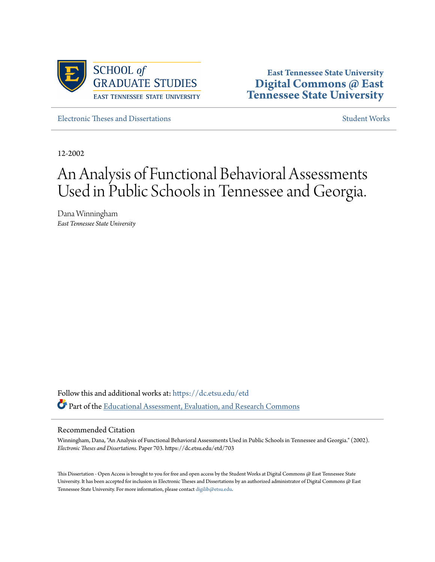

**East Tennessee State University [Digital Commons @ East](https://dc.etsu.edu?utm_source=dc.etsu.edu%2Fetd%2F703&utm_medium=PDF&utm_campaign=PDFCoverPages) [Tennessee State University](https://dc.etsu.edu?utm_source=dc.etsu.edu%2Fetd%2F703&utm_medium=PDF&utm_campaign=PDFCoverPages)**

[Electronic Theses and Dissertations](https://dc.etsu.edu/etd?utm_source=dc.etsu.edu%2Fetd%2F703&utm_medium=PDF&utm_campaign=PDFCoverPages) [Student Works](https://dc.etsu.edu/student-works?utm_source=dc.etsu.edu%2Fetd%2F703&utm_medium=PDF&utm_campaign=PDFCoverPages)

12-2002

## An Analysis of Functional Behavioral Assessments Used in Public Schools in Tennessee and Georgia.

Dana Winningham *East Tennessee State University*

Follow this and additional works at: [https://dc.etsu.edu/etd](https://dc.etsu.edu/etd?utm_source=dc.etsu.edu%2Fetd%2F703&utm_medium=PDF&utm_campaign=PDFCoverPages) Part of the [Educational Assessment, Evaluation, and Research Commons](http://network.bepress.com/hgg/discipline/796?utm_source=dc.etsu.edu%2Fetd%2F703&utm_medium=PDF&utm_campaign=PDFCoverPages)

#### Recommended Citation

Winningham, Dana, "An Analysis of Functional Behavioral Assessments Used in Public Schools in Tennessee and Georgia." (2002). *Electronic Theses and Dissertations.* Paper 703. https://dc.etsu.edu/etd/703

This Dissertation - Open Access is brought to you for free and open access by the Student Works at Digital Commons @ East Tennessee State University. It has been accepted for inclusion in Electronic Theses and Dissertations by an authorized administrator of Digital Commons @ East Tennessee State University. For more information, please contact [digilib@etsu.edu.](mailto:digilib@etsu.edu)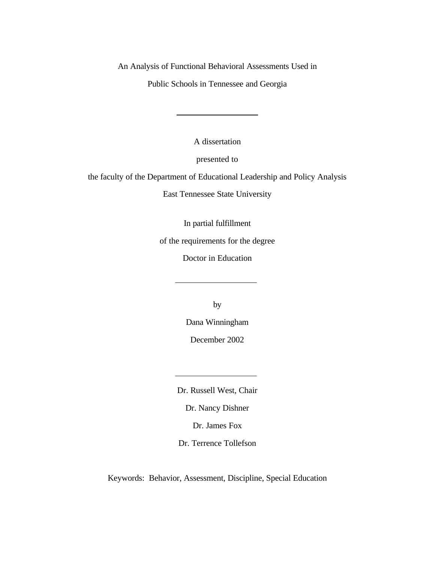An Analysis of Functional Behavioral Assessments Used in

Public Schools in Tennessee and Georgia

A dissertation

presented to

the faculty of the Department of Educational Leadership and Policy Analysis

East Tennessee State University

In partial fulfillment

of the requirements for the degree

Doctor in Education

by

Dana Winningham December 2002

Dr. Russell West, Chair

Dr. Nancy Dishner

Dr. James Fox

Dr. Terrence Tollefson

Keywords: Behavior, Assessment, Discipline, Special Education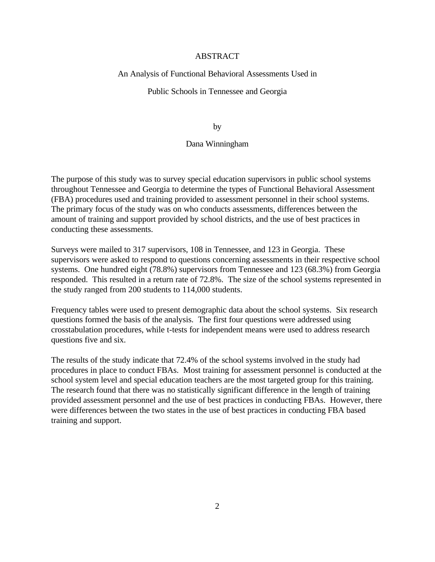#### ABSTRACT

#### An Analysis of Functional Behavioral Assessments Used in

#### Public Schools in Tennessee and Georgia

by

#### Dana Winningham

The purpose of this study was to survey special education supervisors in public school systems throughout Tennessee and Georgia to determine the types of Functional Behavioral Assessment (FBA) procedures used and training provided to assessment personnel in their school systems. The primary focus of the study was on who conducts assessments, differences between the amount of training and support provided by school districts, and the use of best practices in conducting these assessments.

Surveys were mailed to 317 supervisors, 108 in Tennessee, and 123 in Georgia. These supervisors were asked to respond to questions concerning assessments in their respective school systems. One hundred eight (78.8%) supervisors from Tennessee and 123 (68.3%) from Georgia responded. This resulted in a return rate of 72.8%. The size of the school systems represented in the study ranged from 200 students to 114,000 students.

Frequency tables were used to present demographic data about the school systems. Six research questions formed the basis of the analysis. The first four questions were addressed using crosstabulation procedures, while t-tests for independent means were used to address research questions five and six.

The results of the study indicate that 72.4% of the school systems involved in the study had procedures in place to conduct FBAs. Most training for assessment personnel is conducted at the school system level and special education teachers are the most targeted group for this training. The research found that there was no statistically significant difference in the length of training provided assessment personnel and the use of best practices in conducting FBAs. However, there were differences between the two states in the use of best practices in conducting FBA based training and support.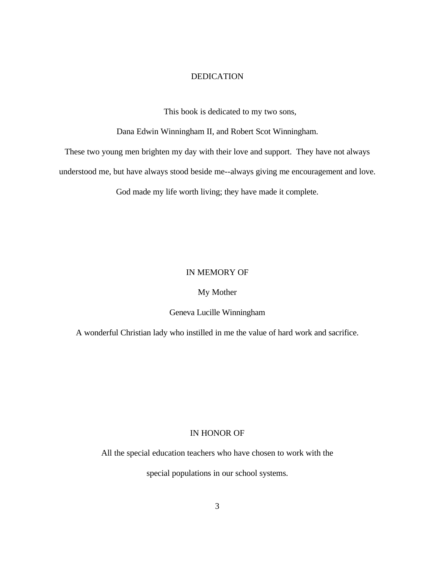#### DEDICATION

This book is dedicated to my two sons,

Dana Edwin Winningham II, and Robert Scot Winningham.

These two young men brighten my day with their love and support. They have not always

understood me, but have always stood beside me--always giving me encouragement and love.

God made my life worth living; they have made it complete.

#### IN MEMORY OF

#### My Mother

#### Geneva Lucille Winningham

A wonderful Christian lady who instilled in me the value of hard work and sacrifice.

#### IN HONOR OF

All the special education teachers who have chosen to work with the

special populations in our school systems.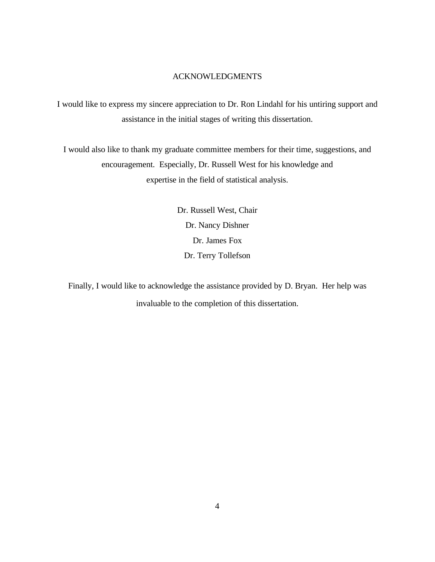#### ACKNOWLEDGMENTS

I would like to express my sincere appreciation to Dr. Ron Lindahl for his untiring support and assistance in the initial stages of writing this dissertation.

I would also like to thank my graduate committee members for their time, suggestions, and encouragement. Especially, Dr. Russell West for his knowledge and expertise in the field of statistical analysis.

> Dr. Russell West, Chair Dr. Nancy Dishner Dr. James Fox Dr. Terry Tollefson

Finally, I would like to acknowledge the assistance provided by D. Bryan. Her help was invaluable to the completion of this dissertation.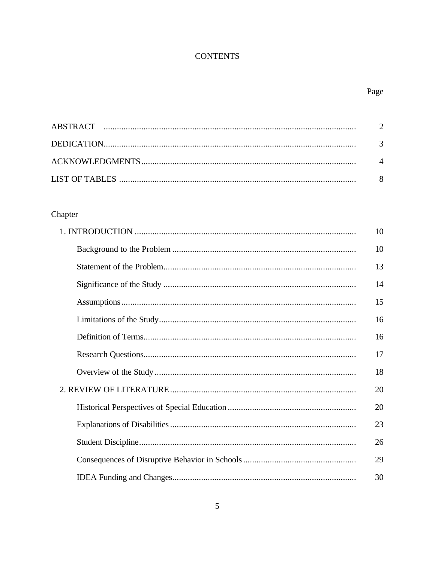### **CONTENTS**

## Page

## Chapter

| 10 |
|----|
| 10 |
| 13 |
| 14 |
| 15 |
| 16 |
| 16 |
| 17 |
| 18 |
| 20 |
| 20 |
| 23 |
| 26 |
| 29 |
| 30 |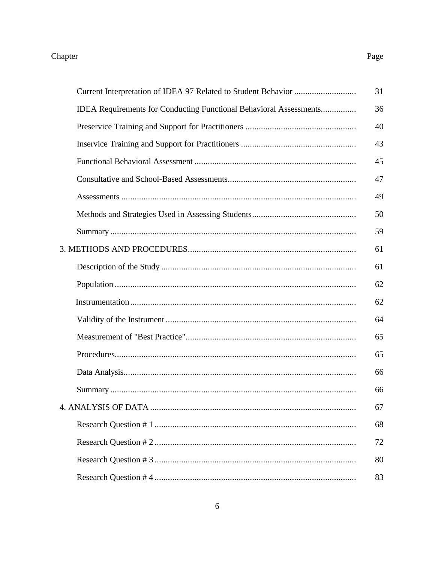## Chapter

# Page

|                                                                    | 31 |
|--------------------------------------------------------------------|----|
| IDEA Requirements for Conducting Functional Behavioral Assessments | 36 |
|                                                                    | 40 |
|                                                                    | 43 |
|                                                                    | 45 |
|                                                                    | 47 |
|                                                                    | 49 |
|                                                                    | 50 |
|                                                                    | 59 |
|                                                                    | 61 |
|                                                                    | 61 |
|                                                                    | 62 |
|                                                                    | 62 |
|                                                                    | 64 |
|                                                                    | 65 |
|                                                                    | 65 |
|                                                                    | 66 |
|                                                                    | 66 |
|                                                                    | 67 |
|                                                                    | 68 |
|                                                                    | 72 |
|                                                                    | 80 |
|                                                                    | 83 |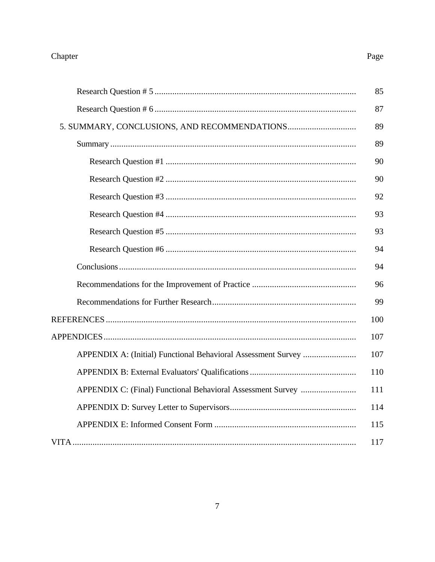## Chapter

|--|

| 85  |
|-----|
| 87  |
| 89  |
| 89  |
| 90  |
| 90  |
| 92  |
| 93  |
| 93  |
| 94  |
| 94  |
| 96  |
| 99  |
| 100 |
| 107 |
| 107 |
| 110 |
| 111 |
| 114 |
| 115 |
| 117 |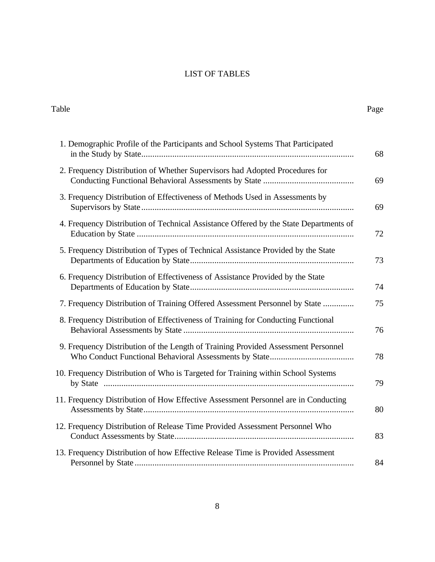## LIST OF TABLES

| Table                                                                                 |  |
|---------------------------------------------------------------------------------------|--|
| 1. Demographic Profile of the Participants and School Systems That Participated       |  |
| 2. Frequency Distribution of Whether Supervisors had Adopted Procedures for           |  |
| 3. Frequency Distribution of Effectiveness of Methods Used in Assessments by          |  |
| 4. Frequency Distribution of Technical Assistance Offered by the State Departments of |  |
| 5. Frequency Distribution of Types of Technical Assistance Provided by the State      |  |
| 6. Frequency Distribution of Effectiveness of Assistance Provided by the State        |  |
| 7. Frequency Distribution of Training Offered Assessment Personnel by State           |  |
| 8. Frequency Distribution of Effectiveness of Training for Conducting Functional      |  |
| 9. Frequency Distribution of the Length of Training Provided Assessment Personnel     |  |
| 10. Frequency Distribution of Who is Targeted for Training within School Systems      |  |
| 11. Frequency Distribution of How Effective Assessment Personnel are in Conducting    |  |
| 12. Frequency Distribution of Release Time Provided Assessment Personnel Who          |  |
| 13. Frequency Distribution of how Effective Release Time is Provided Assessment       |  |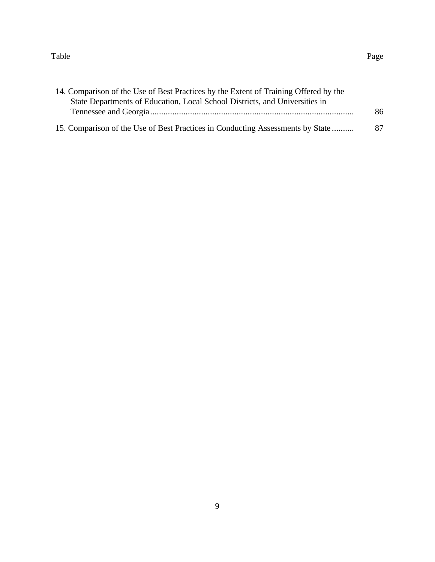#### Table Page

| 14. Comparison of the Use of Best Practices by the Extent of Training Offered by the |    |
|--------------------------------------------------------------------------------------|----|
| State Departments of Education, Local School Districts, and Universities in          |    |
|                                                                                      | 86 |
| 15. Comparison of the Use of Best Practices in Conducting Assessments by State       | 87 |

9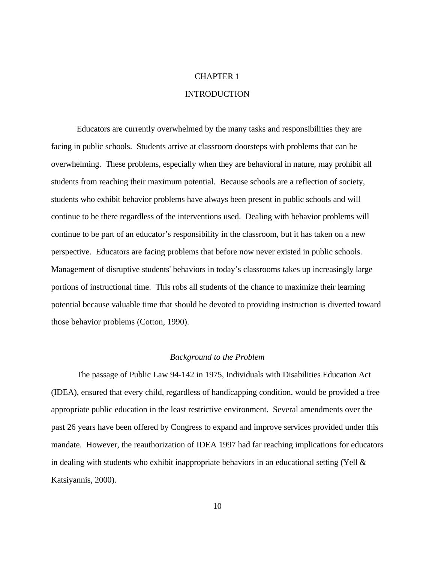#### CHAPTER 1

#### **INTRODUCTION**

Educators are currently overwhelmed by the many tasks and responsibilities they are facing in public schools. Students arrive at classroom doorsteps with problems that can be overwhelming. These problems, especially when they are behavioral in nature, may prohibit all students from reaching their maximum potential. Because schools are a reflection of society, students who exhibit behavior problems have always been present in public schools and will continue to be there regardless of the interventions used. Dealing with behavior problems will continue to be part of an educator's responsibility in the classroom, but it has taken on a new perspective. Educators are facing problems that before now never existed in public schools. Management of disruptive students' behaviors in today's classrooms takes up increasingly large portions of instructional time. This robs all students of the chance to maximize their learning potential because valuable time that should be devoted to providing instruction is diverted toward those behavior problems (Cotton, 1990).

#### *Background to the Problem*

The passage of Public Law 94-142 in 1975, Individuals with Disabilities Education Act (IDEA), ensured that every child, regardless of handicapping condition, would be provided a free appropriate public education in the least restrictive environment. Several amendments over the past 26 years have been offered by Congress to expand and improve services provided under this mandate. However, the reauthorization of IDEA 1997 had far reaching implications for educators in dealing with students who exhibit inappropriate behaviors in an educational setting (Yell  $\&$ Katsiyannis, 2000).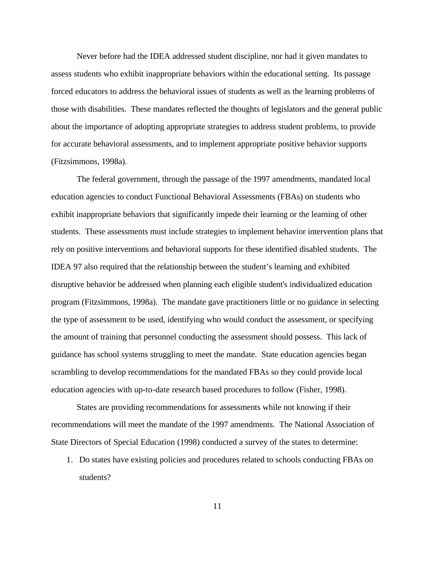Never before had the IDEA addressed student discipline, nor had it given mandates to assess students who exhibit inappropriate behaviors within the educational setting. Its passage forced educators to address the behavioral issues of students as well as the learning problems of those with disabilities. These mandates reflected the thoughts of legislators and the general public about the importance of adopting appropriate strategies to address student problems, to provide for accurate behavioral assessments, and to implement appropriate positive behavior supports (Fitzsimmons, 1998a).

The federal government, through the passage of the 1997 amendments, mandated local education agencies to conduct Functional Behavioral Assessments (FBAs) on students who exhibit inappropriate behaviors that significantly impede their learning or the learning of other students. These assessments must include strategies to implement behavior intervention plans that rely on positive interventions and behavioral supports for these identified disabled students. The IDEA 97 also required that the relationship between the student's learning and exhibited disruptive behavior be addressed when planning each eligible student's individualized education program (Fitzsimmons, 1998a). The mandate gave practitioners little or no guidance in selecting the type of assessment to be used, identifying who would conduct the assessment, or specifying the amount of training that personnel conducting the assessment should possess. This lack of guidance has school systems struggling to meet the mandate. State education agencies began scrambling to develop recommendations for the mandated FBAs so they could provide local education agencies with up-to-date research based procedures to follow (Fisher, 1998).

States are providing recommendations for assessments while not knowing if their recommendations will meet the mandate of the 1997 amendments. The National Association of State Directors of Special Education (1998) conducted a survey of the states to determine:

1. Do states have existing policies and procedures related to schools conducting FBAs on students?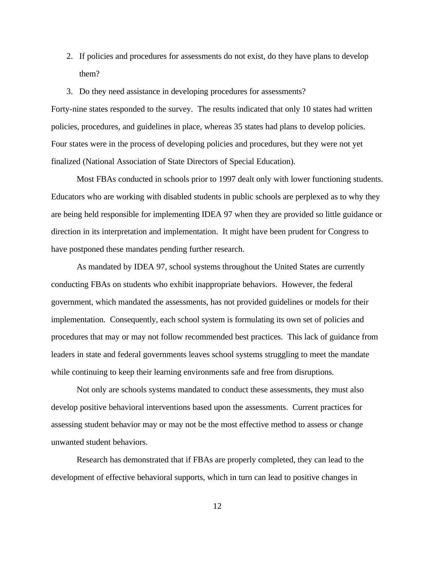- 2. If policies and procedures for assessments do not exist, do they have plans to develop them?
- 3. Do they need assistance in developing procedures for assessments?

Forty-nine states responded to the survey. The results indicated that only 10 states had written policies, procedures, and guidelines in place, whereas 35 states had plans to develop policies. Four states were in the process of developing policies and procedures, but they were not yet finalized (National Association of State Directors of Special Education).

Most FBAs conducted in schools prior to 1997 dealt only with lower functioning students. Educators who are working with disabled students in public schools are perplexed as to why they are being held responsible for implementing IDEA 97 when they are provided so little guidance or direction in its interpretation and implementation. It might have been prudent for Congress to have postponed these mandates pending further research.

As mandated by IDEA 97, school systems throughout the United States are currently conducting FBAs on students who exhibit inappropriate behaviors. However, the federal government, which mandated the assessments, has not provided guidelines or models for their implementation. Consequently, each school system is formulating its own set of policies and procedures that may or may not follow recommended best practices. This lack of guidance from leaders in state and federal governments leaves school systems struggling to meet the mandate while continuing to keep their learning environments safe and free from disruptions.

Not only are schools systems mandated to conduct these assessments, they must also develop positive behavioral interventions based upon the assessments. Current practices for assessing student behavior may or may not be the most effective method to assess or change unwanted student behaviors.

Research has demonstrated that if FBAs are properly completed, they can lead to the development of effective behavioral supports, which in turn can lead to positive changes in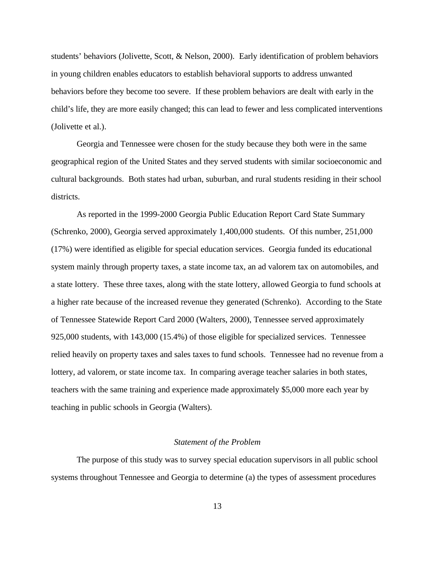students' behaviors (Jolivette, Scott, & Nelson, 2000). Early identification of problem behaviors in young children enables educators to establish behavioral supports to address unwanted behaviors before they become too severe. If these problem behaviors are dealt with early in the child's life, they are more easily changed; this can lead to fewer and less complicated interventions (Jolivette et al.).

Georgia and Tennessee were chosen for the study because they both were in the same geographical region of the United States and they served students with similar socioeconomic and cultural backgrounds. Both states had urban, suburban, and rural students residing in their school districts.

As reported in the 1999-2000 Georgia Public Education Report Card State Summary (Schrenko, 2000), Georgia served approximately 1,400,000 students. Of this number, 251,000 (17%) were identified as eligible for special education services. Georgia funded its educational system mainly through property taxes, a state income tax, an ad valorem tax on automobiles, and a state lottery. These three taxes, along with the state lottery, allowed Georgia to fund schools at a higher rate because of the increased revenue they generated (Schrenko). According to the State of Tennessee Statewide Report Card 2000 (Walters, 2000), Tennessee served approximately 925,000 students, with 143,000 (15.4%) of those eligible for specialized services. Tennessee relied heavily on property taxes and sales taxes to fund schools. Tennessee had no revenue from a lottery, ad valorem, or state income tax. In comparing average teacher salaries in both states, teachers with the same training and experience made approximately \$5,000 more each year by teaching in public schools in Georgia (Walters).

#### *Statement of the Problem*

The purpose of this study was to survey special education supervisors in all public school systems throughout Tennessee and Georgia to determine (a) the types of assessment procedures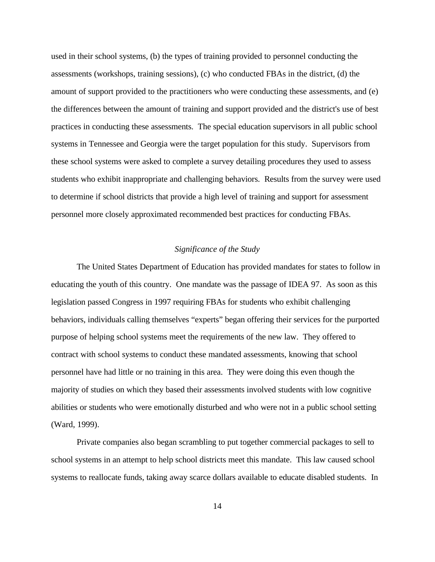used in their school systems, (b) the types of training provided to personnel conducting the assessments (workshops, training sessions), (c) who conducted FBAs in the district, (d) the amount of support provided to the practitioners who were conducting these assessments, and (e) the differences between the amount of training and support provided and the district's use of best practices in conducting these assessments. The special education supervisors in all public school systems in Tennessee and Georgia were the target population for this study. Supervisors from these school systems were asked to complete a survey detailing procedures they used to assess students who exhibit inappropriate and challenging behaviors. Results from the survey were used to determine if school districts that provide a high level of training and support for assessment personnel more closely approximated recommended best practices for conducting FBAs.

#### *Significance of the Study*

The United States Department of Education has provided mandates for states to follow in educating the youth of this country. One mandate was the passage of IDEA 97. As soon as this legislation passed Congress in 1997 requiring FBAs for students who exhibit challenging behaviors, individuals calling themselves "experts" began offering their services for the purported purpose of helping school systems meet the requirements of the new law. They offered to contract with school systems to conduct these mandated assessments, knowing that school personnel have had little or no training in this area. They were doing this even though the majority of studies on which they based their assessments involved students with low cognitive abilities or students who were emotionally disturbed and who were not in a public school setting (Ward, 1999).

Private companies also began scrambling to put together commercial packages to sell to school systems in an attempt to help school districts meet this mandate. This law caused school systems to reallocate funds, taking away scarce dollars available to educate disabled students. In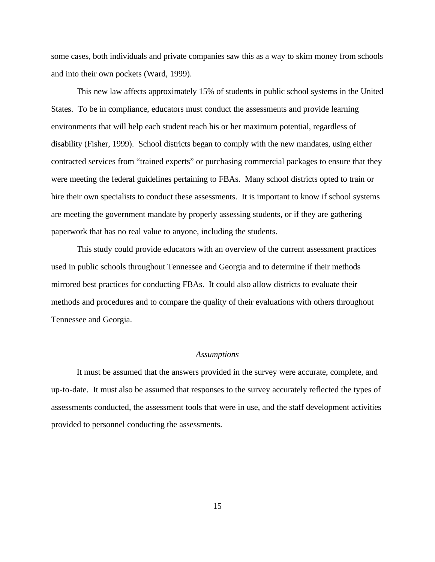some cases, both individuals and private companies saw this as a way to skim money from schools and into their own pockets (Ward, 1999).

This new law affects approximately 15% of students in public school systems in the United States. To be in compliance, educators must conduct the assessments and provide learning environments that will help each student reach his or her maximum potential, regardless of disability (Fisher, 1999). School districts began to comply with the new mandates, using either contracted services from "trained experts" or purchasing commercial packages to ensure that they were meeting the federal guidelines pertaining to FBAs. Many school districts opted to train or hire their own specialists to conduct these assessments. It is important to know if school systems are meeting the government mandate by properly assessing students, or if they are gathering paperwork that has no real value to anyone, including the students.

This study could provide educators with an overview of the current assessment practices used in public schools throughout Tennessee and Georgia and to determine if their methods mirrored best practices for conducting FBAs. It could also allow districts to evaluate their methods and procedures and to compare the quality of their evaluations with others throughout Tennessee and Georgia.

#### *Assumptions*

It must be assumed that the answers provided in the survey were accurate, complete, and up-to-date. It must also be assumed that responses to the survey accurately reflected the types of assessments conducted, the assessment tools that were in use, and the staff development activities provided to personnel conducting the assessments.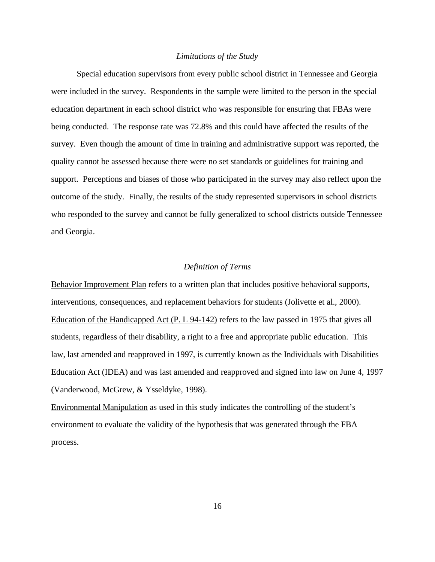#### *Limitations of the Study*

Special education supervisors from every public school district in Tennessee and Georgia were included in the survey. Respondents in the sample were limited to the person in the special education department in each school district who was responsible for ensuring that FBAs were being conducted. The response rate was 72.8% and this could have affected the results of the survey. Even though the amount of time in training and administrative support was reported, the quality cannot be assessed because there were no set standards or guidelines for training and support. Perceptions and biases of those who participated in the survey may also reflect upon the outcome of the study. Finally, the results of the study represented supervisors in school districts who responded to the survey and cannot be fully generalized to school districts outside Tennessee and Georgia.

#### *Definition of Terms*

Behavior Improvement Plan refers to a written plan that includes positive behavioral supports, interventions, consequences, and replacement behaviors for students (Jolivette et al., 2000). Education of the Handicapped Act (P. L 94-142) refers to the law passed in 1975 that gives all students, regardless of their disability, a right to a free and appropriate public education. This law, last amended and reapproved in 1997, is currently known as the Individuals with Disabilities Education Act (IDEA) and was last amended and reapproved and signed into law on June 4, 1997 (Vanderwood, McGrew, & Ysseldyke, 1998).

Environmental Manipulation as used in this study indicates the controlling of the student's environment to evaluate the validity of the hypothesis that was generated through the FBA process.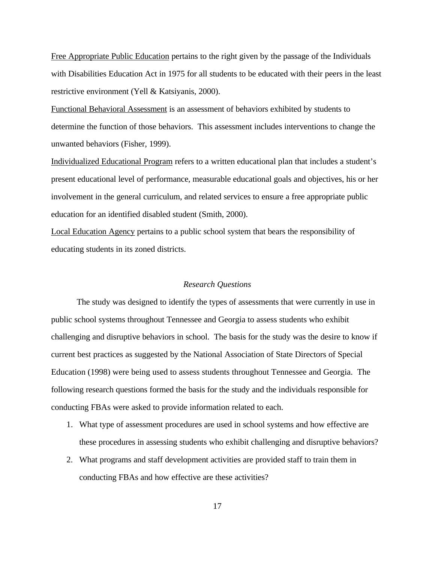Free Appropriate Public Education pertains to the right given by the passage of the Individuals with Disabilities Education Act in 1975 for all students to be educated with their peers in the least restrictive environment (Yell & Katsiyanis, 2000).

Functional Behavioral Assessment is an assessment of behaviors exhibited by students to determine the function of those behaviors. This assessment includes interventions to change the unwanted behaviors (Fisher, 1999).

Individualized Educational Program refers to a written educational plan that includes a student's present educational level of performance, measurable educational goals and objectives, his or her involvement in the general curriculum, and related services to ensure a free appropriate public education for an identified disabled student (Smith, 2000).

Local Education Agency pertains to a public school system that bears the responsibility of educating students in its zoned districts.

#### *Research Questions*

The study was designed to identify the types of assessments that were currently in use in public school systems throughout Tennessee and Georgia to assess students who exhibit challenging and disruptive behaviors in school. The basis for the study was the desire to know if current best practices as suggested by the National Association of State Directors of Special Education (1998) were being used to assess students throughout Tennessee and Georgia. The following research questions formed the basis for the study and the individuals responsible for conducting FBAs were asked to provide information related to each.

- 1. What type of assessment procedures are used in school systems and how effective are these procedures in assessing students who exhibit challenging and disruptive behaviors?
- 2. What programs and staff development activities are provided staff to train them in conducting FBAs and how effective are these activities?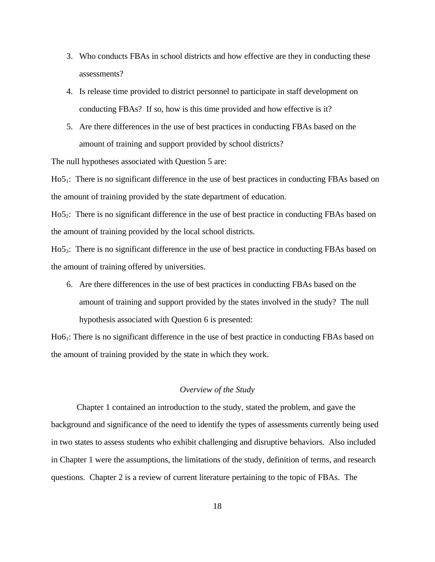- 3. Who conducts FBAs in school districts and how effective are they in conducting these assessments?
- 4. Is release time provided to district personnel to participate in staff development on conducting FBAs? If so, how is this time provided and how effective is it?
- 5. Are there differences in the use of best practices in conducting FBAs based on the amount of training and support provided by school districts?

The null hypotheses associated with Question 5 are:

Ho5<sub>1</sub>: There is no significant difference in the use of best practices in conducting FBAs based on the amount of training provided by the state department of education.

Ho5<sub>2</sub>: There is no significant difference in the use of best practice in conducting FBAs based on the amount of training provided by the local school districts.

Ho5<sub>3</sub>: There is no significant difference in the use of best practice in conducting FBAs based on the amount of training offered by universities.

6. Are there differences in the use of best practices in conducting FBAs based on the amount of training and support provided by the states involved in the study? The null hypothesis associated with Question 6 is presented:

Ho61: There is no significant difference in the use of best practice in conducting FBAs based on the amount of training provided by the state in which they work.

#### *Overview of the Study*

Chapter 1 contained an introduction to the study, stated the problem, and gave the background and significance of the need to identify the types of assessments currently being used in two states to assess students who exhibit challenging and disruptive behaviors. Also included in Chapter 1 were the assumptions, the limitations of the study, definition of terms, and research questions. Chapter 2 is a review of current literature pertaining to the topic of FBAs. The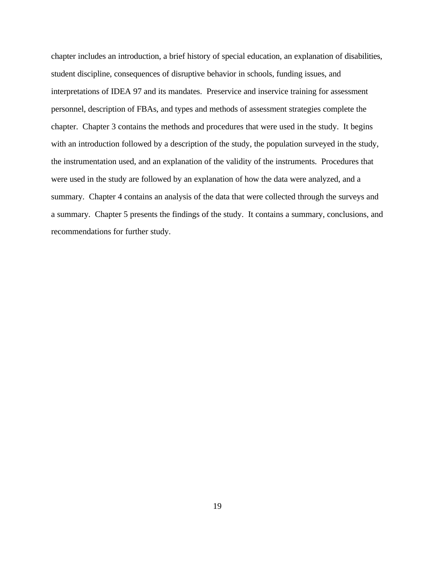chapter includes an introduction, a brief history of special education, an explanation of disabilities, student discipline, consequences of disruptive behavior in schools, funding issues, and interpretations of IDEA 97 and its mandates. Preservice and inservice training for assessment personnel, description of FBAs, and types and methods of assessment strategies complete the chapter. Chapter 3 contains the methods and procedures that were used in the study. It begins with an introduction followed by a description of the study, the population surveyed in the study, the instrumentation used, and an explanation of the validity of the instruments. Procedures that were used in the study are followed by an explanation of how the data were analyzed, and a summary. Chapter 4 contains an analysis of the data that were collected through the surveys and a summary. Chapter 5 presents the findings of the study. It contains a summary, conclusions, and recommendations for further study.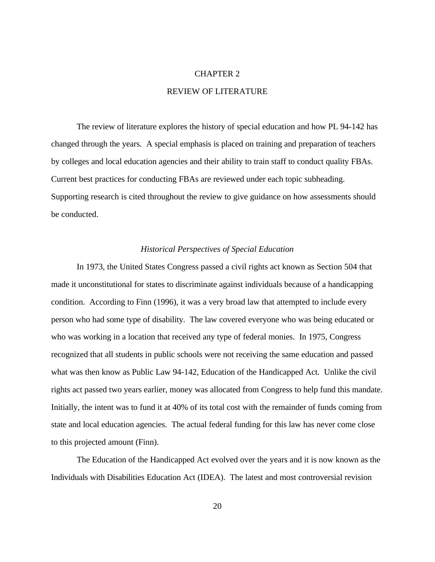#### CHAPTER 2

#### REVIEW OF LITERATURE

The review of literature explores the history of special education and how PL 94-142 has changed through the years. A special emphasis is placed on training and preparation of teachers by colleges and local education agencies and their ability to train staff to conduct quality FBAs. Current best practices for conducting FBAs are reviewed under each topic subheading. Supporting research is cited throughout the review to give guidance on how assessments should be conducted.

#### *Historical Perspectives of Special Education*

In 1973, the United States Congress passed a civil rights act known as Section 504 that made it unconstitutional for states to discriminate against individuals because of a handicapping condition. According to Finn (1996), it was a very broad law that attempted to include every person who had some type of disability. The law covered everyone who was being educated or who was working in a location that received any type of federal monies. In 1975, Congress recognized that all students in public schools were not receiving the same education and passed what was then know as Public Law 94-142, Education of the Handicapped Act. Unlike the civil rights act passed two years earlier, money was allocated from Congress to help fund this mandate. Initially, the intent was to fund it at 40% of its total cost with the remainder of funds coming from state and local education agencies. The actual federal funding for this law has never come close to this projected amount (Finn).

The Education of the Handicapped Act evolved over the years and it is now known as the Individuals with Disabilities Education Act (IDEA). The latest and most controversial revision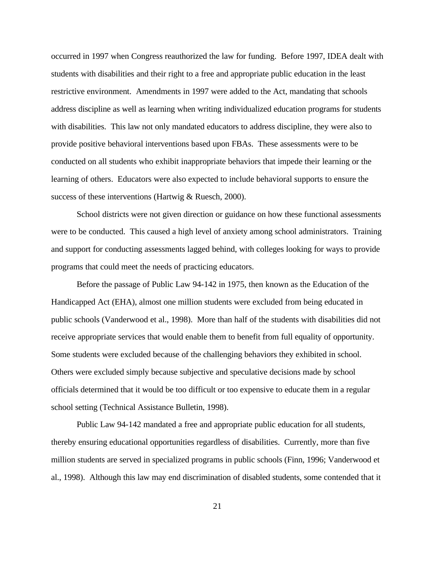occurred in 1997 when Congress reauthorized the law for funding. Before 1997, IDEA dealt with students with disabilities and their right to a free and appropriate public education in the least restrictive environment. Amendments in 1997 were added to the Act, mandating that schools address discipline as well as learning when writing individualized education programs for students with disabilities. This law not only mandated educators to address discipline, they were also to provide positive behavioral interventions based upon FBAs. These assessments were to be conducted on all students who exhibit inappropriate behaviors that impede their learning or the learning of others. Educators were also expected to include behavioral supports to ensure the success of these interventions (Hartwig & Ruesch, 2000).

School districts were not given direction or guidance on how these functional assessments were to be conducted. This caused a high level of anxiety among school administrators. Training and support for conducting assessments lagged behind, with colleges looking for ways to provide programs that could meet the needs of practicing educators.

Before the passage of Public Law 94-142 in 1975, then known as the Education of the Handicapped Act (EHA), almost one million students were excluded from being educated in public schools (Vanderwood et al., 1998). More than half of the students with disabilities did not receive appropriate services that would enable them to benefit from full equality of opportunity. Some students were excluded because of the challenging behaviors they exhibited in school. Others were excluded simply because subjective and speculative decisions made by school officials determined that it would be too difficult or too expensive to educate them in a regular school setting (Technical Assistance Bulletin, 1998).

Public Law 94-142 mandated a free and appropriate public education for all students, thereby ensuring educational opportunities regardless of disabilities. Currently, more than five million students are served in specialized programs in public schools (Finn, 1996; Vanderwood et al., 1998). Although this law may end discrimination of disabled students, some contended that it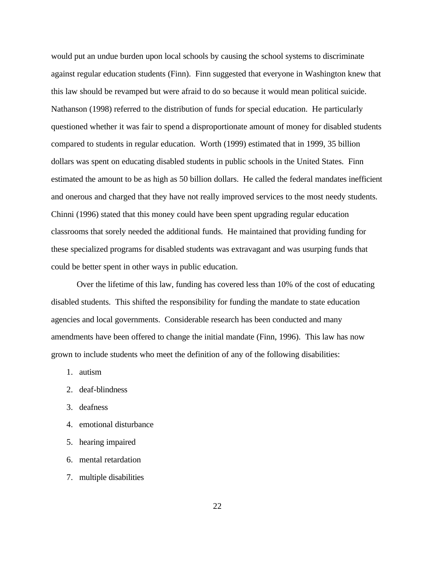would put an undue burden upon local schools by causing the school systems to discriminate against regular education students (Finn). Finn suggested that everyone in Washington knew that this law should be revamped but were afraid to do so because it would mean political suicide. Nathanson (1998) referred to the distribution of funds for special education. He particularly questioned whether it was fair to spend a disproportionate amount of money for disabled students compared to students in regular education. Worth (1999) estimated that in 1999, 35 billion dollars was spent on educating disabled students in public schools in the United States. Finn estimated the amount to be as high as 50 billion dollars. He called the federal mandates inefficient and onerous and charged that they have not really improved services to the most needy students. Chinni (1996) stated that this money could have been spent upgrading regular education classrooms that sorely needed the additional funds. He maintained that providing funding for these specialized programs for disabled students was extravagant and was usurping funds that could be better spent in other ways in public education.

Over the lifetime of this law, funding has covered less than 10% of the cost of educating disabled students. This shifted the responsibility for funding the mandate to state education agencies and local governments. Considerable research has been conducted and many amendments have been offered to change the initial mandate (Finn, 1996). This law has now grown to include students who meet the definition of any of the following disabilities:

- 1. autism
- 2. deaf-blindness
- 3. deafness
- 4. emotional disturbance
- 5. hearing impaired
- 6. mental retardation
- 7. multiple disabilities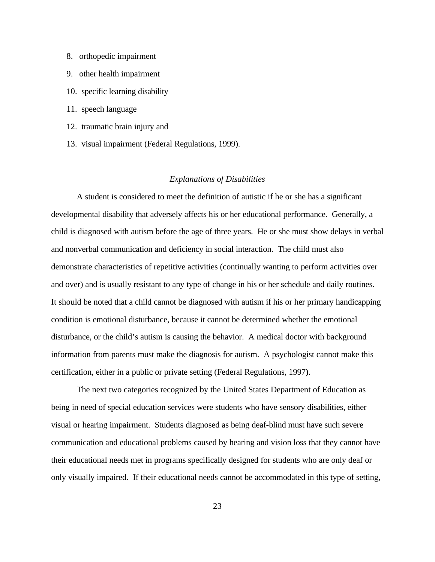- 8. orthopedic impairment
- 9. other health impairment
- 10. specific learning disability
- 11. speech language
- 12. traumatic brain injury and
- 13. visual impairment (Federal Regulations, 1999).

#### *Explanations of Disabilities*

A student is considered to meet the definition of autistic if he or she has a significant developmental disability that adversely affects his or her educational performance. Generally, a child is diagnosed with autism before the age of three years. He or she must show delays in verbal and nonverbal communication and deficiency in social interaction. The child must also demonstrate characteristics of repetitive activities (continually wanting to perform activities over and over) and is usually resistant to any type of change in his or her schedule and daily routines. It should be noted that a child cannot be diagnosed with autism if his or her primary handicapping condition is emotional disturbance, because it cannot be determined whether the emotional disturbance, or the child's autism is causing the behavior. A medical doctor with background information from parents must make the diagnosis for autism. A psychologist cannot make this certification, either in a public or private setting (Federal Regulations, 1997**)**.

The next two categories recognized by the United States Department of Education as being in need of special education services were students who have sensory disabilities, either visual or hearing impairment. Students diagnosed as being deaf-blind must have such severe communication and educational problems caused by hearing and vision loss that they cannot have their educational needs met in programs specifically designed for students who are only deaf or only visually impaired. If their educational needs cannot be accommodated in this type of setting,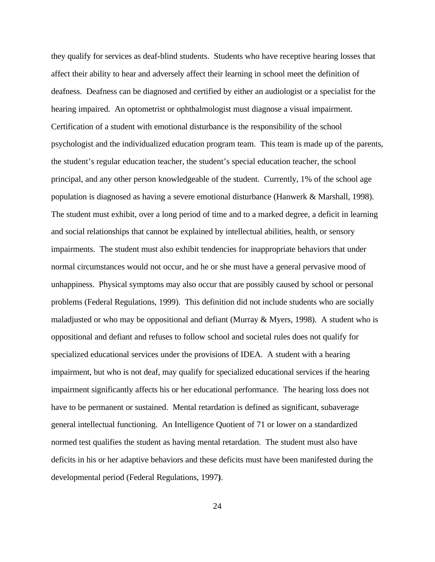they qualify for services as deaf-blind students. Students who have receptive hearing losses that affect their ability to hear and adversely affect their learning in school meet the definition of deafness. Deafness can be diagnosed and certified by either an audiologist or a specialist for the hearing impaired. An optometrist or ophthalmologist must diagnose a visual impairment. Certification of a student with emotional disturbance is the responsibility of the school psychologist and the individualized education program team. This team is made up of the parents, the student's regular education teacher, the student's special education teacher, the school principal, and any other person knowledgeable of the student. Currently, 1% of the school age population is diagnosed as having a severe emotional disturbance (Hanwerk & Marshall, 1998). The student must exhibit, over a long period of time and to a marked degree, a deficit in learning and social relationships that cannot be explained by intellectual abilities, health, or sensory impairments. The student must also exhibit tendencies for inappropriate behaviors that under normal circumstances would not occur, and he or she must have a general pervasive mood of unhappiness. Physical symptoms may also occur that are possibly caused by school or personal problems (Federal Regulations, 1999). This definition did not include students who are socially maladjusted or who may be oppositional and defiant (Murray & Myers, 1998). A student who is oppositional and defiant and refuses to follow school and societal rules does not qualify for specialized educational services under the provisions of IDEA. A student with a hearing impairment, but who is not deaf, may qualify for specialized educational services if the hearing impairment significantly affects his or her educational performance. The hearing loss does not have to be permanent or sustained. Mental retardation is defined as significant, subaverage general intellectual functioning. An Intelligence Quotient of 71 or lower on a standardized normed test qualifies the student as having mental retardation. The student must also have deficits in his or her adaptive behaviors and these deficits must have been manifested during the developmental period (Federal Regulations, 1997**)**.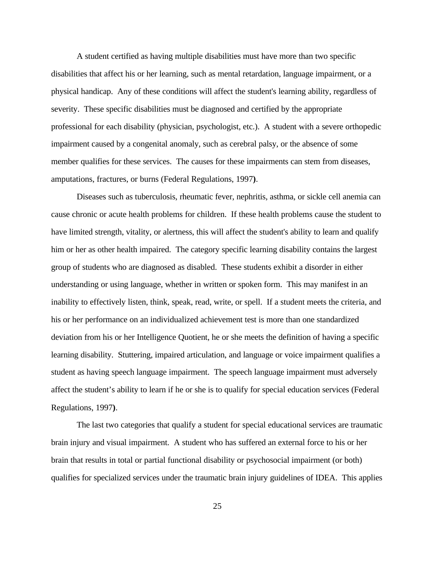A student certified as having multiple disabilities must have more than two specific disabilities that affect his or her learning, such as mental retardation, language impairment, or a physical handicap. Any of these conditions will affect the student's learning ability, regardless of severity. These specific disabilities must be diagnosed and certified by the appropriate professional for each disability (physician, psychologist, etc.). A student with a severe orthopedic impairment caused by a congenital anomaly, such as cerebral palsy, or the absence of some member qualifies for these services. The causes for these impairments can stem from diseases, amputations, fractures, or burns (Federal Regulations, 1997**)**.

Diseases such as tuberculosis, rheumatic fever, nephritis, asthma, or sickle cell anemia can cause chronic or acute health problems for children. If these health problems cause the student to have limited strength, vitality, or alertness, this will affect the student's ability to learn and qualify him or her as other health impaired. The category specific learning disability contains the largest group of students who are diagnosed as disabled. These students exhibit a disorder in either understanding or using language, whether in written or spoken form. This may manifest in an inability to effectively listen, think, speak, read, write, or spell. If a student meets the criteria, and his or her performance on an individualized achievement test is more than one standardized deviation from his or her Intelligence Quotient, he or she meets the definition of having a specific learning disability. Stuttering, impaired articulation, and language or voice impairment qualifies a student as having speech language impairment. The speech language impairment must adversely affect the student's ability to learn if he or she is to qualify for special education services (Federal Regulations, 1997**)**.

The last two categories that qualify a student for special educational services are traumatic brain injury and visual impairment. A student who has suffered an external force to his or her brain that results in total or partial functional disability or psychosocial impairment (or both) qualifies for specialized services under the traumatic brain injury guidelines of IDEA. This applies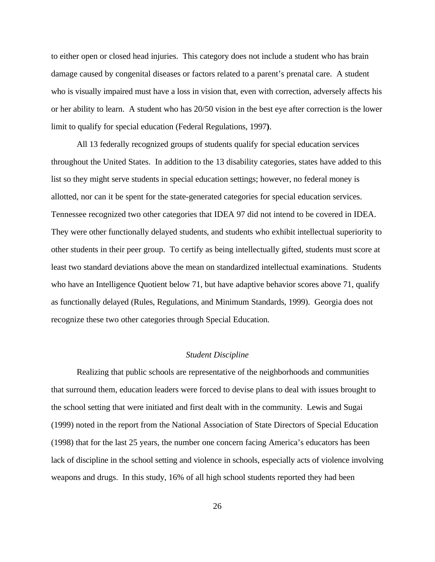to either open or closed head injuries. This category does not include a student who has brain damage caused by congenital diseases or factors related to a parent's prenatal care. A student who is visually impaired must have a loss in vision that, even with correction, adversely affects his or her ability to learn. A student who has 20/50 vision in the best eye after correction is the lower limit to qualify for special education (Federal Regulations, 1997**)**.

All 13 federally recognized groups of students qualify for special education services throughout the United States. In addition to the 13 disability categories, states have added to this list so they might serve students in special education settings; however, no federal money is allotted, nor can it be spent for the state-generated categories for special education services. Tennessee recognized two other categories that IDEA 97 did not intend to be covered in IDEA. They were other functionally delayed students, and students who exhibit intellectual superiority to other students in their peer group. To certify as being intellectually gifted, students must score at least two standard deviations above the mean on standardized intellectual examinations. Students who have an Intelligence Quotient below 71, but have adaptive behavior scores above 71, qualify as functionally delayed (Rules, Regulations, and Minimum Standards, 1999). Georgia does not recognize these two other categories through Special Education.

#### *Student Discipline*

Realizing that public schools are representative of the neighborhoods and communities that surround them, education leaders were forced to devise plans to deal with issues brought to the school setting that were initiated and first dealt with in the community. Lewis and Sugai (1999) noted in the report from the National Association of State Directors of Special Education (1998) that for the last 25 years, the number one concern facing America's educators has been lack of discipline in the school setting and violence in schools, especially acts of violence involving weapons and drugs. In this study, 16% of all high school students reported they had been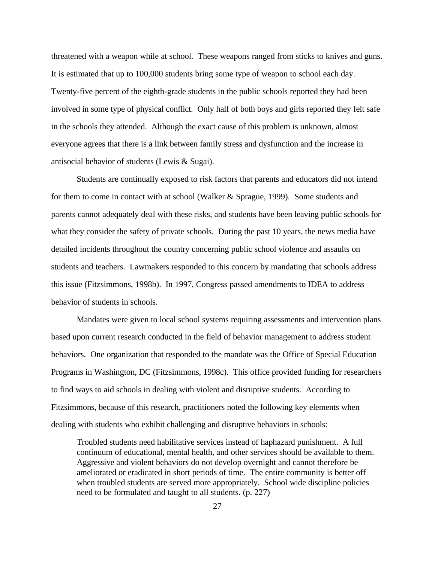threatened with a weapon while at school. These weapons ranged from sticks to knives and guns. It is estimated that up to 100,000 students bring some type of weapon to school each day. Twenty-five percent of the eighth-grade students in the public schools reported they had been involved in some type of physical conflict. Only half of both boys and girls reported they felt safe in the schools they attended. Although the exact cause of this problem is unknown, almost everyone agrees that there is a link between family stress and dysfunction and the increase in antisocial behavior of students (Lewis & Sugai).

Students are continually exposed to risk factors that parents and educators did not intend for them to come in contact with at school (Walker & Sprague, 1999). Some students and parents cannot adequately deal with these risks, and students have been leaving public schools for what they consider the safety of private schools. During the past 10 years, the news media have detailed incidents throughout the country concerning public school violence and assaults on students and teachers. Lawmakers responded to this concern by mandating that schools address this issue (Fitzsimmons, 1998b). In 1997, Congress passed amendments to IDEA to address behavior of students in schools.

Mandates were given to local school systems requiring assessments and intervention plans based upon current research conducted in the field of behavior management to address student behaviors. One organization that responded to the mandate was the Office of Special Education Programs in Washington, DC (Fitzsimmons, 1998c). This office provided funding for researchers to find ways to aid schools in dealing with violent and disruptive students. According to Fitzsimmons, because of this research, practitioners noted the following key elements when dealing with students who exhibit challenging and disruptive behaviors in schools:

Troubled students need habilitative services instead of haphazard punishment. A full continuum of educational, mental health, and other services should be available to them. Aggressive and violent behaviors do not develop overnight and cannot therefore be ameliorated or eradicated in short periods of time. The entire community is better off when troubled students are served more appropriately. School wide discipline policies need to be formulated and taught to all students. (p. 227)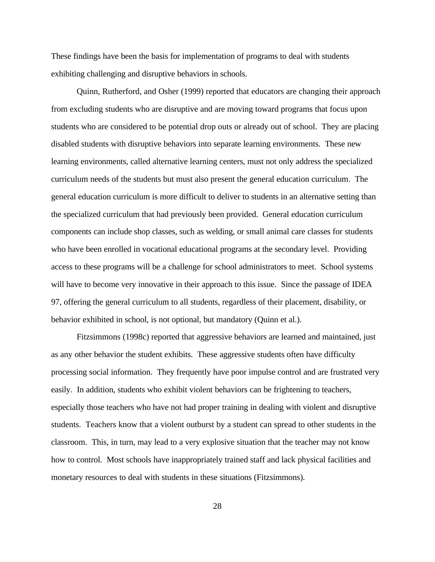These findings have been the basis for implementation of programs to deal with students exhibiting challenging and disruptive behaviors in schools.

Quinn, Rutherford, and Osher (1999) reported that educators are changing their approach from excluding students who are disruptive and are moving toward programs that focus upon students who are considered to be potential drop outs or already out of school. They are placing disabled students with disruptive behaviors into separate learning environments. These new learning environments, called alternative learning centers, must not only address the specialized curriculum needs of the students but must also present the general education curriculum. The general education curriculum is more difficult to deliver to students in an alternative setting than the specialized curriculum that had previously been provided. General education curriculum components can include shop classes, such as welding, or small animal care classes for students who have been enrolled in vocational educational programs at the secondary level. Providing access to these programs will be a challenge for school administrators to meet. School systems will have to become very innovative in their approach to this issue. Since the passage of IDEA 97, offering the general curriculum to all students, regardless of their placement, disability, or behavior exhibited in school, is not optional, but mandatory (Quinn et al.).

Fitzsimmons (1998c) reported that aggressive behaviors are learned and maintained, just as any other behavior the student exhibits. These aggressive students often have difficulty processing social information. They frequently have poor impulse control and are frustrated very easily. In addition, students who exhibit violent behaviors can be frightening to teachers, especially those teachers who have not had proper training in dealing with violent and disruptive students. Teachers know that a violent outburst by a student can spread to other students in the classroom. This, in turn, may lead to a very explosive situation that the teacher may not know how to control. Most schools have inappropriately trained staff and lack physical facilities and monetary resources to deal with students in these situations (Fitzsimmons).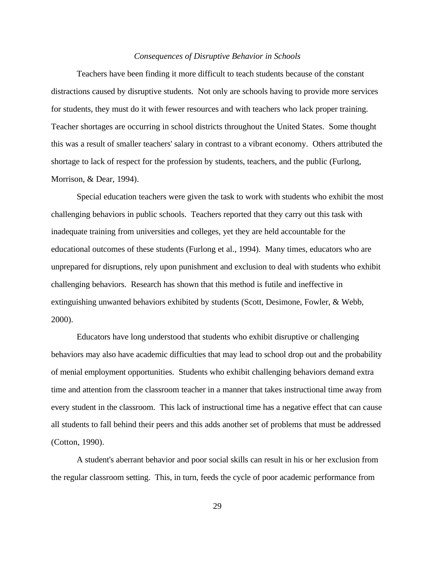#### *Consequences of Disruptive Behavior in Schools*

Teachers have been finding it more difficult to teach students because of the constant distractions caused by disruptive students. Not only are schools having to provide more services for students, they must do it with fewer resources and with teachers who lack proper training. Teacher shortages are occurring in school districts throughout the United States. Some thought this was a result of smaller teachers' salary in contrast to a vibrant economy. Others attributed the shortage to lack of respect for the profession by students, teachers, and the public (Furlong, Morrison, & Dear, 1994).

Special education teachers were given the task to work with students who exhibit the most challenging behaviors in public schools. Teachers reported that they carry out this task with inadequate training from universities and colleges, yet they are held accountable for the educational outcomes of these students (Furlong et al., 1994). Many times, educators who are unprepared for disruptions, rely upon punishment and exclusion to deal with students who exhibit challenging behaviors. Research has shown that this method is futile and ineffective in extinguishing unwanted behaviors exhibited by students (Scott, Desimone, Fowler, & Webb, 2000).

Educators have long understood that students who exhibit disruptive or challenging behaviors may also have academic difficulties that may lead to school drop out and the probability of menial employment opportunities. Students who exhibit challenging behaviors demand extra time and attention from the classroom teacher in a manner that takes instructional time away from every student in the classroom. This lack of instructional time has a negative effect that can cause all students to fall behind their peers and this adds another set of problems that must be addressed (Cotton, 1990).

A student's aberrant behavior and poor social skills can result in his or her exclusion from the regular classroom setting. This, in turn, feeds the cycle of poor academic performance from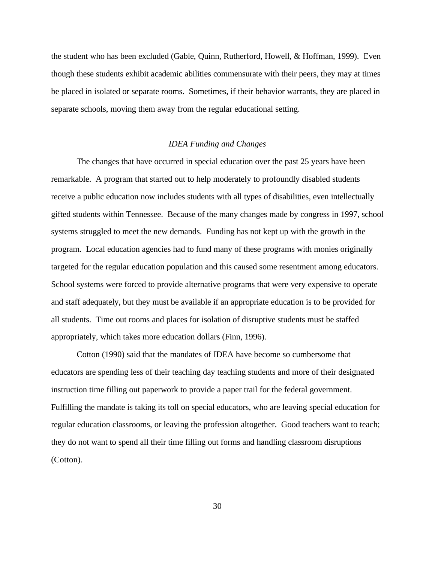the student who has been excluded (Gable, Quinn, Rutherford, Howell, & Hoffman, 1999). Even though these students exhibit academic abilities commensurate with their peers, they may at times be placed in isolated or separate rooms. Sometimes, if their behavior warrants, they are placed in separate schools, moving them away from the regular educational setting.

#### *IDEA Funding and Changes*

The changes that have occurred in special education over the past 25 years have been remarkable. A program that started out to help moderately to profoundly disabled students receive a public education now includes students with all types of disabilities, even intellectually gifted students within Tennessee. Because of the many changes made by congress in 1997, school systems struggled to meet the new demands. Funding has not kept up with the growth in the program. Local education agencies had to fund many of these programs with monies originally targeted for the regular education population and this caused some resentment among educators. School systems were forced to provide alternative programs that were very expensive to operate and staff adequately, but they must be available if an appropriate education is to be provided for all students. Time out rooms and places for isolation of disruptive students must be staffed appropriately, which takes more education dollars (Finn, 1996).

Cotton (1990) said that the mandates of IDEA have become so cumbersome that educators are spending less of their teaching day teaching students and more of their designated instruction time filling out paperwork to provide a paper trail for the federal government. Fulfilling the mandate is taking its toll on special educators, who are leaving special education for regular education classrooms, or leaving the profession altogether. Good teachers want to teach; they do not want to spend all their time filling out forms and handling classroom disruptions (Cotton).

30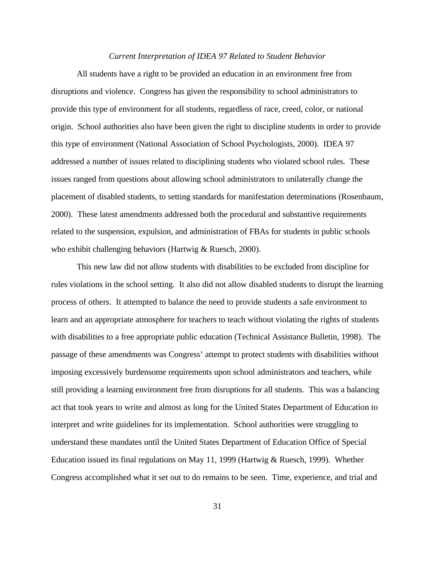#### *Current Interpretation of IDEA 97 Related to Student Behavior*

All students have a right to be provided an education in an environment free from disruptions and violence. Congress has given the responsibility to school administrators to provide this type of environment for all students, regardless of race, creed, color, or national origin. School authorities also have been given the right to discipline students in order to provide this type of environment (National Association of School Psychologists, 2000). IDEA 97 addressed a number of issues related to disciplining students who violated school rules. These issues ranged from questions about allowing school administrators to unilaterally change the placement of disabled students, to setting standards for manifestation determinations (Rosenbaum, 2000). These latest amendments addressed both the procedural and substantive requirements related to the suspension, expulsion, and administration of FBAs for students in public schools who exhibit challenging behaviors (Hartwig & Ruesch, 2000).

This new law did not allow students with disabilities to be excluded from discipline for rules violations in the school setting. It also did not allow disabled students to disrupt the learning process of others. It attempted to balance the need to provide students a safe environment to learn and an appropriate atmosphere for teachers to teach without violating the rights of students with disabilities to a free appropriate public education (Technical Assistance Bulletin, 1998). The passage of these amendments was Congress' attempt to protect students with disabilities without imposing excessively burdensome requirements upon school administrators and teachers, while still providing a learning environment free from disruptions for all students. This was a balancing act that took years to write and almost as long for the United States Department of Education to interpret and write guidelines for its implementation. School authorities were struggling to understand these mandates until the United States Department of Education Office of Special Education issued its final regulations on May 11, 1999 (Hartwig & Ruesch, 1999). Whether Congress accomplished what it set out to do remains to be seen. Time, experience, and trial and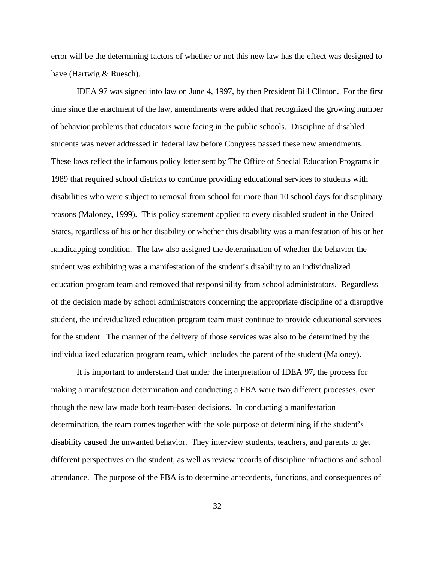error will be the determining factors of whether or not this new law has the effect was designed to have (Hartwig & Ruesch).

IDEA 97 was signed into law on June 4, 1997, by then President Bill Clinton. For the first time since the enactment of the law, amendments were added that recognized the growing number of behavior problems that educators were facing in the public schools. Discipline of disabled students was never addressed in federal law before Congress passed these new amendments. These laws reflect the infamous policy letter sent by The Office of Special Education Programs in 1989 that required school districts to continue providing educational services to students with disabilities who were subject to removal from school for more than 10 school days for disciplinary reasons (Maloney, 1999). This policy statement applied to every disabled student in the United States, regardless of his or her disability or whether this disability was a manifestation of his or her handicapping condition. The law also assigned the determination of whether the behavior the student was exhibiting was a manifestation of the student's disability to an individualized education program team and removed that responsibility from school administrators. Regardless of the decision made by school administrators concerning the appropriate discipline of a disruptive student, the individualized education program team must continue to provide educational services for the student. The manner of the delivery of those services was also to be determined by the individualized education program team, which includes the parent of the student (Maloney).

It is important to understand that under the interpretation of IDEA 97, the process for making a manifestation determination and conducting a FBA were two different processes, even though the new law made both team-based decisions. In conducting a manifestation determination, the team comes together with the sole purpose of determining if the student's disability caused the unwanted behavior. They interview students, teachers, and parents to get different perspectives on the student, as well as review records of discipline infractions and school attendance. The purpose of the FBA is to determine antecedents, functions, and consequences of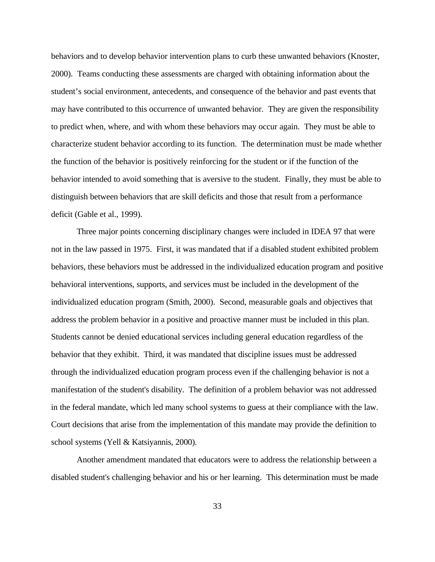behaviors and to develop behavior intervention plans to curb these unwanted behaviors (Knoster, 2000). Teams conducting these assessments are charged with obtaining information about the student's social environment, antecedents, and consequence of the behavior and past events that may have contributed to this occurrence of unwanted behavior. They are given the responsibility to predict when, where, and with whom these behaviors may occur again. They must be able to characterize student behavior according to its function. The determination must be made whether the function of the behavior is positively reinforcing for the student or if the function of the behavior intended to avoid something that is aversive to the student. Finally, they must be able to distinguish between behaviors that are skill deficits and those that result from a performance deficit (Gable et al., 1999).

Three major points concerning disciplinary changes were included in IDEA 97 that were not in the law passed in 1975. First, it was mandated that if a disabled student exhibited problem behaviors, these behaviors must be addressed in the individualized education program and positive behavioral interventions, supports, and services must be included in the development of the individualized education program (Smith, 2000). Second, measurable goals and objectives that address the problem behavior in a positive and proactive manner must be included in this plan. Students cannot be denied educational services including general education regardless of the behavior that they exhibit. Third, it was mandated that discipline issues must be addressed through the individualized education program process even if the challenging behavior is not a manifestation of the student's disability. The definition of a problem behavior was not addressed in the federal mandate, which led many school systems to guess at their compliance with the law. Court decisions that arise from the implementation of this mandate may provide the definition to school systems (Yell & Katsiyannis, 2000).

Another amendment mandated that educators were to address the relationship between a disabled student's challenging behavior and his or her learning. This determination must be made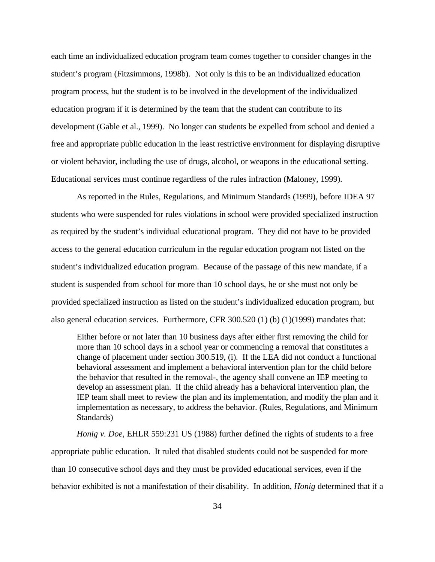each time an individualized education program team comes together to consider changes in the student's program (Fitzsimmons, 1998b). Not only is this to be an individualized education program process, but the student is to be involved in the development of the individualized education program if it is determined by the team that the student can contribute to its development (Gable et al., 1999). No longer can students be expelled from school and denied a free and appropriate public education in the least restrictive environment for displaying disruptive or violent behavior, including the use of drugs, alcohol, or weapons in the educational setting. Educational services must continue regardless of the rules infraction (Maloney, 1999).

As reported in the Rules, Regulations, and Minimum Standards (1999), before IDEA 97 students who were suspended for rules violations in school were provided specialized instruction as required by the student's individual educational program. They did not have to be provided access to the general education curriculum in the regular education program not listed on the student's individualized education program. Because of the passage of this new mandate, if a student is suspended from school for more than 10 school days, he or she must not only be provided specialized instruction as listed on the student's individualized education program, but also general education services. Furthermore, CFR 300.520 (1) (b) (1)(1999) mandates that:

Either before or not later than 10 business days after either first removing the child for more than 10 school days in a school year or commencing a removal that constitutes a change of placement under section 300.519, (i). If the LEA did not conduct a functional behavioral assessment and implement a behavioral intervention plan for the child before the behavior that resulted in the removal-, the agency shall convene an IEP meeting to develop an assessment plan. If the child already has a behavioral intervention plan, the IEP team shall meet to review the plan and its implementation, and modify the plan and it implementation as necessary, to address the behavior. (Rules, Regulations, and Minimum Standards)

*Honig v. Doe*, EHLR 559:231 US (1988) further defined the rights of students to a free appropriate public education. It ruled that disabled students could not be suspended for more than 10 consecutive school days and they must be provided educational services, even if the behavior exhibited is not a manifestation of their disability. In addition, *Honig* determined that if a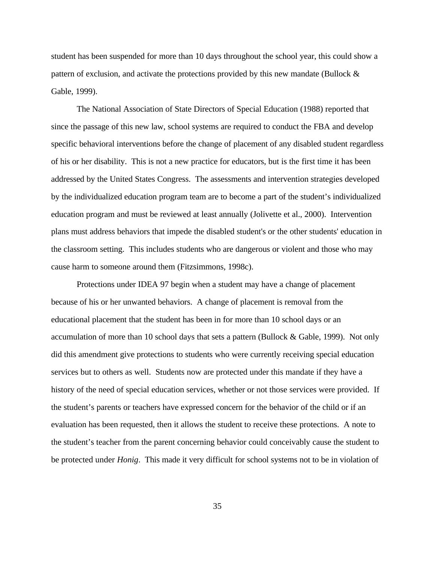student has been suspended for more than 10 days throughout the school year, this could show a pattern of exclusion, and activate the protections provided by this new mandate (Bullock & Gable, 1999).

The National Association of State Directors of Special Education (1988) reported that since the passage of this new law, school systems are required to conduct the FBA and develop specific behavioral interventions before the change of placement of any disabled student regardless of his or her disability. This is not a new practice for educators, but is the first time it has been addressed by the United States Congress. The assessments and intervention strategies developed by the individualized education program team are to become a part of the student's individualized education program and must be reviewed at least annually (Jolivette et al., 2000). Intervention plans must address behaviors that impede the disabled student's or the other students' education in the classroom setting. This includes students who are dangerous or violent and those who may cause harm to someone around them (Fitzsimmons, 1998c).

Protections under IDEA 97 begin when a student may have a change of placement because of his or her unwanted behaviors. A change of placement is removal from the educational placement that the student has been in for more than 10 school days or an accumulation of more than 10 school days that sets a pattern (Bullock & Gable, 1999). Not only did this amendment give protections to students who were currently receiving special education services but to others as well. Students now are protected under this mandate if they have a history of the need of special education services, whether or not those services were provided. If the student's parents or teachers have expressed concern for the behavior of the child or if an evaluation has been requested, then it allows the student to receive these protections. A note to the student's teacher from the parent concerning behavior could conceivably cause the student to be protected under *Honig*. This made it very difficult for school systems not to be in violation of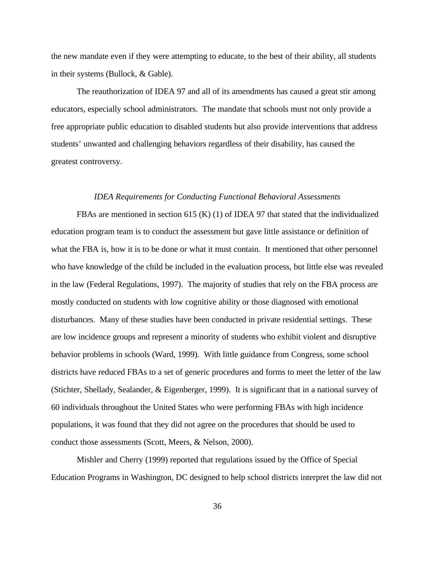the new mandate even if they were attempting to educate, to the best of their ability, all students in their systems (Bullock, & Gable).

The reauthorization of IDEA 97 and all of its amendments has caused a great stir among educators, especially school administrators. The mandate that schools must not only provide a free appropriate public education to disabled students but also provide interventions that address students' unwanted and challenging behaviors regardless of their disability, has caused the greatest controversy.

#### *IDEA Requirements for Conducting Functional Behavioral Assessments*

FBAs are mentioned in section 615 (K) (1) of IDEA 97 that stated that the individualized education program team is to conduct the assessment but gave little assistance or definition of what the FBA is, how it is to be done or what it must contain. It mentioned that other personnel who have knowledge of the child be included in the evaluation process, but little else was revealed in the law (Federal Regulations, 1997). The majority of studies that rely on the FBA process are mostly conducted on students with low cognitive ability or those diagnosed with emotional disturbances. Many of these studies have been conducted in private residential settings. These are low incidence groups and represent a minority of students who exhibit violent and disruptive behavior problems in schools (Ward, 1999). With little guidance from Congress, some school districts have reduced FBAs to a set of generic procedures and forms to meet the letter of the law (Stichter, Shellady, Sealander, & Eigenberger, 1999). It is significant that in a national survey of 60 individuals throughout the United States who were performing FBAs with high incidence populations, it was found that they did not agree on the procedures that should be used to conduct those assessments (Scott, Meers, & Nelson, 2000).

Mishler and Cherry (1999) reported that regulations issued by the Office of Special Education Programs in Washington, DC designed to help school districts interpret the law did not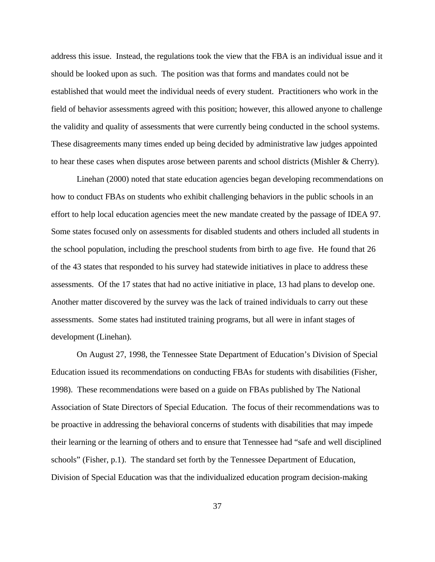address this issue. Instead, the regulations took the view that the FBA is an individual issue and it should be looked upon as such. The position was that forms and mandates could not be established that would meet the individual needs of every student. Practitioners who work in the field of behavior assessments agreed with this position; however, this allowed anyone to challenge the validity and quality of assessments that were currently being conducted in the school systems. These disagreements many times ended up being decided by administrative law judges appointed to hear these cases when disputes arose between parents and school districts (Mishler & Cherry).

Linehan (2000) noted that state education agencies began developing recommendations on how to conduct FBAs on students who exhibit challenging behaviors in the public schools in an effort to help local education agencies meet the new mandate created by the passage of IDEA 97. Some states focused only on assessments for disabled students and others included all students in the school population, including the preschool students from birth to age five. He found that 26 of the 43 states that responded to his survey had statewide initiatives in place to address these assessments. Of the 17 states that had no active initiative in place, 13 had plans to develop one. Another matter discovered by the survey was the lack of trained individuals to carry out these assessments. Some states had instituted training programs, but all were in infant stages of development (Linehan).

On August 27, 1998, the Tennessee State Department of Education's Division of Special Education issued its recommendations on conducting FBAs for students with disabilities (Fisher, 1998). These recommendations were based on a guide on FBAs published by The National Association of State Directors of Special Education. The focus of their recommendations was to be proactive in addressing the behavioral concerns of students with disabilities that may impede their learning or the learning of others and to ensure that Tennessee had "safe and well disciplined schools" (Fisher, p.1). The standard set forth by the Tennessee Department of Education, Division of Special Education was that the individualized education program decision-making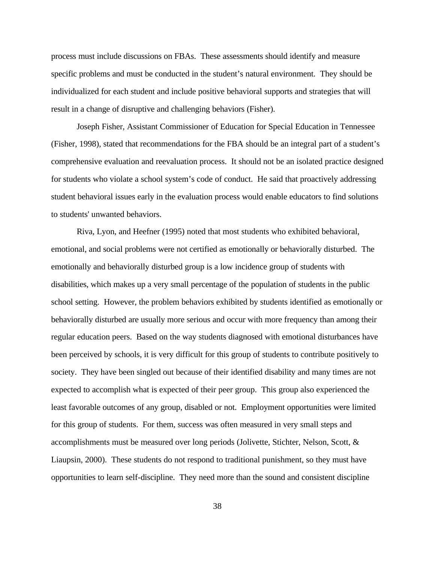process must include discussions on FBAs. These assessments should identify and measure specific problems and must be conducted in the student's natural environment. They should be individualized for each student and include positive behavioral supports and strategies that will result in a change of disruptive and challenging behaviors (Fisher).

Joseph Fisher, Assistant Commissioner of Education for Special Education in Tennessee (Fisher, 1998), stated that recommendations for the FBA should be an integral part of a student's comprehensive evaluation and reevaluation process. It should not be an isolated practice designed for students who violate a school system's code of conduct. He said that proactively addressing student behavioral issues early in the evaluation process would enable educators to find solutions to students' unwanted behaviors.

Riva, Lyon, and Heefner (1995) noted that most students who exhibited behavioral, emotional, and social problems were not certified as emotionally or behaviorally disturbed. The emotionally and behaviorally disturbed group is a low incidence group of students with disabilities, which makes up a very small percentage of the population of students in the public school setting. However, the problem behaviors exhibited by students identified as emotionally or behaviorally disturbed are usually more serious and occur with more frequency than among their regular education peers. Based on the way students diagnosed with emotional disturbances have been perceived by schools, it is very difficult for this group of students to contribute positively to society. They have been singled out because of their identified disability and many times are not expected to accomplish what is expected of their peer group. This group also experienced the least favorable outcomes of any group, disabled or not. Employment opportunities were limited for this group of students. For them, success was often measured in very small steps and accomplishments must be measured over long periods (Jolivette, Stichter, Nelson, Scott, & Liaupsin, 2000). These students do not respond to traditional punishment, so they must have opportunities to learn self-discipline. They need more than the sound and consistent discipline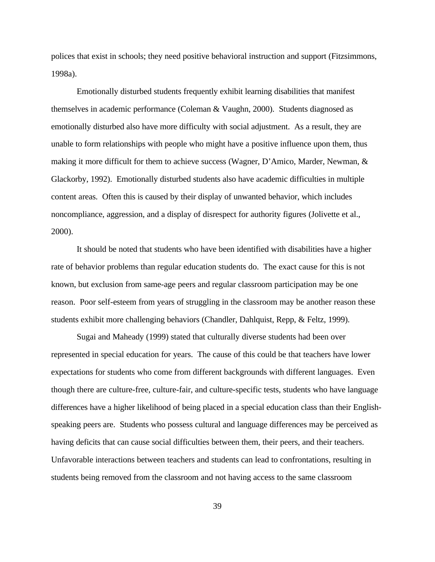polices that exist in schools; they need positive behavioral instruction and support (Fitzsimmons, 1998a).

Emotionally disturbed students frequently exhibit learning disabilities that manifest themselves in academic performance (Coleman & Vaughn, 2000). Students diagnosed as emotionally disturbed also have more difficulty with social adjustment. As a result, they are unable to form relationships with people who might have a positive influence upon them, thus making it more difficult for them to achieve success (Wagner, D'Amico, Marder, Newman, & Glackorby, 1992). Emotionally disturbed students also have academic difficulties in multiple content areas. Often this is caused by their display of unwanted behavior, which includes noncompliance, aggression, and a display of disrespect for authority figures (Jolivette et al., 2000).

It should be noted that students who have been identified with disabilities have a higher rate of behavior problems than regular education students do. The exact cause for this is not known, but exclusion from same-age peers and regular classroom participation may be one reason. Poor self-esteem from years of struggling in the classroom may be another reason these students exhibit more challenging behaviors (Chandler, Dahlquist, Repp, & Feltz, 1999).

Sugai and Maheady (1999) stated that culturally diverse students had been over represented in special education for years. The cause of this could be that teachers have lower expectations for students who come from different backgrounds with different languages. Even though there are culture-free, culture-fair, and culture-specific tests, students who have language differences have a higher likelihood of being placed in a special education class than their Englishspeaking peers are. Students who possess cultural and language differences may be perceived as having deficits that can cause social difficulties between them, their peers, and their teachers. Unfavorable interactions between teachers and students can lead to confrontations, resulting in students being removed from the classroom and not having access to the same classroom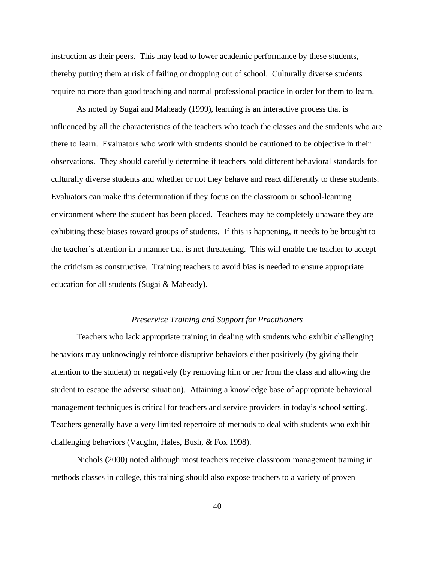instruction as their peers. This may lead to lower academic performance by these students, thereby putting them at risk of failing or dropping out of school. Culturally diverse students require no more than good teaching and normal professional practice in order for them to learn.

As noted by Sugai and Maheady (1999), learning is an interactive process that is influenced by all the characteristics of the teachers who teach the classes and the students who are there to learn. Evaluators who work with students should be cautioned to be objective in their observations. They should carefully determine if teachers hold different behavioral standards for culturally diverse students and whether or not they behave and react differently to these students. Evaluators can make this determination if they focus on the classroom or school-learning environment where the student has been placed. Teachers may be completely unaware they are exhibiting these biases toward groups of students. If this is happening, it needs to be brought to the teacher's attention in a manner that is not threatening. This will enable the teacher to accept the criticism as constructive. Training teachers to avoid bias is needed to ensure appropriate education for all students (Sugai & Maheady).

#### *Preservice Training and Support for Practitioners*

Teachers who lack appropriate training in dealing with students who exhibit challenging behaviors may unknowingly reinforce disruptive behaviors either positively (by giving their attention to the student) or negatively (by removing him or her from the class and allowing the student to escape the adverse situation). Attaining a knowledge base of appropriate behavioral management techniques is critical for teachers and service providers in today's school setting. Teachers generally have a very limited repertoire of methods to deal with students who exhibit challenging behaviors (Vaughn, Hales, Bush, & Fox 1998).

Nichols (2000) noted although most teachers receive classroom management training in methods classes in college, this training should also expose teachers to a variety of proven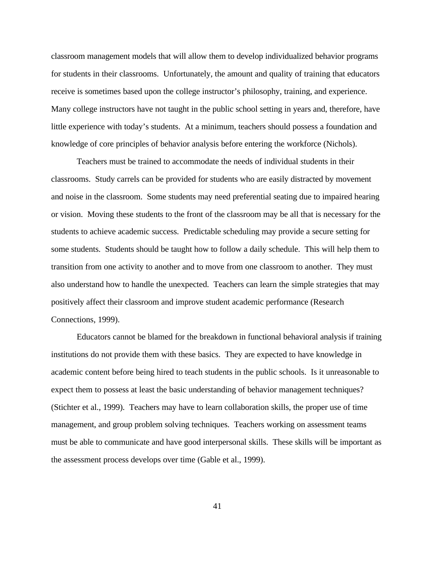classroom management models that will allow them to develop individualized behavior programs for students in their classrooms. Unfortunately, the amount and quality of training that educators receive is sometimes based upon the college instructor's philosophy, training, and experience. Many college instructors have not taught in the public school setting in years and, therefore, have little experience with today's students. At a minimum, teachers should possess a foundation and knowledge of core principles of behavior analysis before entering the workforce (Nichols).

Teachers must be trained to accommodate the needs of individual students in their classrooms. Study carrels can be provided for students who are easily distracted by movement and noise in the classroom. Some students may need preferential seating due to impaired hearing or vision. Moving these students to the front of the classroom may be all that is necessary for the students to achieve academic success. Predictable scheduling may provide a secure setting for some students. Students should be taught how to follow a daily schedule. This will help them to transition from one activity to another and to move from one classroom to another. They must also understand how to handle the unexpected. Teachers can learn the simple strategies that may positively affect their classroom and improve student academic performance (Research Connections, 1999).

Educators cannot be blamed for the breakdown in functional behavioral analysis if training institutions do not provide them with these basics. They are expected to have knowledge in academic content before being hired to teach students in the public schools. Is it unreasonable to expect them to possess at least the basic understanding of behavior management techniques? (Stichter et al., 1999). Teachers may have to learn collaboration skills, the proper use of time management, and group problem solving techniques. Teachers working on assessment teams must be able to communicate and have good interpersonal skills. These skills will be important as the assessment process develops over time (Gable et al., 1999).

41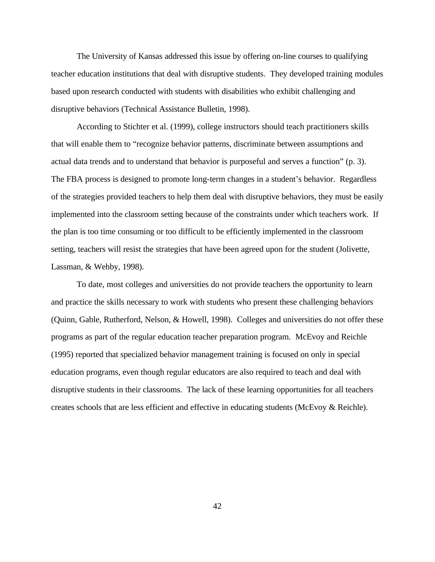The University of Kansas addressed this issue by offering on-line courses to qualifying teacher education institutions that deal with disruptive students. They developed training modules based upon research conducted with students with disabilities who exhibit challenging and disruptive behaviors (Technical Assistance Bulletin, 1998).

According to Stichter et al. (1999), college instructors should teach practitioners skills that will enable them to "recognize behavior patterns, discriminate between assumptions and actual data trends and to understand that behavior is purposeful and serves a function" (p. 3). The FBA process is designed to promote long-term changes in a student's behavior. Regardless of the strategies provided teachers to help them deal with disruptive behaviors, they must be easily implemented into the classroom setting because of the constraints under which teachers work. If the plan is too time consuming or too difficult to be efficiently implemented in the classroom setting, teachers will resist the strategies that have been agreed upon for the student (Jolivette, Lassman, & Wehby, 1998).

To date, most colleges and universities do not provide teachers the opportunity to learn and practice the skills necessary to work with students who present these challenging behaviors (Quinn, Gable, Rutherford, Nelson, & Howell, 1998). Colleges and universities do not offer these programs as part of the regular education teacher preparation program. McEvoy and Reichle (1995) reported that specialized behavior management training is focused on only in special education programs, even though regular educators are also required to teach and deal with disruptive students in their classrooms. The lack of these learning opportunities for all teachers creates schools that are less efficient and effective in educating students (McEvoy & Reichle).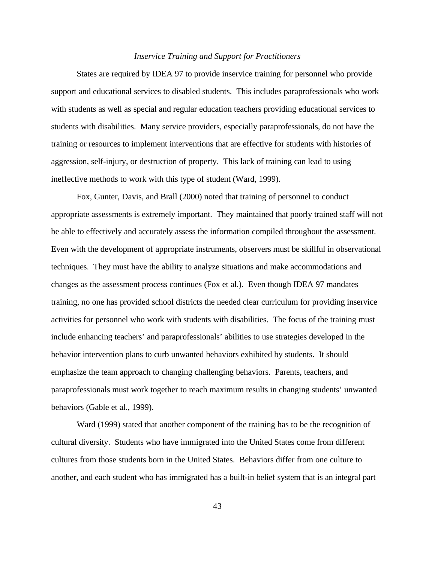### *Inservice Training and Support for Practitioners*

States are required by IDEA 97 to provide inservice training for personnel who provide support and educational services to disabled students. This includes paraprofessionals who work with students as well as special and regular education teachers providing educational services to students with disabilities. Many service providers, especially paraprofessionals, do not have the training or resources to implement interventions that are effective for students with histories of aggression, self-injury, or destruction of property. This lack of training can lead to using ineffective methods to work with this type of student (Ward, 1999).

Fox, Gunter, Davis, and Brall (2000) noted that training of personnel to conduct appropriate assessments is extremely important. They maintained that poorly trained staff will not be able to effectively and accurately assess the information compiled throughout the assessment. Even with the development of appropriate instruments, observers must be skillful in observational techniques. They must have the ability to analyze situations and make accommodations and changes as the assessment process continues (Fox et al.). Even though IDEA 97 mandates training, no one has provided school districts the needed clear curriculum for providing inservice activities for personnel who work with students with disabilities. The focus of the training must include enhancing teachers' and paraprofessionals' abilities to use strategies developed in the behavior intervention plans to curb unwanted behaviors exhibited by students. It should emphasize the team approach to changing challenging behaviors. Parents, teachers, and paraprofessionals must work together to reach maximum results in changing students' unwanted behaviors (Gable et al., 1999).

Ward (1999) stated that another component of the training has to be the recognition of cultural diversity. Students who have immigrated into the United States come from different cultures from those students born in the United States. Behaviors differ from one culture to another, and each student who has immigrated has a built-in belief system that is an integral part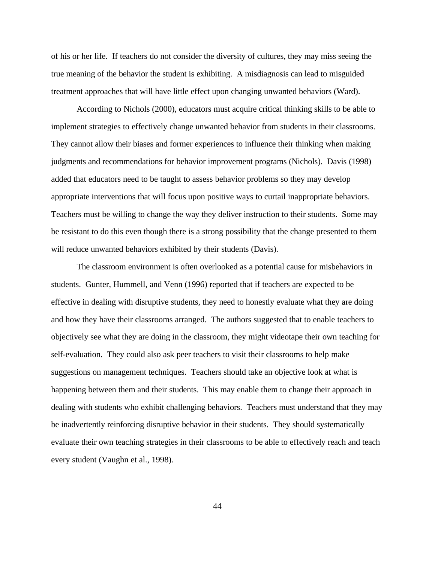of his or her life. If teachers do not consider the diversity of cultures, they may miss seeing the true meaning of the behavior the student is exhibiting. A misdiagnosis can lead to misguided treatment approaches that will have little effect upon changing unwanted behaviors (Ward).

According to Nichols (2000), educators must acquire critical thinking skills to be able to implement strategies to effectively change unwanted behavior from students in their classrooms. They cannot allow their biases and former experiences to influence their thinking when making judgments and recommendations for behavior improvement programs (Nichols). Davis (1998) added that educators need to be taught to assess behavior problems so they may develop appropriate interventions that will focus upon positive ways to curtail inappropriate behaviors. Teachers must be willing to change the way they deliver instruction to their students. Some may be resistant to do this even though there is a strong possibility that the change presented to them will reduce unwanted behaviors exhibited by their students (Davis).

The classroom environment is often overlooked as a potential cause for misbehaviors in students. Gunter, Hummell, and Venn (1996) reported that if teachers are expected to be effective in dealing with disruptive students, they need to honestly evaluate what they are doing and how they have their classrooms arranged. The authors suggested that to enable teachers to objectively see what they are doing in the classroom, they might videotape their own teaching for self-evaluation. They could also ask peer teachers to visit their classrooms to help make suggestions on management techniques. Teachers should take an objective look at what is happening between them and their students. This may enable them to change their approach in dealing with students who exhibit challenging behaviors. Teachers must understand that they may be inadvertently reinforcing disruptive behavior in their students. They should systematically evaluate their own teaching strategies in their classrooms to be able to effectively reach and teach every student (Vaughn et al., 1998).

44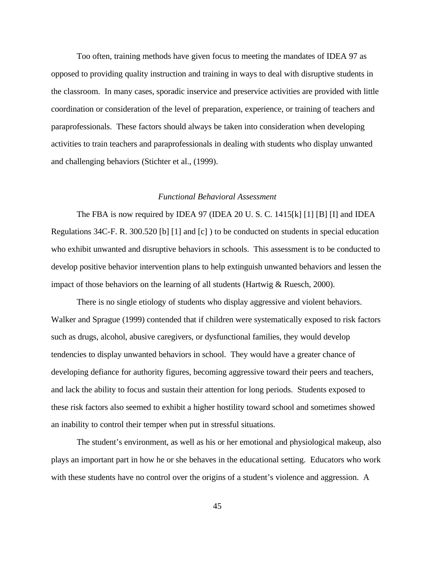Too often, training methods have given focus to meeting the mandates of IDEA 97 as opposed to providing quality instruction and training in ways to deal with disruptive students in the classroom. In many cases, sporadic inservice and preservice activities are provided with little coordination or consideration of the level of preparation, experience, or training of teachers and paraprofessionals. These factors should always be taken into consideration when developing activities to train teachers and paraprofessionals in dealing with students who display unwanted and challenging behaviors (Stichter et al., (1999).

## *Functional Behavioral Assessment*

The FBA is now required by IDEA 97 (IDEA 20 U. S. C. 1415[k] [1] [B] [I] and IDEA Regulations 34C-F. R. 300.520 [b] [1] and [c] ) to be conducted on students in special education who exhibit unwanted and disruptive behaviors in schools. This assessment is to be conducted to develop positive behavior intervention plans to help extinguish unwanted behaviors and lessen the impact of those behaviors on the learning of all students (Hartwig & Ruesch, 2000).

There is no single etiology of students who display aggressive and violent behaviors. Walker and Sprague (1999) contended that if children were systematically exposed to risk factors such as drugs, alcohol, abusive caregivers, or dysfunctional families, they would develop tendencies to display unwanted behaviors in school. They would have a greater chance of developing defiance for authority figures, becoming aggressive toward their peers and teachers, and lack the ability to focus and sustain their attention for long periods. Students exposed to these risk factors also seemed to exhibit a higher hostility toward school and sometimes showed an inability to control their temper when put in stressful situations.

The student's environment, as well as his or her emotional and physiological makeup, also plays an important part in how he or she behaves in the educational setting. Educators who work with these students have no control over the origins of a student's violence and aggression. A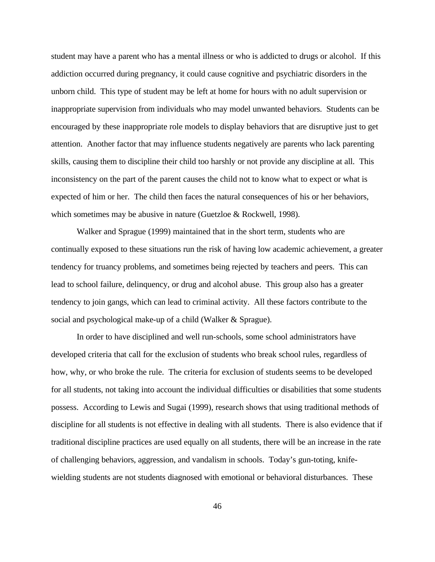student may have a parent who has a mental illness or who is addicted to drugs or alcohol. If this addiction occurred during pregnancy, it could cause cognitive and psychiatric disorders in the unborn child. This type of student may be left at home for hours with no adult supervision or inappropriate supervision from individuals who may model unwanted behaviors. Students can be encouraged by these inappropriate role models to display behaviors that are disruptive just to get attention. Another factor that may influence students negatively are parents who lack parenting skills, causing them to discipline their child too harshly or not provide any discipline at all. This inconsistency on the part of the parent causes the child not to know what to expect or what is expected of him or her. The child then faces the natural consequences of his or her behaviors, which sometimes may be abusive in nature (Guetzloe & Rockwell, 1998).

Walker and Sprague (1999) maintained that in the short term, students who are continually exposed to these situations run the risk of having low academic achievement, a greater tendency for truancy problems, and sometimes being rejected by teachers and peers. This can lead to school failure, delinquency, or drug and alcohol abuse. This group also has a greater tendency to join gangs, which can lead to criminal activity. All these factors contribute to the social and psychological make-up of a child (Walker & Sprague).

In order to have disciplined and well run-schools, some school administrators have developed criteria that call for the exclusion of students who break school rules, regardless of how, why, or who broke the rule. The criteria for exclusion of students seems to be developed for all students, not taking into account the individual difficulties or disabilities that some students possess. According to Lewis and Sugai (1999), research shows that using traditional methods of discipline for all students is not effective in dealing with all students. There is also evidence that if traditional discipline practices are used equally on all students, there will be an increase in the rate of challenging behaviors, aggression, and vandalism in schools. Today's gun-toting, knifewielding students are not students diagnosed with emotional or behavioral disturbances. These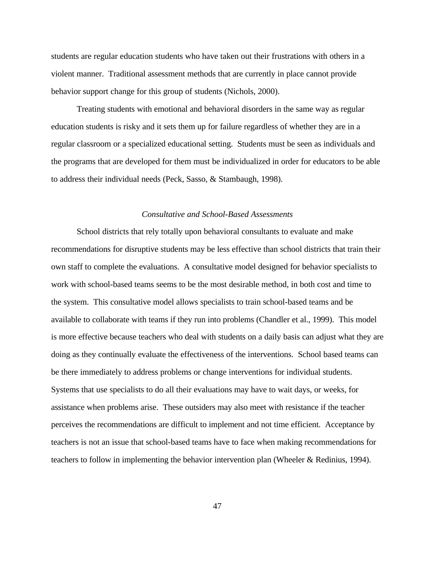students are regular education students who have taken out their frustrations with others in a violent manner. Traditional assessment methods that are currently in place cannot provide behavior support change for this group of students (Nichols, 2000).

Treating students with emotional and behavioral disorders in the same way as regular education students is risky and it sets them up for failure regardless of whether they are in a regular classroom or a specialized educational setting. Students must be seen as individuals and the programs that are developed for them must be individualized in order for educators to be able to address their individual needs (Peck, Sasso, & Stambaugh, 1998).

## *Consultative and School-Based Assessments*

School districts that rely totally upon behavioral consultants to evaluate and make recommendations for disruptive students may be less effective than school districts that train their own staff to complete the evaluations. A consultative model designed for behavior specialists to work with school-based teams seems to be the most desirable method, in both cost and time to the system. This consultative model allows specialists to train school-based teams and be available to collaborate with teams if they run into problems (Chandler et al., 1999). This model is more effective because teachers who deal with students on a daily basis can adjust what they are doing as they continually evaluate the effectiveness of the interventions. School based teams can be there immediately to address problems or change interventions for individual students. Systems that use specialists to do all their evaluations may have to wait days, or weeks, for assistance when problems arise. These outsiders may also meet with resistance if the teacher perceives the recommendations are difficult to implement and not time efficient. Acceptance by teachers is not an issue that school-based teams have to face when making recommendations for teachers to follow in implementing the behavior intervention plan (Wheeler & Redinius, 1994).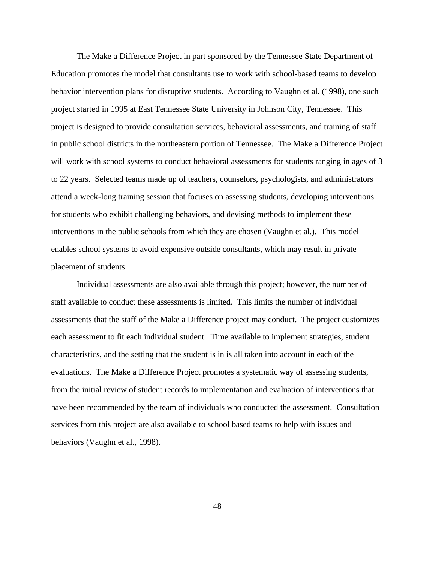The Make a Difference Project in part sponsored by the Tennessee State Department of Education promotes the model that consultants use to work with school-based teams to develop behavior intervention plans for disruptive students. According to Vaughn et al. (1998), one such project started in 1995 at East Tennessee State University in Johnson City, Tennessee. This project is designed to provide consultation services, behavioral assessments, and training of staff in public school districts in the northeastern portion of Tennessee. The Make a Difference Project will work with school systems to conduct behavioral assessments for students ranging in ages of 3 to 22 years. Selected teams made up of teachers, counselors, psychologists, and administrators attend a week-long training session that focuses on assessing students, developing interventions for students who exhibit challenging behaviors, and devising methods to implement these interventions in the public schools from which they are chosen (Vaughn et al.). This model enables school systems to avoid expensive outside consultants, which may result in private placement of students.

Individual assessments are also available through this project; however, the number of staff available to conduct these assessments is limited. This limits the number of individual assessments that the staff of the Make a Difference project may conduct. The project customizes each assessment to fit each individual student. Time available to implement strategies, student characteristics, and the setting that the student is in is all taken into account in each of the evaluations. The Make a Difference Project promotes a systematic way of assessing students, from the initial review of student records to implementation and evaluation of interventions that have been recommended by the team of individuals who conducted the assessment. Consultation services from this project are also available to school based teams to help with issues and behaviors (Vaughn et al., 1998).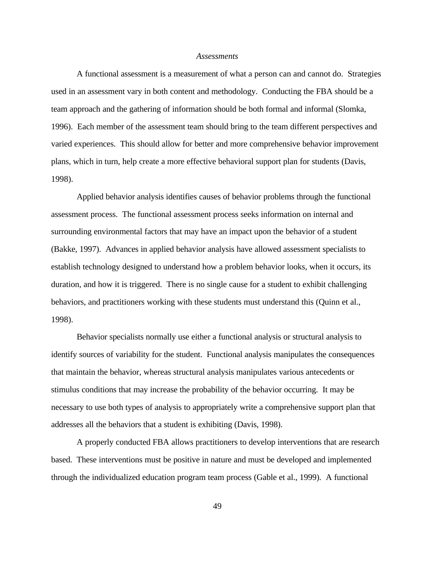#### *Assessments*

A functional assessment is a measurement of what a person can and cannot do. Strategies used in an assessment vary in both content and methodology. Conducting the FBA should be a team approach and the gathering of information should be both formal and informal (Slomka, 1996). Each member of the assessment team should bring to the team different perspectives and varied experiences. This should allow for better and more comprehensive behavior improvement plans, which in turn, help create a more effective behavioral support plan for students (Davis, 1998).

Applied behavior analysis identifies causes of behavior problems through the functional assessment process. The functional assessment process seeks information on internal and surrounding environmental factors that may have an impact upon the behavior of a student (Bakke, 1997). Advances in applied behavior analysis have allowed assessment specialists to establish technology designed to understand how a problem behavior looks, when it occurs, its duration, and how it is triggered. There is no single cause for a student to exhibit challenging behaviors, and practitioners working with these students must understand this (Quinn et al., 1998).

Behavior specialists normally use either a functional analysis or structural analysis to identify sources of variability for the student. Functional analysis manipulates the consequences that maintain the behavior, whereas structural analysis manipulates various antecedents or stimulus conditions that may increase the probability of the behavior occurring. It may be necessary to use both types of analysis to appropriately write a comprehensive support plan that addresses all the behaviors that a student is exhibiting (Davis, 1998).

A properly conducted FBA allows practitioners to develop interventions that are research based. These interventions must be positive in nature and must be developed and implemented through the individualized education program team process (Gable et al., 1999). A functional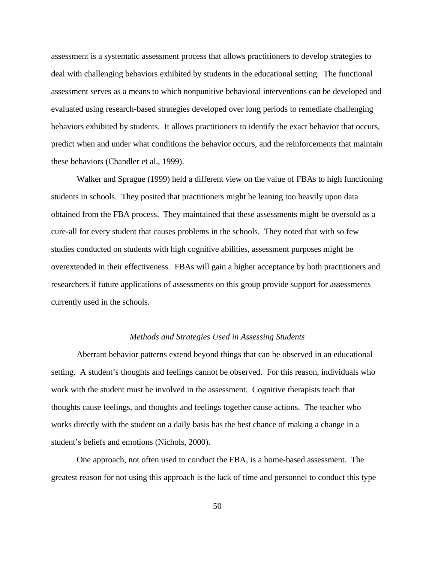assessment is a systematic assessment process that allows practitioners to develop strategies to deal with challenging behaviors exhibited by students in the educational setting. The functional assessment serves as a means to which nonpunitive behavioral interventions can be developed and evaluated using research-based strategies developed over long periods to remediate challenging behaviors exhibited by students. It allows practitioners to identify the exact behavior that occurs, predict when and under what conditions the behavior occurs, and the reinforcements that maintain these behaviors (Chandler et al., 1999).

Walker and Sprague (1999) held a different view on the value of FBAs to high functioning students in schools. They posited that practitioners might be leaning too heavily upon data obtained from the FBA process. They maintained that these assessments might be oversold as a cure-all for every student that causes problems in the schools. They noted that with so few studies conducted on students with high cognitive abilities, assessment purposes might be overextended in their effectiveness. FBAs will gain a higher acceptance by both practitioners and researchers if future applications of assessments on this group provide support for assessments currently used in the schools.

#### *Methods and Strategies Used in Assessing Students*

Aberrant behavior patterns extend beyond things that can be observed in an educational setting. A student's thoughts and feelings cannot be observed. For this reason, individuals who work with the student must be involved in the assessment. Cognitive therapists teach that thoughts cause feelings, and thoughts and feelings together cause actions. The teacher who works directly with the student on a daily basis has the best chance of making a change in a student's beliefs and emotions (Nichols, 2000).

One approach, not often used to conduct the FBA, is a home-based assessment. The greatest reason for not using this approach is the lack of time and personnel to conduct this type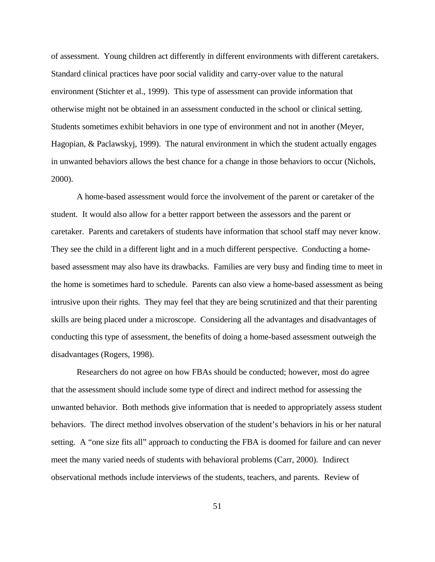of assessment. Young children act differently in different environments with different caretakers. Standard clinical practices have poor social validity and carry-over value to the natural environment (Stichter et al., 1999). This type of assessment can provide information that otherwise might not be obtained in an assessment conducted in the school or clinical setting. Students sometimes exhibit behaviors in one type of environment and not in another (Meyer, Hagopian, & Paclawskyj, 1999). The natural environment in which the student actually engages in unwanted behaviors allows the best chance for a change in those behaviors to occur (Nichols, 2000).

A home-based assessment would force the involvement of the parent or caretaker of the student. It would also allow for a better rapport between the assessors and the parent or caretaker. Parents and caretakers of students have information that school staff may never know. They see the child in a different light and in a much different perspective. Conducting a homebased assessment may also have its drawbacks. Families are very busy and finding time to meet in the home is sometimes hard to schedule. Parents can also view a home-based assessment as being intrusive upon their rights. They may feel that they are being scrutinized and that their parenting skills are being placed under a microscope. Considering all the advantages and disadvantages of conducting this type of assessment, the benefits of doing a home-based assessment outweigh the disadvantages (Rogers, 1998).

Researchers do not agree on how FBAs should be conducted; however, most do agree that the assessment should include some type of direct and indirect method for assessing the unwanted behavior. Both methods give information that is needed to appropriately assess student behaviors. The direct method involves observation of the student's behaviors in his or her natural setting. A "one size fits all" approach to conducting the FBA is doomed for failure and can never meet the many varied needs of students with behavioral problems (Carr, 2000). Indirect observational methods include interviews of the students, teachers, and parents. Review of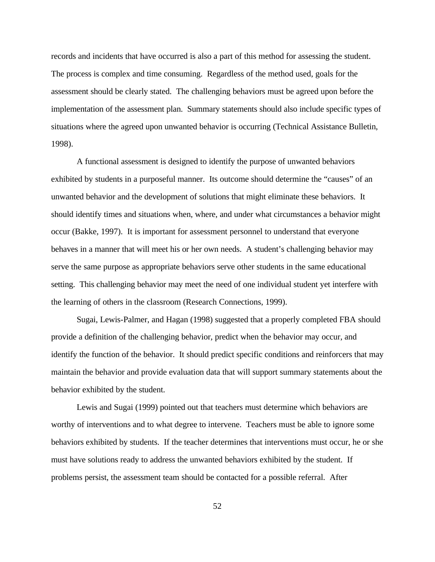records and incidents that have occurred is also a part of this method for assessing the student. The process is complex and time consuming. Regardless of the method used, goals for the assessment should be clearly stated. The challenging behaviors must be agreed upon before the implementation of the assessment plan. Summary statements should also include specific types of situations where the agreed upon unwanted behavior is occurring (Technical Assistance Bulletin, 1998).

A functional assessment is designed to identify the purpose of unwanted behaviors exhibited by students in a purposeful manner. Its outcome should determine the "causes" of an unwanted behavior and the development of solutions that might eliminate these behaviors. It should identify times and situations when, where, and under what circumstances a behavior might occur (Bakke, 1997). It is important for assessment personnel to understand that everyone behaves in a manner that will meet his or her own needs. A student's challenging behavior may serve the same purpose as appropriate behaviors serve other students in the same educational setting. This challenging behavior may meet the need of one individual student yet interfere with the learning of others in the classroom (Research Connections, 1999).

Sugai, Lewis-Palmer, and Hagan (1998) suggested that a properly completed FBA should provide a definition of the challenging behavior, predict when the behavior may occur, and identify the function of the behavior. It should predict specific conditions and reinforcers that may maintain the behavior and provide evaluation data that will support summary statements about the behavior exhibited by the student.

Lewis and Sugai (1999) pointed out that teachers must determine which behaviors are worthy of interventions and to what degree to intervene. Teachers must be able to ignore some behaviors exhibited by students. If the teacher determines that interventions must occur, he or she must have solutions ready to address the unwanted behaviors exhibited by the student. If problems persist, the assessment team should be contacted for a possible referral. After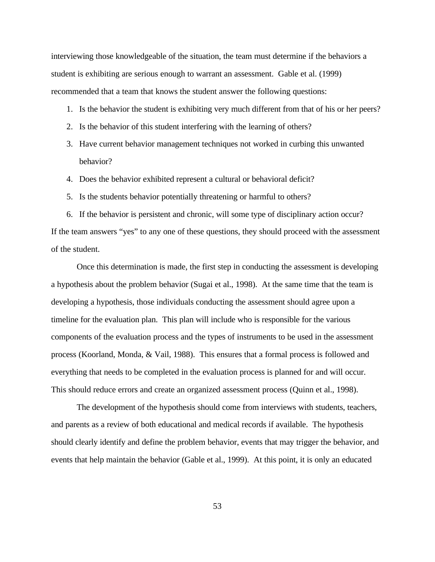interviewing those knowledgeable of the situation, the team must determine if the behaviors a student is exhibiting are serious enough to warrant an assessment. Gable et al. (1999) recommended that a team that knows the student answer the following questions:

- 1. Is the behavior the student is exhibiting very much different from that of his or her peers?
- 2. Is the behavior of this student interfering with the learning of others?
- 3. Have current behavior management techniques not worked in curbing this unwanted behavior?
- 4. Does the behavior exhibited represent a cultural or behavioral deficit?
- 5. Is the students behavior potentially threatening or harmful to others?

6. If the behavior is persistent and chronic, will some type of disciplinary action occur? If the team answers "yes" to any one of these questions, they should proceed with the assessment of the student.

Once this determination is made, the first step in conducting the assessment is developing a hypothesis about the problem behavior (Sugai et al., 1998). At the same time that the team is developing a hypothesis, those individuals conducting the assessment should agree upon a timeline for the evaluation plan. This plan will include who is responsible for the various components of the evaluation process and the types of instruments to be used in the assessment process (Koorland, Monda, & Vail, 1988). This ensures that a formal process is followed and everything that needs to be completed in the evaluation process is planned for and will occur. This should reduce errors and create an organized assessment process (Quinn et al., 1998).

The development of the hypothesis should come from interviews with students, teachers, and parents as a review of both educational and medical records if available. The hypothesis should clearly identify and define the problem behavior, events that may trigger the behavior, and events that help maintain the behavior (Gable et al., 1999). At this point, it is only an educated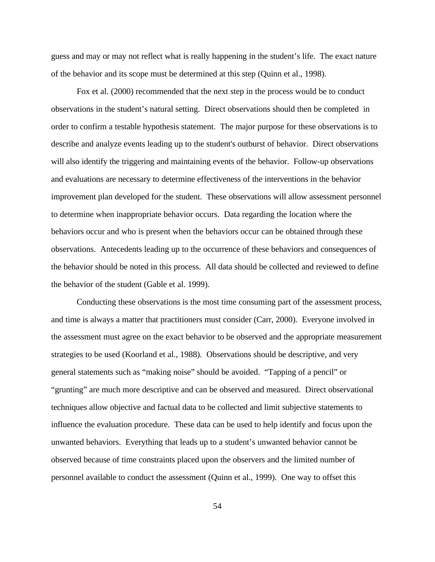guess and may or may not reflect what is really happening in the student's life. The exact nature of the behavior and its scope must be determined at this step (Quinn et al., 1998).

Fox et al. (2000) recommended that the next step in the process would be to conduct observations in the student's natural setting. Direct observations should then be completed in order to confirm a testable hypothesis statement. The major purpose for these observations is to describe and analyze events leading up to the student's outburst of behavior. Direct observations will also identify the triggering and maintaining events of the behavior. Follow-up observations and evaluations are necessary to determine effectiveness of the interventions in the behavior improvement plan developed for the student. These observations will allow assessment personnel to determine when inappropriate behavior occurs. Data regarding the location where the behaviors occur and who is present when the behaviors occur can be obtained through these observations. Antecedents leading up to the occurrence of these behaviors and consequences of the behavior should be noted in this process. All data should be collected and reviewed to define the behavior of the student (Gable et al. 1999).

Conducting these observations is the most time consuming part of the assessment process, and time is always a matter that practitioners must consider (Carr, 2000). Everyone involved in the assessment must agree on the exact behavior to be observed and the appropriate measurement strategies to be used (Koorland et al., 1988). Observations should be descriptive, and very general statements such as "making noise" should be avoided. "Tapping of a pencil" or "grunting" are much more descriptive and can be observed and measured. Direct observational techniques allow objective and factual data to be collected and limit subjective statements to influence the evaluation procedure. These data can be used to help identify and focus upon the unwanted behaviors. Everything that leads up to a student's unwanted behavior cannot be observed because of time constraints placed upon the observers and the limited number of personnel available to conduct the assessment (Quinn et al., 1999). One way to offset this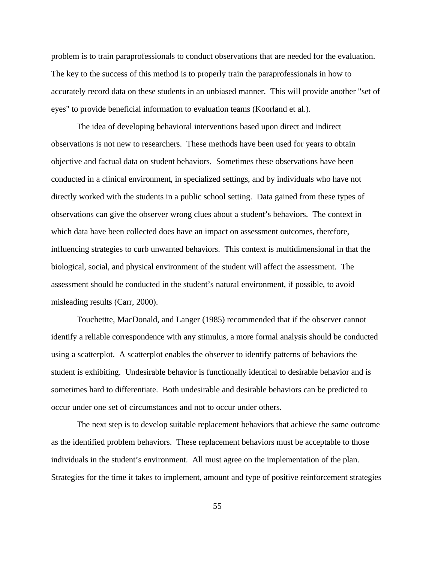problem is to train paraprofessionals to conduct observations that are needed for the evaluation. The key to the success of this method is to properly train the paraprofessionals in how to accurately record data on these students in an unbiased manner. This will provide another "set of eyes" to provide beneficial information to evaluation teams (Koorland et al.).

The idea of developing behavioral interventions based upon direct and indirect observations is not new to researchers. These methods have been used for years to obtain objective and factual data on student behaviors. Sometimes these observations have been conducted in a clinical environment, in specialized settings, and by individuals who have not directly worked with the students in a public school setting. Data gained from these types of observations can give the observer wrong clues about a student's behaviors. The context in which data have been collected does have an impact on assessment outcomes, therefore, influencing strategies to curb unwanted behaviors. This context is multidimensional in that the biological, social, and physical environment of the student will affect the assessment. The assessment should be conducted in the student's natural environment, if possible, to avoid misleading results (Carr, 2000).

Touchettte, MacDonald, and Langer (1985) recommended that if the observer cannot identify a reliable correspondence with any stimulus, a more formal analysis should be conducted using a scatterplot. A scatterplot enables the observer to identify patterns of behaviors the student is exhibiting. Undesirable behavior is functionally identical to desirable behavior and is sometimes hard to differentiate. Both undesirable and desirable behaviors can be predicted to occur under one set of circumstances and not to occur under others.

The next step is to develop suitable replacement behaviors that achieve the same outcome as the identified problem behaviors. These replacement behaviors must be acceptable to those individuals in the student's environment. All must agree on the implementation of the plan. Strategies for the time it takes to implement, amount and type of positive reinforcement strategies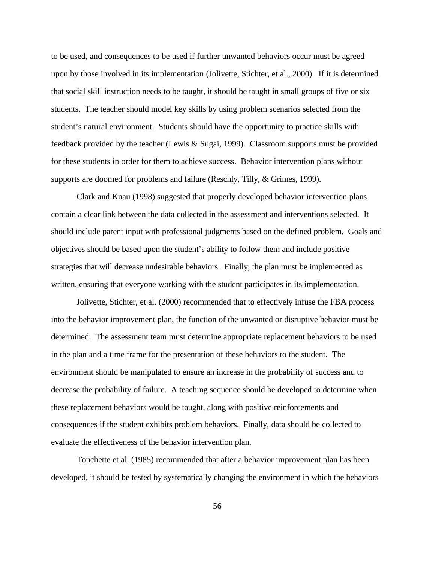to be used, and consequences to be used if further unwanted behaviors occur must be agreed upon by those involved in its implementation (Jolivette, Stichter, et al., 2000). If it is determined that social skill instruction needs to be taught, it should be taught in small groups of five or six students. The teacher should model key skills by using problem scenarios selected from the student's natural environment. Students should have the opportunity to practice skills with feedback provided by the teacher (Lewis & Sugai, 1999). Classroom supports must be provided for these students in order for them to achieve success. Behavior intervention plans without supports are doomed for problems and failure (Reschly, Tilly, & Grimes, 1999).

Clark and Knau (1998) suggested that properly developed behavior intervention plans contain a clear link between the data collected in the assessment and interventions selected. It should include parent input with professional judgments based on the defined problem. Goals and objectives should be based upon the student's ability to follow them and include positive strategies that will decrease undesirable behaviors. Finally, the plan must be implemented as written, ensuring that everyone working with the student participates in its implementation.

Jolivette, Stichter, et al. (2000) recommended that to effectively infuse the FBA process into the behavior improvement plan, the function of the unwanted or disruptive behavior must be determined. The assessment team must determine appropriate replacement behaviors to be used in the plan and a time frame for the presentation of these behaviors to the student. The environment should be manipulated to ensure an increase in the probability of success and to decrease the probability of failure. A teaching sequence should be developed to determine when these replacement behaviors would be taught, along with positive reinforcements and consequences if the student exhibits problem behaviors. Finally, data should be collected to evaluate the effectiveness of the behavior intervention plan.

Touchette et al. (1985) recommended that after a behavior improvement plan has been developed, it should be tested by systematically changing the environment in which the behaviors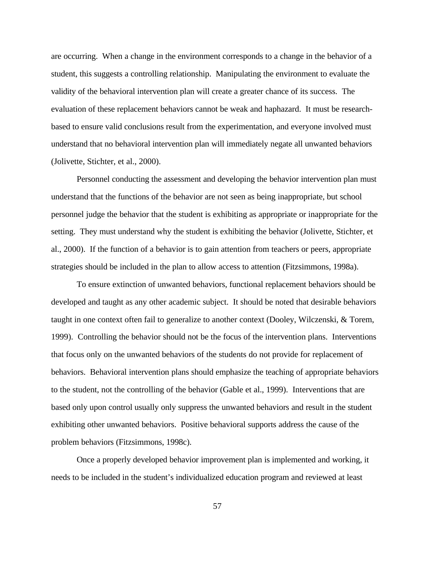are occurring. When a change in the environment corresponds to a change in the behavior of a student, this suggests a controlling relationship. Manipulating the environment to evaluate the validity of the behavioral intervention plan will create a greater chance of its success. The evaluation of these replacement behaviors cannot be weak and haphazard. It must be researchbased to ensure valid conclusions result from the experimentation, and everyone involved must understand that no behavioral intervention plan will immediately negate all unwanted behaviors (Jolivette, Stichter, et al., 2000).

Personnel conducting the assessment and developing the behavior intervention plan must understand that the functions of the behavior are not seen as being inappropriate, but school personnel judge the behavior that the student is exhibiting as appropriate or inappropriate for the setting. They must understand why the student is exhibiting the behavior (Jolivette, Stichter, et al., 2000). If the function of a behavior is to gain attention from teachers or peers, appropriate strategies should be included in the plan to allow access to attention (Fitzsimmons, 1998a).

To ensure extinction of unwanted behaviors, functional replacement behaviors should be developed and taught as any other academic subject. It should be noted that desirable behaviors taught in one context often fail to generalize to another context (Dooley, Wilczenski, & Torem, 1999). Controlling the behavior should not be the focus of the intervention plans. Interventions that focus only on the unwanted behaviors of the students do not provide for replacement of behaviors. Behavioral intervention plans should emphasize the teaching of appropriate behaviors to the student, not the controlling of the behavior (Gable et al., 1999). Interventions that are based only upon control usually only suppress the unwanted behaviors and result in the student exhibiting other unwanted behaviors. Positive behavioral supports address the cause of the problem behaviors (Fitzsimmons, 1998c).

Once a properly developed behavior improvement plan is implemented and working, it needs to be included in the student's individualized education program and reviewed at least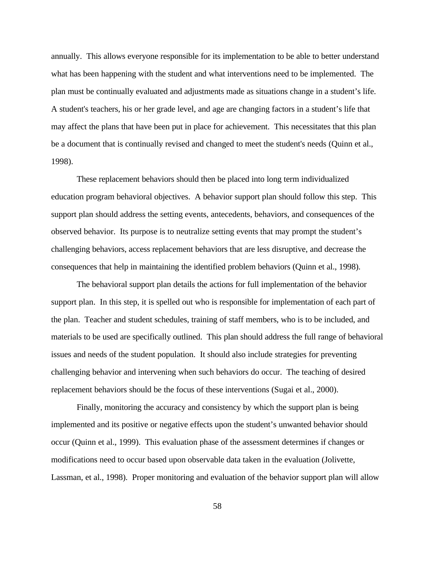annually. This allows everyone responsible for its implementation to be able to better understand what has been happening with the student and what interventions need to be implemented. The plan must be continually evaluated and adjustments made as situations change in a student's life. A student's teachers, his or her grade level, and age are changing factors in a student's life that may affect the plans that have been put in place for achievement. This necessitates that this plan be a document that is continually revised and changed to meet the student's needs (Quinn et al., 1998).

These replacement behaviors should then be placed into long term individualized education program behavioral objectives. A behavior support plan should follow this step. This support plan should address the setting events, antecedents, behaviors, and consequences of the observed behavior. Its purpose is to neutralize setting events that may prompt the student's challenging behaviors, access replacement behaviors that are less disruptive, and decrease the consequences that help in maintaining the identified problem behaviors (Quinn et al., 1998).

The behavioral support plan details the actions for full implementation of the behavior support plan. In this step, it is spelled out who is responsible for implementation of each part of the plan. Teacher and student schedules, training of staff members, who is to be included, and materials to be used are specifically outlined. This plan should address the full range of behavioral issues and needs of the student population. It should also include strategies for preventing challenging behavior and intervening when such behaviors do occur. The teaching of desired replacement behaviors should be the focus of these interventions (Sugai et al., 2000).

Finally, monitoring the accuracy and consistency by which the support plan is being implemented and its positive or negative effects upon the student's unwanted behavior should occur (Quinn et al., 1999). This evaluation phase of the assessment determines if changes or modifications need to occur based upon observable data taken in the evaluation (Jolivette, Lassman, et al., 1998). Proper monitoring and evaluation of the behavior support plan will allow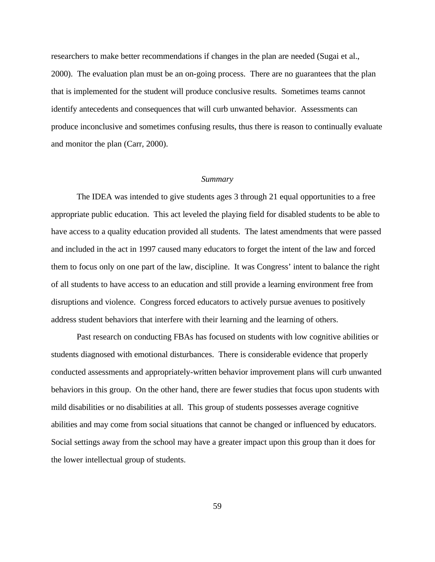researchers to make better recommendations if changes in the plan are needed (Sugai et al., 2000). The evaluation plan must be an on-going process. There are no guarantees that the plan that is implemented for the student will produce conclusive results. Sometimes teams cannot identify antecedents and consequences that will curb unwanted behavior. Assessments can produce inconclusive and sometimes confusing results, thus there is reason to continually evaluate and monitor the plan (Carr, 2000).

#### *Summary*

The IDEA was intended to give students ages 3 through 21 equal opportunities to a free appropriate public education. This act leveled the playing field for disabled students to be able to have access to a quality education provided all students. The latest amendments that were passed and included in the act in 1997 caused many educators to forget the intent of the law and forced them to focus only on one part of the law, discipline. It was Congress' intent to balance the right of all students to have access to an education and still provide a learning environment free from disruptions and violence. Congress forced educators to actively pursue avenues to positively address student behaviors that interfere with their learning and the learning of others.

Past research on conducting FBAs has focused on students with low cognitive abilities or students diagnosed with emotional disturbances. There is considerable evidence that properly conducted assessments and appropriately-written behavior improvement plans will curb unwanted behaviors in this group. On the other hand, there are fewer studies that focus upon students with mild disabilities or no disabilities at all. This group of students possesses average cognitive abilities and may come from social situations that cannot be changed or influenced by educators. Social settings away from the school may have a greater impact upon this group than it does for the lower intellectual group of students.

59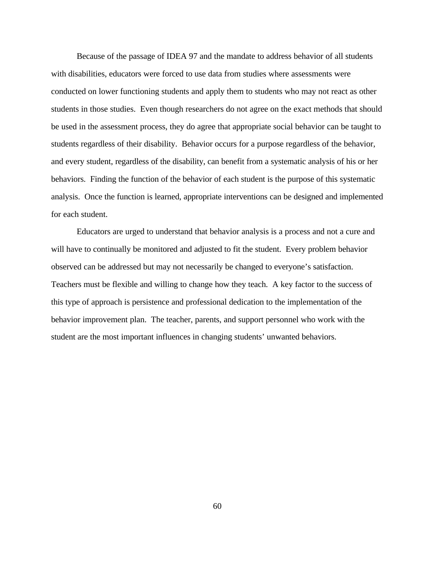Because of the passage of IDEA 97 and the mandate to address behavior of all students with disabilities, educators were forced to use data from studies where assessments were conducted on lower functioning students and apply them to students who may not react as other students in those studies. Even though researchers do not agree on the exact methods that should be used in the assessment process, they do agree that appropriate social behavior can be taught to students regardless of their disability. Behavior occurs for a purpose regardless of the behavior, and every student, regardless of the disability, can benefit from a systematic analysis of his or her behaviors. Finding the function of the behavior of each student is the purpose of this systematic analysis. Once the function is learned, appropriate interventions can be designed and implemented for each student.

Educators are urged to understand that behavior analysis is a process and not a cure and will have to continually be monitored and adjusted to fit the student. Every problem behavior observed can be addressed but may not necessarily be changed to everyone's satisfaction. Teachers must be flexible and willing to change how they teach. A key factor to the success of this type of approach is persistence and professional dedication to the implementation of the behavior improvement plan. The teacher, parents, and support personnel who work with the student are the most important influences in changing students' unwanted behaviors.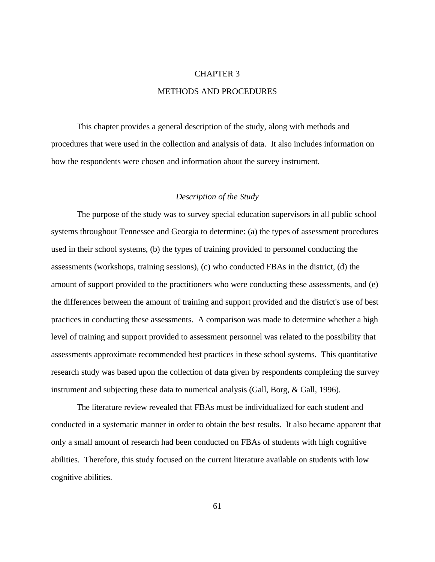# CHAPTER 3 METHODS AND PROCEDURES

This chapter provides a general description of the study, along with methods and procedures that were used in the collection and analysis of data. It also includes information on how the respondents were chosen and information about the survey instrument.

## *Description of the Study*

The purpose of the study was to survey special education supervisors in all public school systems throughout Tennessee and Georgia to determine: (a) the types of assessment procedures used in their school systems, (b) the types of training provided to personnel conducting the assessments (workshops, training sessions), (c) who conducted FBAs in the district, (d) the amount of support provided to the practitioners who were conducting these assessments, and (e) the differences between the amount of training and support provided and the district's use of best practices in conducting these assessments. A comparison was made to determine whether a high level of training and support provided to assessment personnel was related to the possibility that assessments approximate recommended best practices in these school systems. This quantitative research study was based upon the collection of data given by respondents completing the survey instrument and subjecting these data to numerical analysis (Gall, Borg, & Gall, 1996).

The literature review revealed that FBAs must be individualized for each student and conducted in a systematic manner in order to obtain the best results. It also became apparent that only a small amount of research had been conducted on FBAs of students with high cognitive abilities. Therefore, this study focused on the current literature available on students with low cognitive abilities.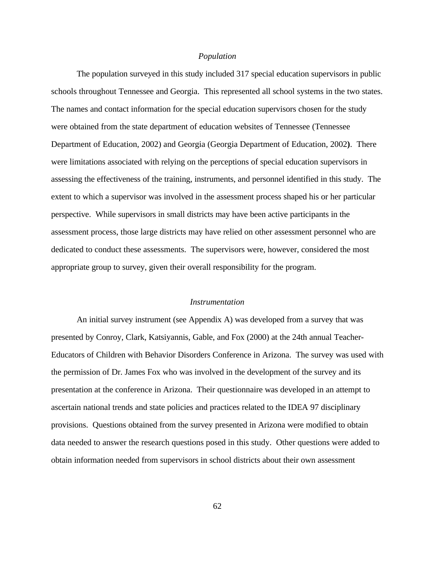#### *Population*

The population surveyed in this study included 317 special education supervisors in public schools throughout Tennessee and Georgia. This represented all school systems in the two states. The names and contact information for the special education supervisors chosen for the study were obtained from the state department of education websites of Tennessee (Tennessee Department of Education, 2002) and Georgia (Georgia Department of Education, 2002**)**. There were limitations associated with relying on the perceptions of special education supervisors in assessing the effectiveness of the training, instruments, and personnel identified in this study. The extent to which a supervisor was involved in the assessment process shaped his or her particular perspective. While supervisors in small districts may have been active participants in the assessment process, those large districts may have relied on other assessment personnel who are dedicated to conduct these assessments. The supervisors were, however, considered the most appropriate group to survey, given their overall responsibility for the program.

#### *Instrumentation*

An initial survey instrument (see Appendix A) was developed from a survey that was presented by Conroy, Clark, Katsiyannis, Gable, and Fox (2000) at the 24th annual Teacher-Educators of Children with Behavior Disorders Conference in Arizona. The survey was used with the permission of Dr. James Fox who was involved in the development of the survey and its presentation at the conference in Arizona. Their questionnaire was developed in an attempt to ascertain national trends and state policies and practices related to the IDEA 97 disciplinary provisions. Questions obtained from the survey presented in Arizona were modified to obtain data needed to answer the research questions posed in this study. Other questions were added to obtain information needed from supervisors in school districts about their own assessment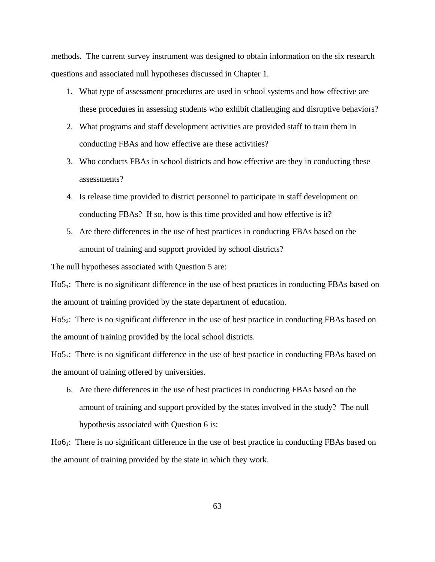methods. The current survey instrument was designed to obtain information on the six research questions and associated null hypotheses discussed in Chapter 1.

- 1. What type of assessment procedures are used in school systems and how effective are these procedures in assessing students who exhibit challenging and disruptive behaviors?
- 2. What programs and staff development activities are provided staff to train them in conducting FBAs and how effective are these activities?
- 3. Who conducts FBAs in school districts and how effective are they in conducting these assessments?
- 4. Is release time provided to district personnel to participate in staff development on conducting FBAs? If so, how is this time provided and how effective is it?
- 5. Are there differences in the use of best practices in conducting FBAs based on the amount of training and support provided by school districts?

The null hypotheses associated with Question 5 are:

Ho5<sub>1</sub>: There is no significant difference in the use of best practices in conducting FBAs based on the amount of training provided by the state department of education.

Ho5<sub>2</sub>: There is no significant difference in the use of best practice in conducting FBAs based on the amount of training provided by the local school districts.

Ho53: There is no significant difference in the use of best practice in conducting FBAs based on the amount of training offered by universities.

6. Are there differences in the use of best practices in conducting FBAs based on the amount of training and support provided by the states involved in the study? The null hypothesis associated with Question 6 is:

Ho6<sub>1</sub>: There is no significant difference in the use of best practice in conducting FBAs based on the amount of training provided by the state in which they work.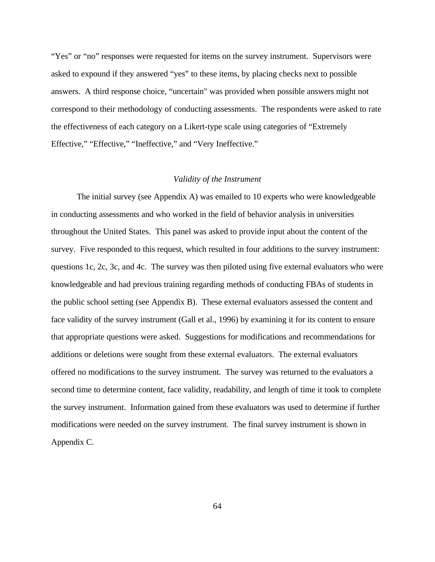"Yes" or "no" responses were requested for items on the survey instrument. Supervisors were asked to expound if they answered "yes" to these items, by placing checks next to possible answers. A third response choice, "uncertain" was provided when possible answers might not correspond to their methodology of conducting assessments. The respondents were asked to rate the effectiveness of each category on a Likert-type scale using categories of "Extremely Effective," "Effective," "Ineffective," and "Very Ineffective."

## *Validity of the Instrument*

The initial survey (see Appendix A) was emailed to 10 experts who were knowledgeable in conducting assessments and who worked in the field of behavior analysis in universities throughout the United States. This panel was asked to provide input about the content of the survey. Five responded to this request, which resulted in four additions to the survey instrument: questions 1c, 2c, 3c, and 4c. The survey was then piloted using five external evaluators who were knowledgeable and had previous training regarding methods of conducting FBAs of students in the public school setting (see Appendix B). These external evaluators assessed the content and face validity of the survey instrument (Gall et al., 1996) by examining it for its content to ensure that appropriate questions were asked. Suggestions for modifications and recommendations for additions or deletions were sought from these external evaluators. The external evaluators offered no modifications to the survey instrument. The survey was returned to the evaluators a second time to determine content, face validity, readability, and length of time it took to complete the survey instrument. Information gained from these evaluators was used to determine if further modifications were needed on the survey instrument. The final survey instrument is shown in Appendix C.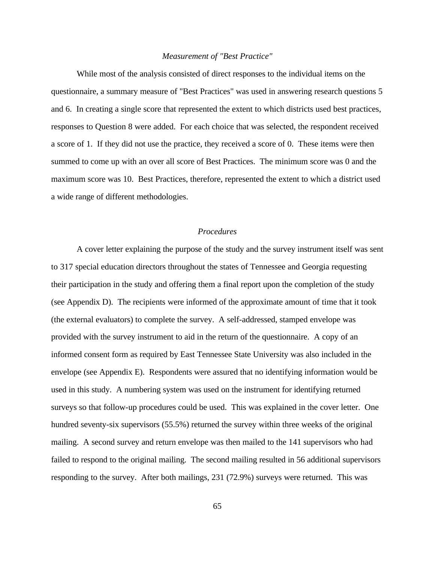### *Measurement of "Best Practice"*

While most of the analysis consisted of direct responses to the individual items on the questionnaire, a summary measure of "Best Practices" was used in answering research questions 5 and 6. In creating a single score that represented the extent to which districts used best practices, responses to Question 8 were added. For each choice that was selected, the respondent received a score of 1. If they did not use the practice, they received a score of 0. These items were then summed to come up with an over all score of Best Practices. The minimum score was 0 and the maximum score was 10. Best Practices, therefore, represented the extent to which a district used a wide range of different methodologies.

## *Procedures*

A cover letter explaining the purpose of the study and the survey instrument itself was sent to 317 special education directors throughout the states of Tennessee and Georgia requesting their participation in the study and offering them a final report upon the completion of the study (see Appendix D). The recipients were informed of the approximate amount of time that it took (the external evaluators) to complete the survey. A self-addressed, stamped envelope was provided with the survey instrument to aid in the return of the questionnaire. A copy of an informed consent form as required by East Tennessee State University was also included in the envelope (see Appendix E). Respondents were assured that no identifying information would be used in this study. A numbering system was used on the instrument for identifying returned surveys so that follow-up procedures could be used. This was explained in the cover letter. One hundred seventy-six supervisors (55.5%) returned the survey within three weeks of the original mailing. A second survey and return envelope was then mailed to the 141 supervisors who had failed to respond to the original mailing. The second mailing resulted in 56 additional supervisors responding to the survey. After both mailings, 231 (72.9%) surveys were returned. This was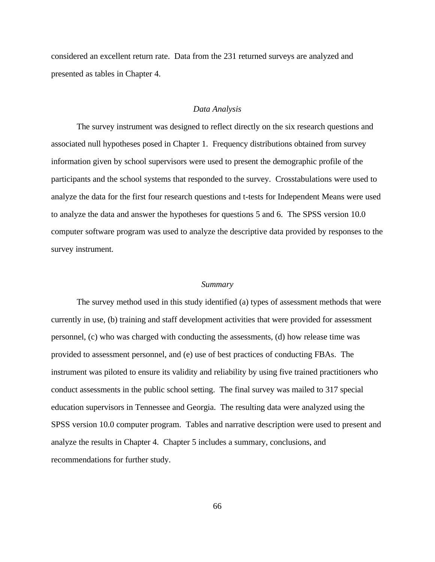considered an excellent return rate. Data from the 231 returned surveys are analyzed and presented as tables in Chapter 4.

## *Data Analysis*

The survey instrument was designed to reflect directly on the six research questions and associated null hypotheses posed in Chapter 1. Frequency distributions obtained from survey information given by school supervisors were used to present the demographic profile of the participants and the school systems that responded to the survey. Crosstabulations were used to analyze the data for the first four research questions and t-tests for Independent Means were used to analyze the data and answer the hypotheses for questions 5 and 6. The SPSS version 10.0 computer software program was used to analyze the descriptive data provided by responses to the survey instrument.

### *Summary*

The survey method used in this study identified (a) types of assessment methods that were currently in use, (b) training and staff development activities that were provided for assessment personnel, (c) who was charged with conducting the assessments, (d) how release time was provided to assessment personnel, and (e) use of best practices of conducting FBAs. The instrument was piloted to ensure its validity and reliability by using five trained practitioners who conduct assessments in the public school setting. The final survey was mailed to 317 special education supervisors in Tennessee and Georgia. The resulting data were analyzed using the SPSS version 10.0 computer program. Tables and narrative description were used to present and analyze the results in Chapter 4. Chapter 5 includes a summary, conclusions, and recommendations for further study.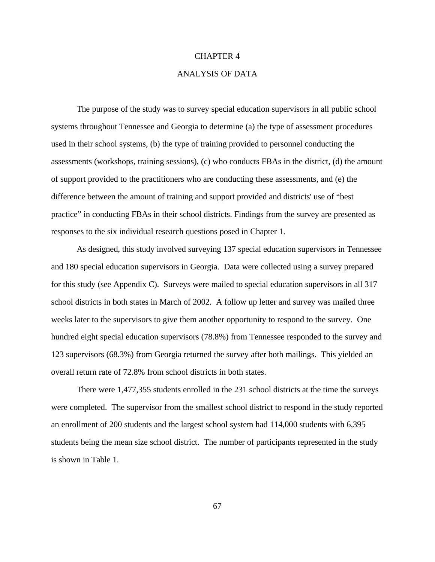## CHAPTER 4

## ANALYSIS OF DATA

The purpose of the study was to survey special education supervisors in all public school systems throughout Tennessee and Georgia to determine (a) the type of assessment procedures used in their school systems, (b) the type of training provided to personnel conducting the assessments (workshops, training sessions), (c) who conducts FBAs in the district, (d) the amount of support provided to the practitioners who are conducting these assessments, and (e) the difference between the amount of training and support provided and districts' use of "best practice" in conducting FBAs in their school districts. Findings from the survey are presented as responses to the six individual research questions posed in Chapter 1.

As designed, this study involved surveying 137 special education supervisors in Tennessee and 180 special education supervisors in Georgia. Data were collected using a survey prepared for this study (see Appendix C). Surveys were mailed to special education supervisors in all 317 school districts in both states in March of 2002. A follow up letter and survey was mailed three weeks later to the supervisors to give them another opportunity to respond to the survey. One hundred eight special education supervisors (78.8%) from Tennessee responded to the survey and 123 supervisors (68.3%) from Georgia returned the survey after both mailings. This yielded an overall return rate of 72.8% from school districts in both states.

There were 1,477,355 students enrolled in the 231 school districts at the time the surveys were completed. The supervisor from the smallest school district to respond in the study reported an enrollment of 200 students and the largest school system had 114,000 students with 6,395 students being the mean size school district. The number of participants represented in the study is shown in Table 1.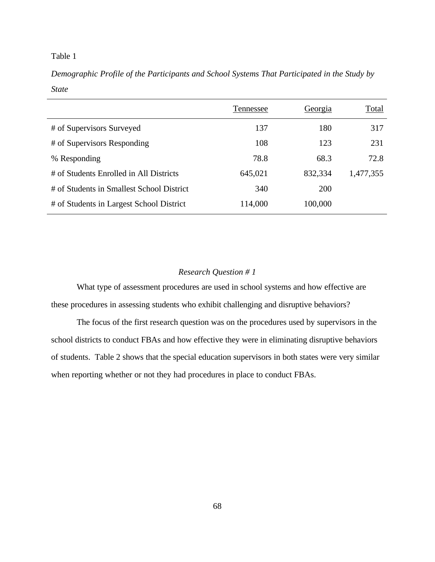## Table 1

*Demographic Profile of the Participants and School Systems That Participated in the Study by State*

|                                           | Tennessee | <u>Georgia</u> | <b>Total</b> |
|-------------------------------------------|-----------|----------------|--------------|
| # of Supervisors Surveyed                 | 137       | 180            | 317          |
| # of Supervisors Responding               | 108       | 123            | 231          |
| % Responding                              | 78.8      | 68.3           | 72.8         |
| # of Students Enrolled in All Districts   | 645,021   | 832,334        | 1,477,355    |
| # of Students in Smallest School District | 340       | <b>200</b>     |              |
| # of Students in Largest School District  | 114,000   | 100,000        |              |

## *Research Question # 1*

What type of assessment procedures are used in school systems and how effective are these procedures in assessing students who exhibit challenging and disruptive behaviors?

The focus of the first research question was on the procedures used by supervisors in the school districts to conduct FBAs and how effective they were in eliminating disruptive behaviors of students. Table 2 shows that the special education supervisors in both states were very similar when reporting whether or not they had procedures in place to conduct FBAs.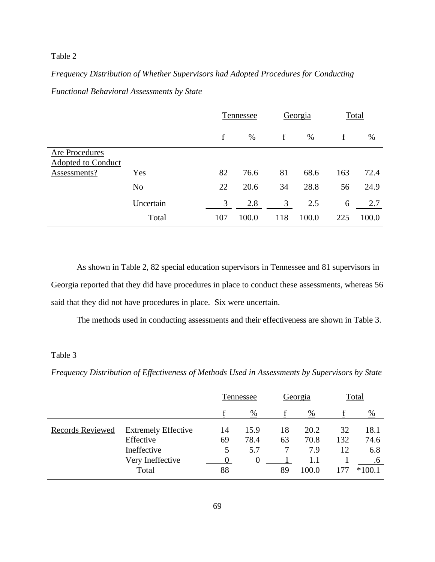## Table 2

## *Frequency Distribution of Whether Supervisors had Adopted Procedures for Conducting*

|                                             |                | Tennessee |               | Georgia                  |               | Total |               |
|---------------------------------------------|----------------|-----------|---------------|--------------------------|---------------|-------|---------------|
|                                             |                | f         | $\frac{0}{0}$ | $\underline{\mathrm{f}}$ | $\frac{0}{0}$ | f     | $\frac{0}{0}$ |
| Are Procedures<br><b>Adopted to Conduct</b> |                |           |               |                          |               |       |               |
| Assessments?                                | Yes            | 82        | 76.6          | 81                       | 68.6          | 163   | 72.4          |
|                                             | N <sub>o</sub> | 22        | 20.6          | 34                       | 28.8          | 56    | 24.9          |
|                                             | Uncertain      | 3         | 2.8           | 3                        | 2.5           | 6     | 2.7           |
|                                             | Total          | 107       | 100.0         | 118                      | 100.0         | 225   | 100.0         |

*Functional Behavioral Assessments by State*

As shown in Table 2, 82 special education supervisors in Tennessee and 81 supervisors in Georgia reported that they did have procedures in place to conduct these assessments, whereas 56 said that they did not have procedures in place. Six were uncertain.

The methods used in conducting assessments and their effectiveness are shown in Table 3.

## Table 3

*Frequency Distribution of Effectiveness of Methods Used in Assessments by Supervisors by State*

|                         |                            |    | Tennessee     |    | Georgia       |     | Total         |
|-------------------------|----------------------------|----|---------------|----|---------------|-----|---------------|
|                         |                            |    | $\frac{0}{0}$ |    | $\frac{0}{0}$ |     | $\frac{0}{0}$ |
| <b>Records Reviewed</b> | <b>Extremely Effective</b> | 14 | 15.9          | 18 | 20.2          | 32  | 18.1          |
|                         | Effective                  | 69 | 78.4          | 63 | 70.8          | 132 | 74.6          |
|                         | Ineffective                | 5  | 5.7           |    | 7.9           | 12  | 6.8           |
|                         | Very Ineffective           |    |               |    |               |     | .6            |
|                         | Total                      | 88 |               | 89 | 100.0         |     | $*100.1$      |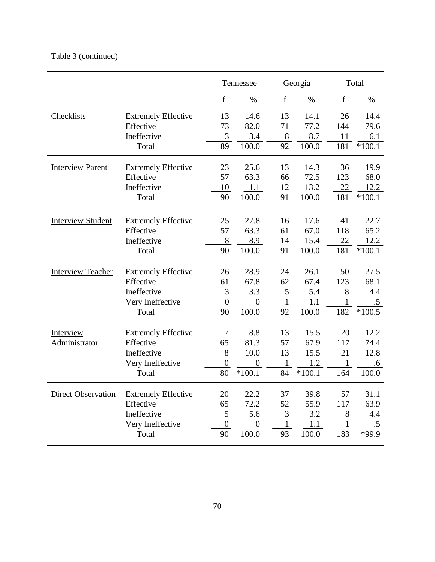## Table 3 (continued)

|                           |                            |                  | <b>Tennessee</b> |              | Georgia       |     | <b>Total</b>  |  |
|---------------------------|----------------------------|------------------|------------------|--------------|---------------|-----|---------------|--|
|                           |                            | f                | $\frac{0}{0}$    | f            | $\frac{0}{0}$ | f   | $\frac{0}{0}$ |  |
| <b>Checklists</b>         | <b>Extremely Effective</b> | 13               | 14.6             | 13           | 14.1          | 26  | 14.4          |  |
|                           | Effective                  | 73               | 82.0             | 71           | 77.2          | 144 | 79.6          |  |
|                           | Ineffective                | 3                | 3.4              | 8            | 8.7           | 11  | 6.1           |  |
|                           | Total                      | 89               | 100.0            | 92           | 100.0         | 181 | $*100.1$      |  |
| <b>Interview Parent</b>   | <b>Extremely Effective</b> | 23               | 25.6             | 13           | 14.3          | 36  | 19.9          |  |
|                           | Effective                  | 57               | 63.3             | 66           | 72.5          | 123 | 68.0          |  |
|                           | Ineffective                | 10               | 11.1             | 12           | 13.2          | 22  | 12.2          |  |
|                           | Total                      | 90               | 100.0            | 91           | 100.0         | 181 | $*100.1$      |  |
| <b>Interview Student</b>  | <b>Extremely Effective</b> | 25               | 27.8             | 16           | 17.6          | 41  | 22.7          |  |
|                           | Effective                  | 57               | 63.3             | 61           | 67.0          | 118 | 65.2          |  |
|                           | Ineffective                | 8                | 8.9              | 14           | 15.4          | 22  | 12.2          |  |
|                           | Total                      | 90               | 100.0            | 91           | 100.0         | 181 | $*100.1$      |  |
| <b>Interview Teacher</b>  | <b>Extremely Effective</b> | 26               | 28.9             | 24           | 26.1          | 50  | 27.5          |  |
|                           | Effective                  | 61               | 67.8             | 62           | 67.4          | 123 | 68.1          |  |
|                           | Ineffective                | 3                | 3.3              | 5            | 5.4           | 8   | 4.4           |  |
|                           | Very Ineffective           | $\boldsymbol{0}$ | $\boldsymbol{0}$ | $\mathbf{1}$ | 1.1           | 1   | $.5\,$        |  |
|                           | Total                      | 90               | 100.0            | 92           | 100.0         | 182 | $*100.5$      |  |
| Interview                 | <b>Extremely Effective</b> | 7                | 8.8              | 13           | 15.5          | 20  | 12.2          |  |
| Administrator             | Effective                  | 65               | 81.3             | 57           | 67.9          | 117 | 74.4          |  |
|                           | Ineffective                | 8                | 10.0             | 13           | 15.5          | 21  | 12.8          |  |
|                           | Very Ineffective           | $\boldsymbol{0}$ | $\theta$         |              | 1.2           | 1   | .6            |  |
|                           | Total                      | 80               | $*100.1$         | 84           | $*100.1$      | 164 | 100.0         |  |
| <b>Direct Observation</b> | <b>Extremely Effective</b> | 20               | 22.2             | 37           | 39.8          | 57  | 31.1          |  |
|                           | Effective                  | 65               | 72.2             | 52           | 55.9          | 117 | 63.9          |  |
|                           | Ineffective                | 5                | 5.6              | 3            | 3.2           | 8   | 4.4           |  |
|                           | Very Ineffective           | $\boldsymbol{0}$ | $\boldsymbol{0}$ | $\mathbf{1}$ | 1.1           | 1   | $.5\,$        |  |
|                           | Total                      | 90               | 100.0            | 93           | 100.0         | 183 | *99.9         |  |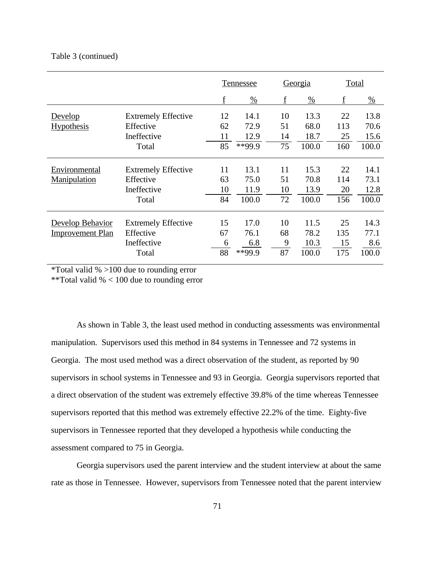## Table 3 (continued)

|                         |                            |    | <b>Tennessee</b> |    | Georgia       |     | <b>Total</b>  |
|-------------------------|----------------------------|----|------------------|----|---------------|-----|---------------|
|                         |                            | f  | $\frac{0}{0}$    | f  | $\frac{0}{0}$ | f   | $\frac{0}{0}$ |
| Develop                 | <b>Extremely Effective</b> | 12 | 14.1             | 10 | 13.3          | 22  | 13.8          |
| <b>Hypothesis</b>       | Effective                  | 62 | 72.9             | 51 | 68.0          | 113 | 70.6          |
|                         | Ineffective                | 11 | 12.9             | 14 | 18.7          | 25  | 15.6          |
|                         | Total                      | 85 | **99.9           | 75 | 100.0         | 160 | 100.0         |
| Environmental           | <b>Extremely Effective</b> | 11 | 13.1             | 11 | 15.3          | 22  | 14.1          |
| Manipulation            | Effective                  | 63 | 75.0             | 51 | 70.8          | 114 | 73.1          |
|                         | Ineffective                | 10 | 11.9             | 10 | 13.9          | 20  | 12.8          |
|                         | Total                      | 84 | 100.0            | 72 | 100.0         | 156 | 100.0         |
| Develop Behavior        | <b>Extremely Effective</b> | 15 | 17.0             | 10 | 11.5          | 25  | 14.3          |
| <b>Improvement Plan</b> | Effective                  | 67 | 76.1             | 68 | 78.2          | 135 | 77.1          |
|                         | Ineffective                | 6  | 6.8              | 9  | 10.3          | 15  | 8.6           |
|                         | Total                      | 88 | **99.9           | 87 | 100.0         | 175 | 100.0         |

\*Total valid % >100 due to rounding error

\*\*Total valid % < 100 due to rounding error

As shown in Table 3, the least used method in conducting assessments was environmental manipulation. Supervisors used this method in 84 systems in Tennessee and 72 systems in Georgia. The most used method was a direct observation of the student, as reported by 90 supervisors in school systems in Tennessee and 93 in Georgia. Georgia supervisors reported that a direct observation of the student was extremely effective 39.8% of the time whereas Tennessee supervisors reported that this method was extremely effective 22.2% of the time. Eighty-five supervisors in Tennessee reported that they developed a hypothesis while conducting the assessment compared to 75 in Georgia.

Georgia supervisors used the parent interview and the student interview at about the same rate as those in Tennessee. However, supervisors from Tennessee noted that the parent interview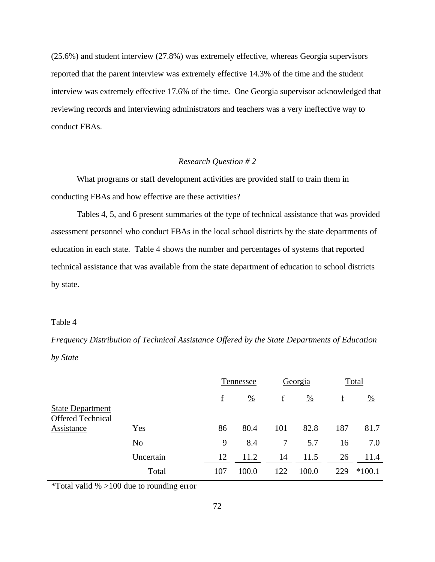(25.6%) and student interview (27.8%) was extremely effective, whereas Georgia supervisors reported that the parent interview was extremely effective 14.3% of the time and the student interview was extremely effective 17.6% of the time. One Georgia supervisor acknowledged that reviewing records and interviewing administrators and teachers was a very ineffective way to conduct FBAs.

#### *Research Question # 2*

What programs or staff development activities are provided staff to train them in conducting FBAs and how effective are these activities?

Tables 4, 5, and 6 present summaries of the type of technical assistance that was provided assessment personnel who conduct FBAs in the local school districts by the state departments of education in each state. Table 4 shows the number and percentages of systems that reported technical assistance that was available from the state department of education to school districts by state.

#### Table 4

*Frequency Distribution of Technical Assistance Offered by the State Departments of Education by State*

|                          |                |     | Tennessee     |        | Georgia       |     | Total         |
|--------------------------|----------------|-----|---------------|--------|---------------|-----|---------------|
|                          |                |     | $\frac{0}{0}$ | f      | $\frac{0}{0}$ |     | $\frac{0}{0}$ |
| <b>State Department</b>  |                |     |               |        |               |     |               |
| <b>Offered Technical</b> |                |     |               |        |               |     |               |
| Assistance               | Yes            | 86  | 80.4          | 101    | 82.8          | 187 | 81.7          |
|                          | N <sub>0</sub> | 9   | 8.4           | $\tau$ | 5.7           | 16  | 7.0           |
|                          | Uncertain      | 12  | 11.2          | 14     | 11.5          | 26  | 11.4          |
|                          | Total          | 107 | 100.0         | 122    | 100.0         | 229 | $*100.1$      |

\*Total valid % >100 due to rounding error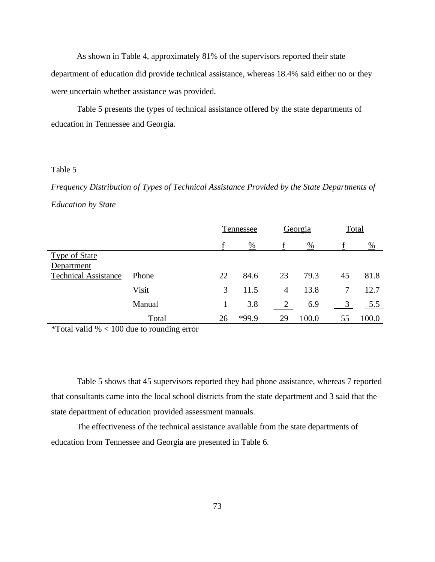As shown in Table 4, approximately 81% of the supervisors reported their state department of education did provide technical assistance, whereas 18.4% said either no or they were uncertain whether assistance was provided.

Table 5 presents the types of technical assistance offered by the state departments of education in Tennessee and Georgia.

## Table 5

*Frequency Distribution of Types of Technical Assistance Provided by the State Departments of Education by State*

|                             |        |    | Tennessee     |                | Georgia       |    | Total         |
|-----------------------------|--------|----|---------------|----------------|---------------|----|---------------|
|                             |        |    | $\frac{0}{0}$ |                | $\frac{0}{0}$ |    | $\frac{0}{0}$ |
| <b>Type of State</b>        |        |    |               |                |               |    |               |
| Department                  |        |    |               |                |               |    |               |
| <b>Technical Assistance</b> | Phone  | 22 | 84.6          | 23             | 79.3          | 45 | 81.8          |
|                             | Visit  | 3  | 11.5          | $\overline{4}$ | 13.8          | 7  | 12.7          |
|                             | Manual |    | 3.8           | 2              | 6.9           | 3  | 5.5           |
|                             | Total  | 26 | *99.9         | 29             | 100.0         | 55 | 100.0         |

\*Total valid  $% < 100$  due to rounding error

Table 5 shows that 45 supervisors reported they had phone assistance, whereas 7 reported that consultants came into the local school districts from the state department and 3 said that the state department of education provided assessment manuals.

The effectiveness of the technical assistance available from the state departments of education from Tennessee and Georgia are presented in Table 6.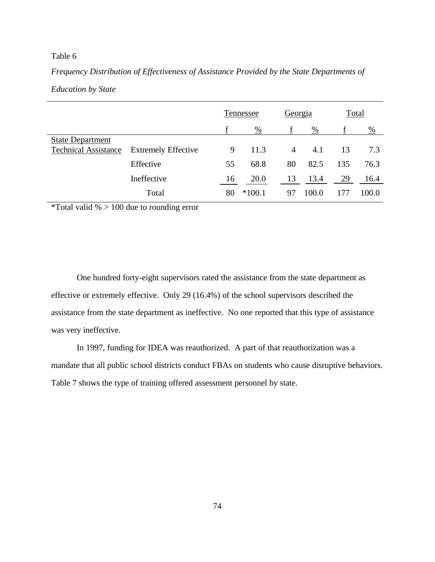# Table 6

*Frequency Distribution of Effectiveness of Assistance Provided by the State Departments of Education by State*

|                             |                            | Tennessee          |          | Georgia        |       |               | Total |
|-----------------------------|----------------------------|--------------------|----------|----------------|-------|---------------|-------|
|                             |                            | %<br>$\frac{0}{0}$ |          |                |       | $\frac{0}{0}$ |       |
| <b>State Department</b>     |                            |                    |          |                |       |               |       |
| <b>Technical Assistance</b> | <b>Extremely Effective</b> | 9                  | 11.3     | $\overline{4}$ | 4.1   | 13            | 7.3   |
|                             | Effective                  | 55                 | 68.8     | 80             | 82.5  | 135           | 76.3  |
|                             | Ineffective                | 16                 | 20.0     | 13             | 13.4  | 29            | 16.4  |
|                             | Total                      | 80                 | $*100.1$ | 97             | 100.0 | 177           | 100.0 |

\*Total valid  $\% > 100$  due to rounding error

One hundred forty-eight supervisors rated the assistance from the state department as effective or extremely effective. Only 29 (16.4%) of the school supervisors described the assistance from the state department as ineffective. No one reported that this type of assistance was very ineffective.

In 1997, funding for IDEA was reauthorized. A part of that reauthorization was a mandate that all public school districts conduct FBAs on students who cause disruptive behaviors. Table 7 shows the type of training offered assessment personnel by state.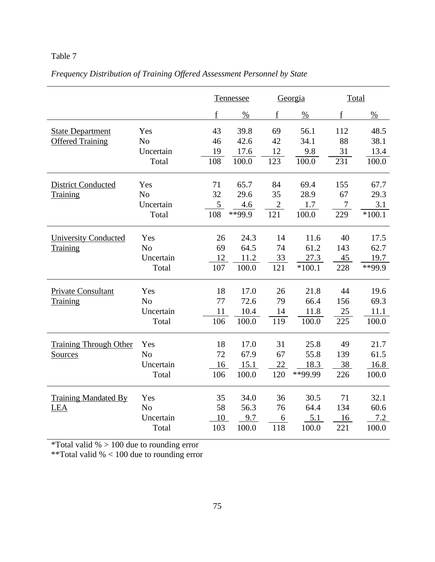# Table 7

# *Frequency Distribution of Training Offered Assessment Personnel by State*

|                               |                             |             | Tennessee    |              | Georgia       |                          | Total         |
|-------------------------------|-----------------------------|-------------|--------------|--------------|---------------|--------------------------|---------------|
|                               |                             | $\mathbf f$ | $\%$         | f            | $\frac{0}{0}$ | $\underline{\mathbf{f}}$ | $\frac{0}{0}$ |
| <b>State Department</b>       | Yes                         | 43<br>46    | 39.8<br>42.6 | 69<br>42     | 56.1<br>34.1  | 112<br>88                | 48.5<br>38.1  |
| <b>Offered Training</b>       | N <sub>o</sub><br>Uncertain | 19          | 17.6         | 12           | 9.8           | 31                       | 13.4          |
|                               | Total                       | 108         | 100.0        | 123          | 100.0         | 231                      | 100.0         |
| <b>District Conducted</b>     | Yes                         | 71          | 65.7         | 84           | 69.4          | 155                      | 67.7          |
| Training                      | N <sub>o</sub>              | 32          | 29.6         | 35           | 28.9          | 67                       | 29.3          |
|                               | Uncertain                   | 5           | 4.6          | $\mathbf{2}$ | 1.7           | 7                        | 3.1           |
|                               | Total                       | 108         | **99.9       | 121          | 100.0         | 229                      | $*100.1$      |
| <b>University Conducted</b>   | Yes                         | 26          | 24.3         | 14           | 11.6          | 40                       | 17.5          |
| Training                      | N <sub>o</sub>              | 69          | 64.5         | 74           | 61.2          | 143                      | 62.7          |
|                               | Uncertain                   | 12          | 11.2         | 33           | 27.3          | 45                       | 19.7          |
|                               | Total                       | 107         | 100.0        | 121          | $*100.1$      | 228                      | **99.9        |
| <b>Private Consultant</b>     | Yes                         | 18          | 17.0         | 26           | 21.8          | 44                       | 19.6          |
| Training                      | N <sub>o</sub>              | 77          | 72.6         | 79           | 66.4          | 156                      | 69.3          |
|                               | Uncertain                   | 11          | 10.4         | 14           | 11.8          | 25                       | 11.1          |
|                               | Total                       | 106         | 100.0        | 119          | 100.0         | 225                      | 100.0         |
| <b>Training Through Other</b> | Yes                         | 18          | 17.0         | 31           | 25.8          | 49                       | 21.7          |
| Sources                       | N <sub>o</sub>              | 72          | 67.9         | 67           | 55.8          | 139                      | 61.5          |
|                               | Uncertain                   | 16          | 15.1         | 22           | 18.3          | 38                       | 16.8          |
|                               | Total                       | 106         | 100.0        | 120          | **99.99       | 226                      | 100.0         |
| <b>Training Mandated By</b>   | Yes                         | 35          | 34.0         | 36           | 30.5          | 71                       | 32.1          |
| LEA                           | N <sub>o</sub>              | 58          | 56.3         | 76           | 64.4          | 134                      | 60.6          |
|                               | Uncertain                   | 10          | 9.7          | 6            | 5.1           | 16                       | 7.2           |
|                               | Total                       | 103         | 100.0        | 118          | 100.0         | 221                      | 100.0         |

\*Total valid % > 100 due to rounding error

\*\*Total valid % < 100 due to rounding error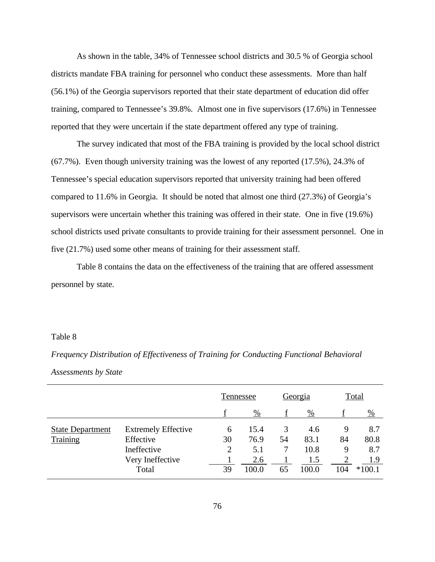As shown in the table, 34% of Tennessee school districts and 30.5 % of Georgia school districts mandate FBA training for personnel who conduct these assessments. More than half (56.1%) of the Georgia supervisors reported that their state department of education did offer training, compared to Tennessee's 39.8%. Almost one in five supervisors (17.6%) in Tennessee reported that they were uncertain if the state department offered any type of training.

The survey indicated that most of the FBA training is provided by the local school district (67.7%). Even though university training was the lowest of any reported (17.5%), 24.3% of Tennessee's special education supervisors reported that university training had been offered compared to 11.6% in Georgia. It should be noted that almost one third (27.3%) of Georgia's supervisors were uncertain whether this training was offered in their state. One in five (19.6%) school districts used private consultants to provide training for their assessment personnel. One in five (21.7%) used some other means of training for their assessment staff.

Table 8 contains the data on the effectiveness of the training that are offered assessment personnel by state.

### Table 8

*Frequency Distribution of Effectiveness of Training for Conducting Functional Behavioral Assessments by State*

|                         |                            |                | Tennessee     |    | Georgia       |     | <b>Total</b>  |
|-------------------------|----------------------------|----------------|---------------|----|---------------|-----|---------------|
|                         |                            |                | $\frac{0}{0}$ |    | $\frac{0}{0}$ |     | $\frac{0}{0}$ |
| <b>State Department</b> | <b>Extremely Effective</b> | 6              | 15.4          |    | 4.6           | 9   | 8.7           |
| Training                | Effective                  | 30             | 76.9          | 54 | 83.1          | 84  | 80.8          |
|                         | Ineffective                | $\overline{2}$ | 5.1           |    | 10.8          | 9   | 8.7           |
|                         | Very Ineffective           |                | 2.6           |    | 1.5           |     | 1.9           |
|                         | Total                      | 39             | 100.0         | 65 | 100.0         | 104 | $*100.1$      |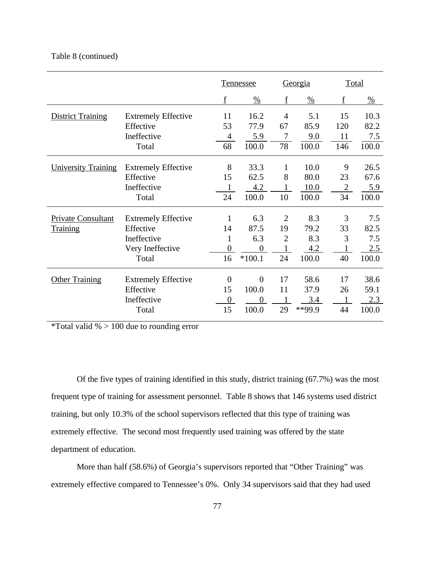# Table 8 (continued)

|                            |                            |                  | <b>Tennessee</b> |                | Georgia       |                | Total         |
|----------------------------|----------------------------|------------------|------------------|----------------|---------------|----------------|---------------|
|                            |                            | $\mathbf f$      | $\frac{0}{0}$    | f              | $\frac{0}{0}$ | $f_{\rm}$      | $\frac{0}{0}$ |
| <b>District Training</b>   | <b>Extremely Effective</b> | 11               | 16.2             | $\overline{4}$ | 5.1           | 15             | 10.3          |
|                            | Effective                  | 53               | 77.9             | 67             | 85.9          | 120            | 82.2          |
|                            | Ineffective                | 4                | 5.9              | 7              | 9.0           | 11             | 7.5           |
|                            | Total                      | 68               | 100.0            | 78             | 100.0         | 146            | 100.0         |
| <b>University Training</b> | <b>Extremely Effective</b> | 8                | 33.3             | 1              | 10.0          | 9              | 26.5          |
|                            | Effective                  | 15               | 62.5             | 8              | 80.0          | 23             | 67.6          |
|                            | Ineffective                | 1                | 4.2              |                | 10.0          | $\overline{2}$ | 5.9           |
|                            | Total                      | 24               | 100.0            | 10             | 100.0         | 34             | 100.0         |
| <b>Private Consultant</b>  | <b>Extremely Effective</b> | $\mathbf{1}$     | 6.3              | $\overline{2}$ | 8.3           | 3              | 7.5           |
| <b>Training</b>            | Effective                  | 14               | 87.5             | 19             | 79.2          | 33             | 82.5          |
|                            | Ineffective                | 1                | 6.3              | $\overline{2}$ | 8.3           | 3              | 7.5           |
|                            | Very Ineffective           | $\overline{0}$   | $\overline{0}$   |                | 4.2           |                | 2.5           |
|                            | Total                      | 16               | $*100.1$         | 24             | 100.0         | 40             | 100.0         |
| <b>Other Training</b>      | <b>Extremely Effective</b> | $\overline{0}$   | $\theta$         | 17             | 58.6          | 17             | 38.6          |
|                            | Effective                  | 15               | 100.0            | 11             | 37.9          | 26             | 59.1          |
|                            | Ineffective                | $\boldsymbol{0}$ | 0                |                | 3.4           |                | 2.3           |
|                            | Total                      | 15               | 100.0            | 29             | **99.9        | 44             | 100.0         |

\*Total valid % > 100 due to rounding error

Of the five types of training identified in this study, district training (67.7%) was the most frequent type of training for assessment personnel. Table 8 shows that 146 systems used district training, but only 10.3% of the school supervisors reflected that this type of training was extremely effective. The second most frequently used training was offered by the state department of education.

More than half (58.6%) of Georgia's supervisors reported that "Other Training" was extremely effective compared to Tennessee's 0%. Only 34 supervisors said that they had used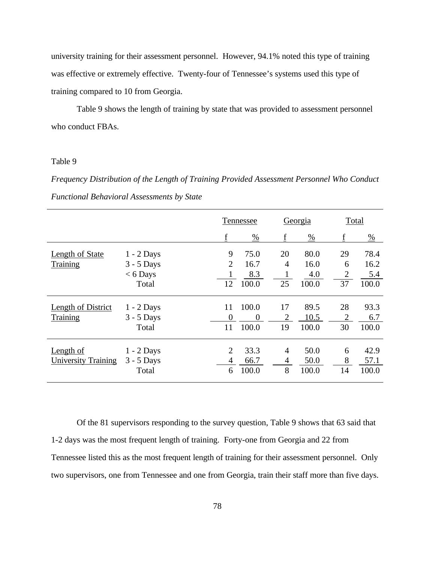university training for their assessment personnel. However, 94.1% noted this type of training was effective or extremely effective. Twenty-four of Tennessee's systems used this type of training compared to 10 from Georgia.

Table 9 shows the length of training by state that was provided to assessment personnel who conduct FBAs.

### Table 9

*Frequency Distribution of the Length of Training Provided Assessment Personnel Who Conduct Functional Behavioral Assessments by State*

|                           |              | Tennessee      |                | Georgia        |               | Total          |                          |
|---------------------------|--------------|----------------|----------------|----------------|---------------|----------------|--------------------------|
|                           |              | f              | $\frac{0}{0}$  | f              | $\frac{0}{0}$ | f              | $\frac{\%}{\phantom{a}}$ |
| <b>Length of State</b>    | $1 - 2$ Days | 9              | 75.0           | 20             | 80.0          | 29             | 78.4                     |
| Training                  | $3 - 5$ Days | $\overline{2}$ | 16.7           | $\overline{4}$ | 16.0          | 6              | 16.2                     |
|                           | $< 6$ Days   |                | 8.3            |                | 4.0           | $\overline{2}$ | 5.4                      |
|                           | Total        | 12             | 100.0          | 25             | 100.0         | 37             | 100.0                    |
| <b>Length of District</b> | $1 - 2$ Days | 11             | 100.0          | 17             | 89.5          | 28             | 93.3                     |
| Training                  | $3 - 5$ Days | $\theta$       | $\overline{0}$ | 2              | 10.5          | 2              | 6.7                      |
|                           | Total        | 11             | 100.0          | 19             | 100.0         | 30             | 100.0                    |
| Length of                 | $1 - 2$ Days | $\overline{2}$ | 33.3           | 4              | 50.0          | 6              | 42.9                     |
| University Training       | $3 - 5$ Days | 4              | 66.7           | 4              | 50.0          | 8              | 57.1                     |
|                           | Total        | 6              | 100.0          | 8              | 100.0         | 14             | 100.0                    |

Of the 81 supervisors responding to the survey question, Table 9 shows that 63 said that 1-2 days was the most frequent length of training. Forty-one from Georgia and 22 from Tennessee listed this as the most frequent length of training for their assessment personnel. Only two supervisors, one from Tennessee and one from Georgia, train their staff more than five days.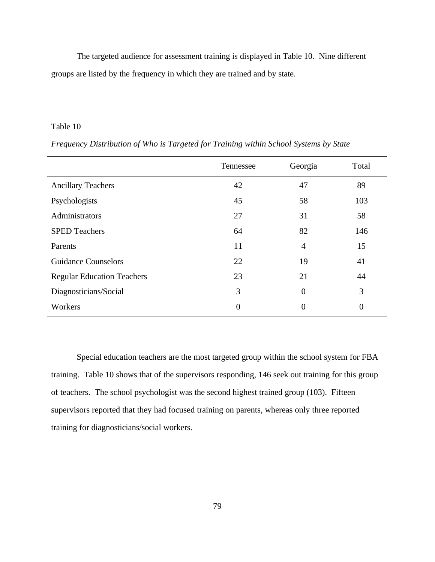The targeted audience for assessment training is displayed in Table 10. Nine different groups are listed by the frequency in which they are trained and by state.

## Table 10

|                                   | Tennessee      | Georgia          | Total            |
|-----------------------------------|----------------|------------------|------------------|
| <b>Ancillary Teachers</b>         | 42             | 47               | 89               |
| Psychologists                     | 45             | 58               | 103              |
| Administrators                    | 27             | 31               | 58               |
| <b>SPED Teachers</b>              | 64             | 82               | 146              |
| Parents                           | 11             | $\overline{4}$   | 15               |
| <b>Guidance Counselors</b>        | 22             | 19               | 41               |
| <b>Regular Education Teachers</b> | 23             | 21               | 44               |
| Diagnosticians/Social             | 3              | $\overline{0}$   | 3                |
| Workers                           | $\overline{0}$ | $\boldsymbol{0}$ | $\boldsymbol{0}$ |

*Frequency Distribution of Who is Targeted for Training within School Systems by State*

Special education teachers are the most targeted group within the school system for FBA training. Table 10 shows that of the supervisors responding, 146 seek out training for this group of teachers. The school psychologist was the second highest trained group (103). Fifteen supervisors reported that they had focused training on parents, whereas only three reported training for diagnosticians/social workers.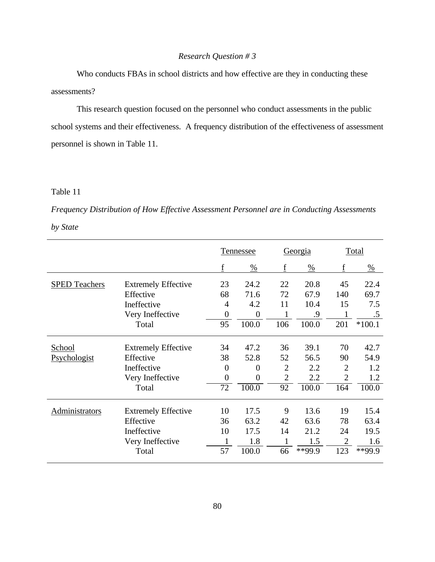# *Research Question # 3*

Who conducts FBAs in school districts and how effective are they in conducting these assessments?

This research question focused on the personnel who conduct assessments in the public school systems and their effectiveness. A frequency distribution of the effectiveness of assessment personnel is shown in Table 11.

# Table 11

*Frequency Distribution of How Effective Assessment Personnel are in Conducting Assessments by State*

|                       |                            | Tennessee        |                | Georgia        |               |                | Total         |
|-----------------------|----------------------------|------------------|----------------|----------------|---------------|----------------|---------------|
|                       |                            | f                | $\frac{0}{0}$  | f              | $\frac{0}{0}$ | f              | $\frac{0}{0}$ |
| <b>SPED Teachers</b>  | <b>Extremely Effective</b> | 23               | 24.2           | 22             | 20.8          | 45             | 22.4          |
|                       | Effective                  | 68               | 71.6           | 72             | 67.9          | 140            | 69.7          |
|                       | Ineffective                | 4                | 4.2            | 11             | 10.4          | 15             | 7.5           |
|                       | Very Ineffective           | $\theta$         | $\overline{0}$ | 1              | .9            | 1              | $.5\,$        |
|                       | Total                      | 95               | 100.0          | 106            | 100.0         | 201            | $*100.1$      |
| School                | <b>Extremely Effective</b> | 34               | 47.2           | 36             | 39.1          | 70             | 42.7          |
| Psychologist          | Effective                  | 38               | 52.8           | 52             | 56.5          | 90             | 54.9          |
|                       | Ineffective                | $\theta$         | $\overline{0}$ | $\overline{2}$ | 2.2           | $\overline{2}$ | 1.2           |
|                       | Very Ineffective           | $\boldsymbol{0}$ | $\overline{0}$ | $\overline{2}$ | 2.2           | $\overline{2}$ | 1.2           |
|                       | Total                      | $\overline{72}$  | 100.0          | 92             | 100.0         | 164            | 100.0         |
| <b>Administrators</b> | <b>Extremely Effective</b> | 10               | 17.5           | 9              | 13.6          | 19             | 15.4          |
|                       | Effective                  | 36               | 63.2           | 42             | 63.6          | 78             | 63.4          |
|                       | Ineffective                | 10               | 17.5           | 14             | 21.2          | 24             | 19.5          |
|                       | Very Ineffective           | 1                | 1.8            | 1              | 1.5           | $\overline{2}$ | 1.6           |
|                       | Total                      | 57               | 100.0          | 66             | **99.9        | 123            | **99.9        |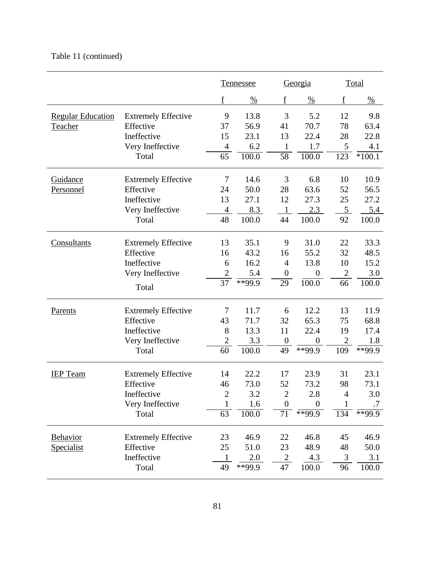# Table 11 (continued)

|                          |                            |                 | Tennessee            |                  | Georgia            |                | Total         |
|--------------------------|----------------------------|-----------------|----------------------|------------------|--------------------|----------------|---------------|
|                          |                            | f               | $\frac{0}{0}$        | f                | $\frac{0}{0}$      | $\mathbf f$    | $\frac{0}{0}$ |
| <b>Regular Education</b> | <b>Extremely Effective</b> | 9               | 13.8                 | 3                | 5.2                | 12             | 9.8           |
| <b>Teacher</b>           | Effective                  | 37              | 56.9                 | 41               | 70.7               | 78             | 63.4          |
|                          | Ineffective                | 15              | 23.1                 | 13               | 22.4               | 28             | 22.8          |
|                          | Very Ineffective           | $\overline{4}$  | 6.2                  | 1                | 1.7                | 5              | 4.1           |
|                          | Total                      | 65              | 100.0                | $\overline{58}$  | 100.0              | 123            | $*100.1$      |
| <b>Guidance</b>          | <b>Extremely Effective</b> | 7               | 14.6                 | 3                | 6.8                | 10             | 10.9          |
| Personnel                | Effective                  | 24              | 50.0                 | 28               | 63.6               | 52             | 56.5          |
|                          | Ineffective                | 13              | 27.1                 | 12               | 27.3               | 25             | 27.2          |
|                          | Very Ineffective           | $\overline{4}$  | 8.3                  |                  | 2.3                | $\overline{5}$ | 5.4           |
|                          | Total                      | 48              | 100.0                | 44               | 100.0              | 92             | 100.0         |
| Consultants              | <b>Extremely Effective</b> | 13              | 35.1                 | 9                | 31.0               | 22             | 33.3          |
|                          | Effective                  | 16              | 43.2                 | 16               | 55.2               | 32             | 48.5          |
|                          | Ineffective                | 6               | 16.2                 | 4                | 13.8               | 10             | 15.2          |
|                          | Very Ineffective           | $\overline{c}$  | 5.4                  | $\boldsymbol{0}$ | $\theta$           | $\mathbf{2}$   | 3.0           |
|                          | Total                      | $\overline{37}$ | $*$ <sup>99</sup> .9 | $\overline{29}$  | $100.\overline{0}$ | 66             | 100.0         |
| Parents                  | <b>Extremely Effective</b> | 7               | 11.7                 | 6                | 12.2               | 13             | 11.9          |
|                          | Effective                  | 43              | 71.7                 | 32               | 65.3               | 75             | 68.8          |
|                          | Ineffective                | 8               | 13.3                 | 11               | 22.4               | 19             | 17.4          |
|                          | Very Ineffective           | $\overline{c}$  | 3.3                  | $\boldsymbol{0}$ | $\overline{0}$     | $\mathfrak{2}$ | 1.8           |
|                          | Total                      | 60              | 100.0                | 49               | **99.9             | 109            | **99.9        |
| <b>IEP</b> Team          | <b>Extremely Effective</b> | 14              | 22.2                 | 17               | 23.9               | 31             | 23.1          |
|                          | Effective                  | 46              | 73.0                 | 52               | 73.2               | 98             | 73.1          |
|                          | Ineffective                | $\overline{2}$  | 3.2                  | $\overline{2}$   | 2.8                | 4              | 3.0           |
|                          | Very Ineffective           | $\mathbf{1}$    | 1.6                  | $\boldsymbol{0}$ | $\boldsymbol{0}$   | $\mathbf 1$    | .7            |
|                          | Total                      | 63              | 100.0                | 71               | **99.9             | 134            | **99.9        |
| <b>Behavior</b>          | <b>Extremely Effective</b> | 23              | 46.9                 | 22               | 46.8               | 45             | 46.9          |
| <b>Specialist</b>        | Effective                  | 25              | 51.0                 | 23               | 48.9               | 48             | 50.0          |
|                          | Ineffective                |                 | 2.0                  | $\overline{c}$   | 4.3                | 3              | 3.1           |
|                          | Total                      | 49              | **99.9               | 47               | 100.0              | 96             | 100.0         |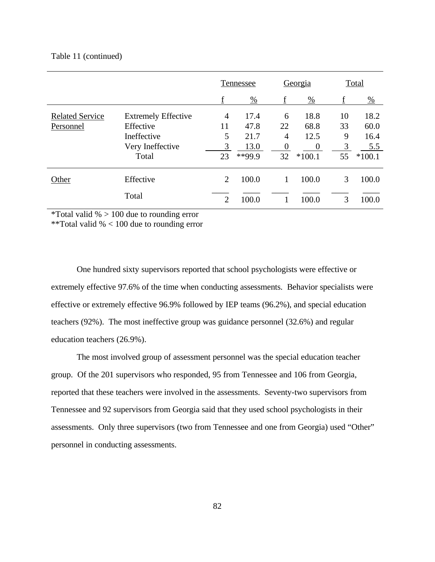#### Table 11 (continued)

|                        |                            | Tennessee      |               |          | Georgia       |    | <b>Total</b>  |
|------------------------|----------------------------|----------------|---------------|----------|---------------|----|---------------|
|                        |                            | f              | $\frac{0}{0}$ | f        | $\frac{0}{0}$ | f  | $\frac{0}{0}$ |
| <b>Related Service</b> | <b>Extremely Effective</b> | 4              | 17.4          | 6        | 18.8          | 10 | 18.2          |
| Personnel              | Effective                  | 11             | 47.8          | 22       | 68.8          | 33 | 60.0          |
|                        | Ineffective                | 5              | 21.7          | 4        | 12.5          | 9  | 16.4          |
|                        | Very Ineffective           | 3              | 13.0          | $\theta$ | $\Omega$      | 3  | 5.5           |
|                        | Total                      | 23             | **99.9        | 32       | $*100.1$      | 55 | $*100.1$      |
| Other                  | Effective                  | $\overline{2}$ | 100.0         |          | 100.0         | 3  | 100.0         |
|                        | Total                      | $\overline{2}$ | 100.0         |          | 100.0         | 3  | 100.0         |

\*Total valid  $\% > 100$  due to rounding error

\*\*Total valid % < 100 due to rounding error

One hundred sixty supervisors reported that school psychologists were effective or extremely effective 97.6% of the time when conducting assessments. Behavior specialists were effective or extremely effective 96.9% followed by IEP teams (96.2%), and special education teachers (92%). The most ineffective group was guidance personnel (32.6%) and regular education teachers (26.9%).

The most involved group of assessment personnel was the special education teacher group. Of the 201 supervisors who responded, 95 from Tennessee and 106 from Georgia, reported that these teachers were involved in the assessments. Seventy-two supervisors from Tennessee and 92 supervisors from Georgia said that they used school psychologists in their assessments. Only three supervisors (two from Tennessee and one from Georgia) used "Other" personnel in conducting assessments.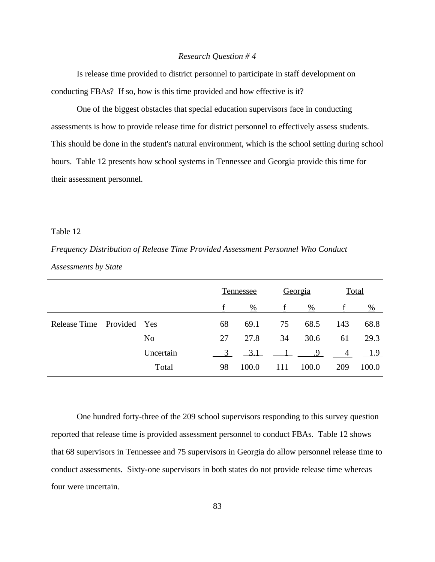#### *Research Question # 4*

Is release time provided to district personnel to participate in staff development on conducting FBAs? If so, how is this time provided and how effective is it?

One of the biggest obstacles that special education supervisors face in conducting assessments is how to provide release time for district personnel to effectively assess students. This should be done in the student's natural environment, which is the school setting during school hours. Table 12 presents how school systems in Tennessee and Georgia provide this time for their assessment personnel.

### Table 12

*Frequency Distribution of Release Time Provided Assessment Personnel Who Conduct Assessments by State*

|                       |                | Tennessee |               | Georgia |               | <b>Total</b> |               |
|-----------------------|----------------|-----------|---------------|---------|---------------|--------------|---------------|
|                       |                |           | $\frac{0}{0}$ |         | $\frac{0}{0}$ |              | $\frac{0}{0}$ |
| Release Time Provided | <b>Yes</b>     | 68        | 69.1          | 75      | 68.5          | 143          | 68.8          |
|                       | N <sub>0</sub> | 27        | 27.8          | 34      | 30.6          | 61           | 29.3          |
|                       | Uncertain      | 3         | 3.1           |         | .9            | 4            | 1.9           |
|                       | Total          | 98        | 100.0         | 111     | 100.0         | 209          | 100.0         |

One hundred forty-three of the 209 school supervisors responding to this survey question reported that release time is provided assessment personnel to conduct FBAs. Table 12 shows that 68 supervisors in Tennessee and 75 supervisors in Georgia do allow personnel release time to conduct assessments. Sixty-one supervisors in both states do not provide release time whereas four were uncertain.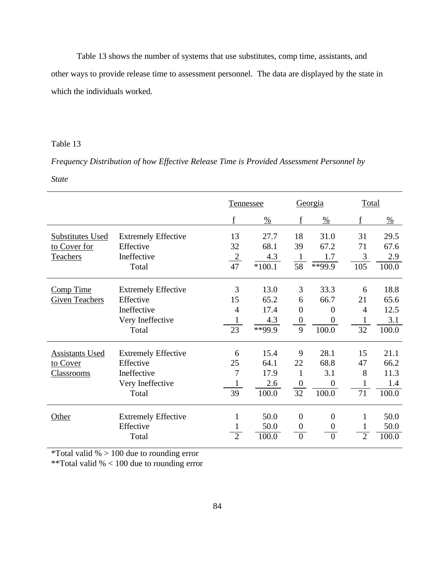Table 13 shows the number of systems that use substitutes, comp time, assistants, and other ways to provide release time to assessment personnel. The data are displayed by the state in which the individuals worked.

# Table 13

*Frequency Distribution of how Effective Release Time is Provided Assessment Personnel by* 

*State*

|                         |                            |                | <b>Tennessee</b> |                  | Georgia        |                | Total         |  |
|-------------------------|----------------------------|----------------|------------------|------------------|----------------|----------------|---------------|--|
|                         |                            | f              | $\frac{0}{0}$    | f                | $\%$           | f              | $\frac{0}{0}$ |  |
| <b>Substitutes Used</b> | <b>Extremely Effective</b> | 13             | 27.7             | 18               | 31.0           | 31             | 29.5          |  |
| to Cover for            | Effective                  | 32             | 68.1             | 39               | 67.2           | 71             | 67.6          |  |
| Teachers                | Ineffective                | $\overline{2}$ | 4.3              | $\mathbf{1}$     | 1.7            | 3              | 2.9           |  |
|                         | Total                      | 47             | $*100.1$         | $\overline{58}$  | $**99.9$       | 105            | 100.0         |  |
| Comp Time               | <b>Extremely Effective</b> | 3              | 13.0             | 3                | 33.3           | 6              | 18.8          |  |
| <b>Given Teachers</b>   | Effective                  | 15             | 65.2             | 6                | 66.7           | 21             | 65.6          |  |
|                         | Ineffective                | $\overline{4}$ | 17.4             | $\overline{0}$   | $\overline{0}$ | $\overline{4}$ | 12.5          |  |
|                         | Very Ineffective           |                | 4.3              | $\boldsymbol{0}$ | 0              | 1              | 3.1           |  |
|                         | Total                      | 23             | $**99.9$         | 9                | 100.0          | 32             | 100.0         |  |
| <b>Assistants Used</b>  | <b>Extremely Effective</b> | 6              | 15.4             | 9                | 28.1           | 15             | 21.1          |  |
| to Cover                | Effective                  | 25             | 64.1             | 22               | 68.8           | 47             | 66.2          |  |
| <b>Classrooms</b>       | Ineffective                | 7              | 17.9             | 1                | 3.1            | 8              | 11.3          |  |
|                         | Very Ineffective           | 1              | 2.6              | $\overline{0}$   | $\theta$       | 1              | 1.4           |  |
|                         | Total                      | 39             | 100.0            | 32               | 100.0          | 71             | 100.0         |  |
| Other                   | <b>Extremely Effective</b> | 1              | 50.0             | $\overline{0}$   | $\overline{0}$ | 1              | 50.0          |  |
|                         | Effective                  | 1              | 50.0             | $\boldsymbol{0}$ | 0              | 1              | 50.0          |  |
|                         | Total                      | $\overline{2}$ | 100.0            | $\theta$         | $\theta$       | $\overline{2}$ | 100.0         |  |

\*Total valid  $% > 100$  due to rounding error

\*\*Total valid % < 100 due to rounding error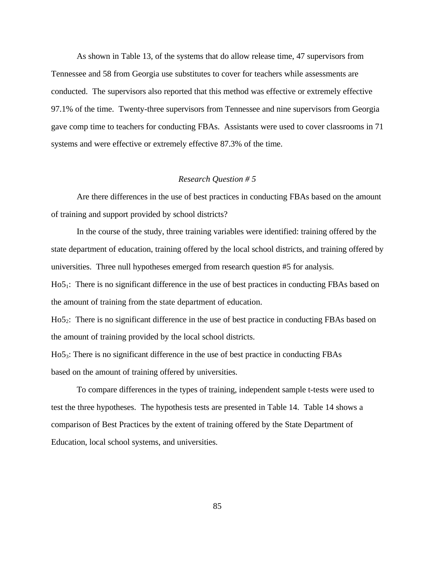As shown in Table 13, of the systems that do allow release time, 47 supervisors from Tennessee and 58 from Georgia use substitutes to cover for teachers while assessments are conducted. The supervisors also reported that this method was effective or extremely effective 97.1% of the time. Twenty-three supervisors from Tennessee and nine supervisors from Georgia gave comp time to teachers for conducting FBAs. Assistants were used to cover classrooms in 71 systems and were effective or extremely effective 87.3% of the time.

### *Research Question # 5*

Are there differences in the use of best practices in conducting FBAs based on the amount of training and support provided by school districts?

In the course of the study, three training variables were identified: training offered by the state department of education, training offered by the local school districts, and training offered by universities. Three null hypotheses emerged from research question #5 for analysis.

Ho5<sub>1</sub>: There is no significant difference in the use of best practices in conducting FBAs based on the amount of training from the state department of education.

Ho52: There is no significant difference in the use of best practice in conducting FBAs based on the amount of training provided by the local school districts.

Ho53: There is no significant difference in the use of best practice in conducting FBAs based on the amount of training offered by universities.

To compare differences in the types of training, independent sample t-tests were used to test the three hypotheses. The hypothesis tests are presented in Table 14. Table 14 shows a comparison of Best Practices by the extent of training offered by the State Department of Education, local school systems, and universities.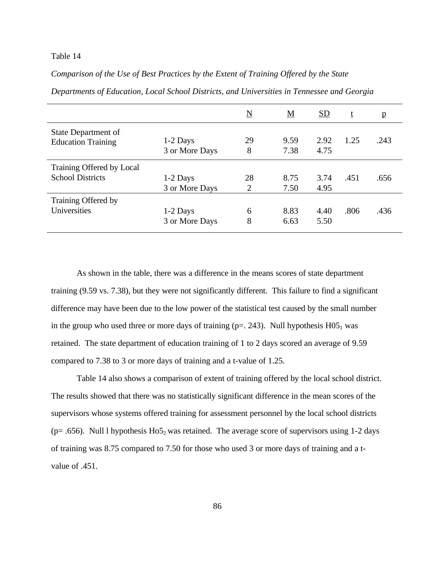### Table 14

# *Comparison of the Use of Best Practices by the Extent of Training Offered by the State*

|                                                      |                              | $\underline{\rm N}$  | <u>M</u>     | SD           | t    | p    |
|------------------------------------------------------|------------------------------|----------------------|--------------|--------------|------|------|
| State Department of<br><b>Education Training</b>     | $1-2$ Days<br>3 or More Days | 29<br>8              | 9.59<br>7.38 | 2.92<br>4.75 | 1.25 | .243 |
| Training Offered by Local<br><b>School Districts</b> | $1-2$ Days<br>3 or More Days | 28<br>$\overline{2}$ | 8.75<br>7.50 | 3.74<br>4.95 | .451 | .656 |
| Training Offered by<br>Universities                  | $1-2$ Days<br>3 or More Days | 6<br>8               | 8.83<br>6.63 | 4.40<br>5.50 | .806 | .436 |

*Departments of Education, Local School Districts, and Universities in Tennessee and Georgia*

As shown in the table, there was a difference in the means scores of state department training (9.59 vs. 7.38), but they were not significantly different. This failure to find a significant difference may have been due to the low power of the statistical test caused by the small number in the group who used three or more days of training ( $p = 0.243$ ). Null hypothesis H05<sub>1</sub> was retained. The state department of education training of 1 to 2 days scored an average of 9.59 compared to 7.38 to 3 or more days of training and a t-value of 1.25.

Table 14 also shows a comparison of extent of training offered by the local school district. The results showed that there was no statistically significant difference in the mean scores of the supervisors whose systems offered training for assessment personnel by the local school districts ( $p = .656$ ). Null l hypothesis Ho $5<sub>2</sub>$  was retained. The average score of supervisors using 1-2 days of training was 8.75 compared to 7.50 for those who used 3 or more days of training and a tvalue of .451.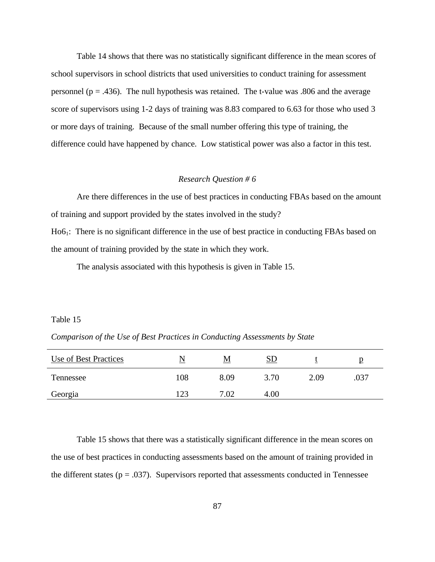Table 14 shows that there was no statistically significant difference in the mean scores of school supervisors in school districts that used universities to conduct training for assessment personnel ( $p = .436$ ). The null hypothesis was retained. The t-value was  $.806$  and the average score of supervisors using 1-2 days of training was 8.83 compared to 6.63 for those who used 3 or more days of training. Because of the small number offering this type of training, the difference could have happened by chance. Low statistical power was also a factor in this test.

### *Research Question # 6*

Are there differences in the use of best practices in conducting FBAs based on the amount of training and support provided by the states involved in the study?

Ho6<sub>1</sub>: There is no significant difference in the use of best practice in conducting FBAs based on the amount of training provided by the state in which they work.

The analysis associated with this hypothesis is given in Table 15.

#### Table 15

*Comparison of the Use of Best Practices in Conducting Assessments by State*

| Use of Best Practices |     | M    | <u>SD</u> |      | μ    |
|-----------------------|-----|------|-----------|------|------|
| Tennessee             | 108 | 8.09 | 3.70      | 2.09 | .037 |
| Georgia               | 123 | 7.02 | 4.00      |      |      |

Table 15 shows that there was a statistically significant difference in the mean scores on the use of best practices in conducting assessments based on the amount of training provided in the different states ( $p = .037$ ). Supervisors reported that assessments conducted in Tennessee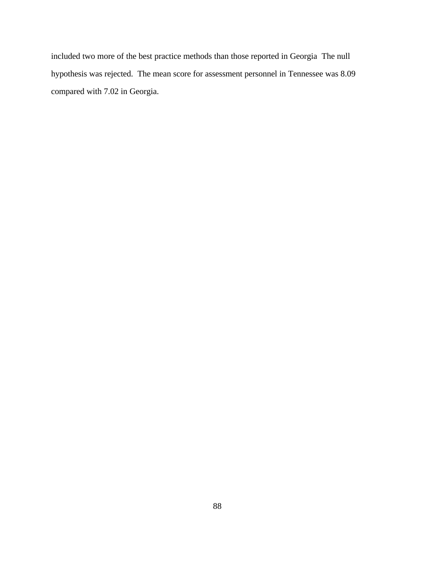included two more of the best practice methods than those reported in Georgia The null hypothesis was rejected. The mean score for assessment personnel in Tennessee was 8.09 compared with 7.02 in Georgia.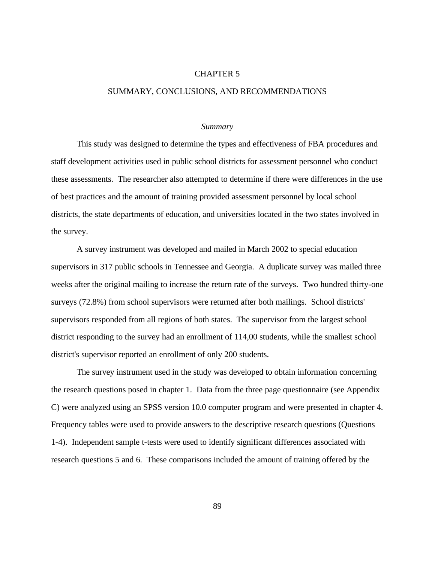#### CHAPTER 5

#### SUMMARY, CONCLUSIONS, AND RECOMMENDATIONS

#### *Summary*

This study was designed to determine the types and effectiveness of FBA procedures and staff development activities used in public school districts for assessment personnel who conduct these assessments. The researcher also attempted to determine if there were differences in the use of best practices and the amount of training provided assessment personnel by local school districts, the state departments of education, and universities located in the two states involved in the survey.

A survey instrument was developed and mailed in March 2002 to special education supervisors in 317 public schools in Tennessee and Georgia. A duplicate survey was mailed three weeks after the original mailing to increase the return rate of the surveys. Two hundred thirty-one surveys (72.8%) from school supervisors were returned after both mailings. School districts' supervisors responded from all regions of both states. The supervisor from the largest school district responding to the survey had an enrollment of 114,00 students, while the smallest school district's supervisor reported an enrollment of only 200 students.

The survey instrument used in the study was developed to obtain information concerning the research questions posed in chapter 1. Data from the three page questionnaire (see Appendix C) were analyzed using an SPSS version 10.0 computer program and were presented in chapter 4. Frequency tables were used to provide answers to the descriptive research questions (Questions 1-4). Independent sample t-tests were used to identify significant differences associated with research questions 5 and 6. These comparisons included the amount of training offered by the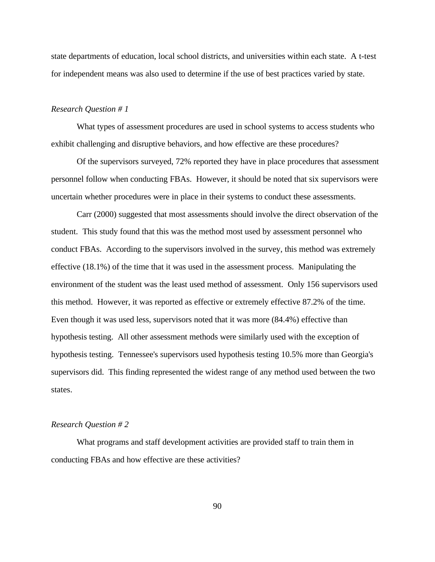state departments of education, local school districts, and universities within each state. A t-test for independent means was also used to determine if the use of best practices varied by state.

#### *Research Question # 1*

What types of assessment procedures are used in school systems to access students who exhibit challenging and disruptive behaviors, and how effective are these procedures?

Of the supervisors surveyed, 72% reported they have in place procedures that assessment personnel follow when conducting FBAs. However, it should be noted that six supervisors were uncertain whether procedures were in place in their systems to conduct these assessments.

Carr (2000) suggested that most assessments should involve the direct observation of the student. This study found that this was the method most used by assessment personnel who conduct FBAs. According to the supervisors involved in the survey, this method was extremely effective (18.1%) of the time that it was used in the assessment process. Manipulating the environment of the student was the least used method of assessment. Only 156 supervisors used this method. However, it was reported as effective or extremely effective 87.2% of the time. Even though it was used less, supervisors noted that it was more (84.4%) effective than hypothesis testing. All other assessment methods were similarly used with the exception of hypothesis testing. Tennessee's supervisors used hypothesis testing 10.5% more than Georgia's supervisors did. This finding represented the widest range of any method used between the two states.

#### *Research Question # 2*

What programs and staff development activities are provided staff to train them in conducting FBAs and how effective are these activities?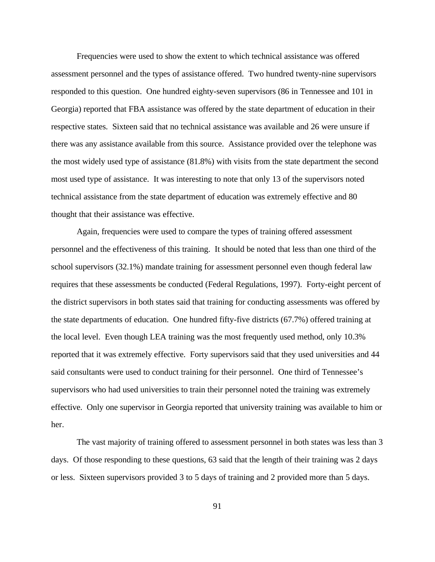Frequencies were used to show the extent to which technical assistance was offered assessment personnel and the types of assistance offered. Two hundred twenty-nine supervisors responded to this question. One hundred eighty-seven supervisors (86 in Tennessee and 101 in Georgia) reported that FBA assistance was offered by the state department of education in their respective states. Sixteen said that no technical assistance was available and 26 were unsure if there was any assistance available from this source. Assistance provided over the telephone was the most widely used type of assistance (81.8%) with visits from the state department the second most used type of assistance. It was interesting to note that only 13 of the supervisors noted technical assistance from the state department of education was extremely effective and 80 thought that their assistance was effective.

Again, frequencies were used to compare the types of training offered assessment personnel and the effectiveness of this training. It should be noted that less than one third of the school supervisors (32.1%) mandate training for assessment personnel even though federal law requires that these assessments be conducted (Federal Regulations, 1997). Forty-eight percent of the district supervisors in both states said that training for conducting assessments was offered by the state departments of education. One hundred fifty-five districts (67.7%) offered training at the local level. Even though LEA training was the most frequently used method, only 10.3% reported that it was extremely effective. Forty supervisors said that they used universities and 44 said consultants were used to conduct training for their personnel. One third of Tennessee's supervisors who had used universities to train their personnel noted the training was extremely effective. Only one supervisor in Georgia reported that university training was available to him or her.

The vast majority of training offered to assessment personnel in both states was less than 3 days. Of those responding to these questions, 63 said that the length of their training was 2 days or less. Sixteen supervisors provided 3 to 5 days of training and 2 provided more than 5 days.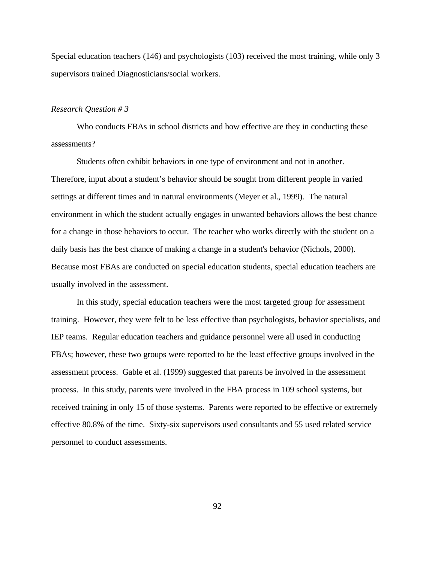Special education teachers (146) and psychologists (103) received the most training, while only 3 supervisors trained Diagnosticians/social workers.

#### *Research Question # 3*

Who conducts FBAs in school districts and how effective are they in conducting these assessments?

Students often exhibit behaviors in one type of environment and not in another. Therefore, input about a student's behavior should be sought from different people in varied settings at different times and in natural environments (Meyer et al., 1999). The natural environment in which the student actually engages in unwanted behaviors allows the best chance for a change in those behaviors to occur. The teacher who works directly with the student on a daily basis has the best chance of making a change in a student's behavior (Nichols, 2000). Because most FBAs are conducted on special education students, special education teachers are usually involved in the assessment.

In this study, special education teachers were the most targeted group for assessment training. However, they were felt to be less effective than psychologists, behavior specialists, and IEP teams. Regular education teachers and guidance personnel were all used in conducting FBAs; however, these two groups were reported to be the least effective groups involved in the assessment process. Gable et al. (1999) suggested that parents be involved in the assessment process. In this study, parents were involved in the FBA process in 109 school systems, but received training in only 15 of those systems. Parents were reported to be effective or extremely effective 80.8% of the time. Sixty-six supervisors used consultants and 55 used related service personnel to conduct assessments.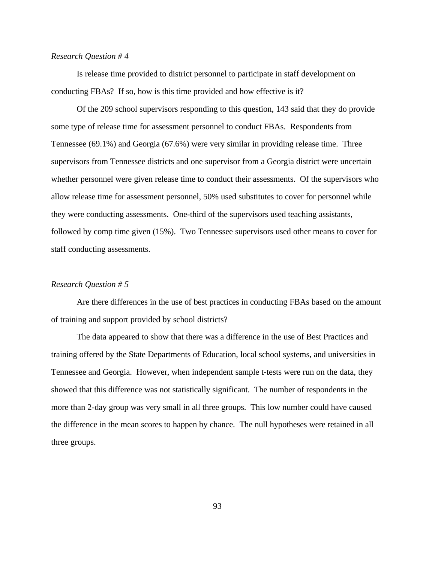#### *Research Question # 4*

Is release time provided to district personnel to participate in staff development on conducting FBAs? If so, how is this time provided and how effective is it?

Of the 209 school supervisors responding to this question, 143 said that they do provide some type of release time for assessment personnel to conduct FBAs. Respondents from Tennessee (69.1%) and Georgia (67.6%) were very similar in providing release time. Three supervisors from Tennessee districts and one supervisor from a Georgia district were uncertain whether personnel were given release time to conduct their assessments. Of the supervisors who allow release time for assessment personnel, 50% used substitutes to cover for personnel while they were conducting assessments. One-third of the supervisors used teaching assistants, followed by comp time given (15%). Two Tennessee supervisors used other means to cover for staff conducting assessments.

### *Research Question # 5*

Are there differences in the use of best practices in conducting FBAs based on the amount of training and support provided by school districts?

The data appeared to show that there was a difference in the use of Best Practices and training offered by the State Departments of Education, local school systems, and universities in Tennessee and Georgia. However, when independent sample t-tests were run on the data, they showed that this difference was not statistically significant. The number of respondents in the more than 2-day group was very small in all three groups. This low number could have caused the difference in the mean scores to happen by chance. The null hypotheses were retained in all three groups.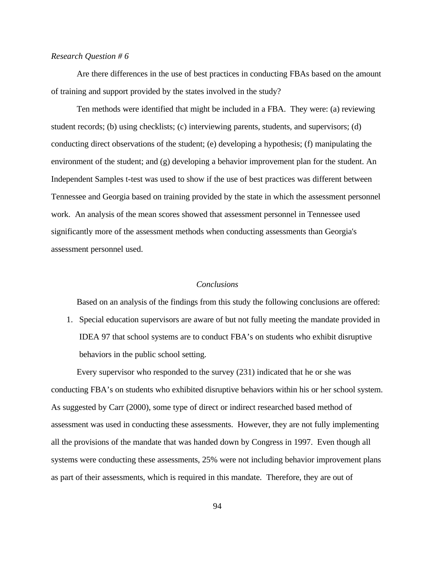#### *Research Question # 6*

Are there differences in the use of best practices in conducting FBAs based on the amount of training and support provided by the states involved in the study?

Ten methods were identified that might be included in a FBA. They were: (a) reviewing student records; (b) using checklists; (c) interviewing parents, students, and supervisors; (d) conducting direct observations of the student; (e) developing a hypothesis; (f) manipulating the environment of the student; and (g) developing a behavior improvement plan for the student. An Independent Samples t-test was used to show if the use of best practices was different between Tennessee and Georgia based on training provided by the state in which the assessment personnel work. An analysis of the mean scores showed that assessment personnel in Tennessee used significantly more of the assessment methods when conducting assessments than Georgia's assessment personnel used.

### *Conclusions*

Based on an analysis of the findings from this study the following conclusions are offered:

1. Special education supervisors are aware of but not fully meeting the mandate provided in IDEA 97 that school systems are to conduct FBA's on students who exhibit disruptive behaviors in the public school setting.

Every supervisor who responded to the survey (231) indicated that he or she was conducting FBA's on students who exhibited disruptive behaviors within his or her school system. As suggested by Carr (2000), some type of direct or indirect researched based method of assessment was used in conducting these assessments. However, they are not fully implementing all the provisions of the mandate that was handed down by Congress in 1997. Even though all systems were conducting these assessments, 25% were not including behavior improvement plans as part of their assessments, which is required in this mandate. Therefore, they are out of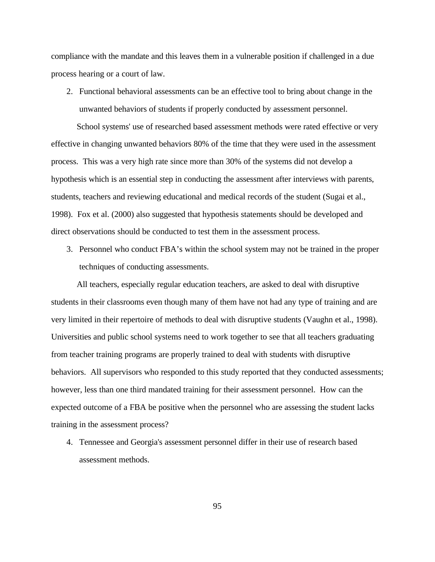compliance with the mandate and this leaves them in a vulnerable position if challenged in a due process hearing or a court of law.

2. Functional behavioral assessments can be an effective tool to bring about change in the unwanted behaviors of students if properly conducted by assessment personnel.

School systems' use of researched based assessment methods were rated effective or very effective in changing unwanted behaviors 80% of the time that they were used in the assessment process. This was a very high rate since more than 30% of the systems did not develop a hypothesis which is an essential step in conducting the assessment after interviews with parents, students, teachers and reviewing educational and medical records of the student (Sugai et al., 1998). Fox et al. (2000) also suggested that hypothesis statements should be developed and direct observations should be conducted to test them in the assessment process.

3. Personnel who conduct FBA's within the school system may not be trained in the proper techniques of conducting assessments.

All teachers, especially regular education teachers, are asked to deal with disruptive students in their classrooms even though many of them have not had any type of training and are very limited in their repertoire of methods to deal with disruptive students (Vaughn et al., 1998). Universities and public school systems need to work together to see that all teachers graduating from teacher training programs are properly trained to deal with students with disruptive behaviors. All supervisors who responded to this study reported that they conducted assessments; however, less than one third mandated training for their assessment personnel. How can the expected outcome of a FBA be positive when the personnel who are assessing the student lacks training in the assessment process?

4. Tennessee and Georgia's assessment personnel differ in their use of research based assessment methods.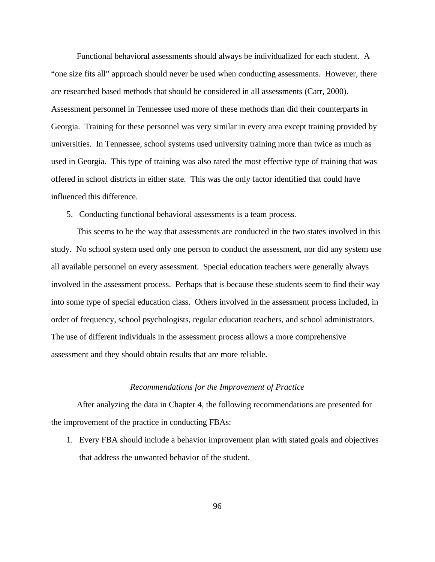Functional behavioral assessments should always be individualized for each student. A "one size fits all" approach should never be used when conducting assessments. However, there are researched based methods that should be considered in all assessments (Carr, 2000). Assessment personnel in Tennessee used more of these methods than did their counterparts in Georgia. Training for these personnel was very similar in every area except training provided by universities. In Tennessee, school systems used university training more than twice as much as used in Georgia. This type of training was also rated the most effective type of training that was offered in school districts in either state. This was the only factor identified that could have influenced this difference.

5. Conducting functional behavioral assessments is a team process.

This seems to be the way that assessments are conducted in the two states involved in this study. No school system used only one person to conduct the assessment, nor did any system use all available personnel on every assessment. Special education teachers were generally always involved in the assessment process. Perhaps that is because these students seem to find their way into some type of special education class. Others involved in the assessment process included, in order of frequency, school psychologists, regular education teachers, and school administrators. The use of different individuals in the assessment process allows a more comprehensive assessment and they should obtain results that are more reliable.

#### *Recommendations for the Improvement of Practice*

After analyzing the data in Chapter 4, the following recommendations are presented for the improvement of the practice in conducting FBAs:

1. Every FBA should include a behavior improvement plan with stated goals and objectives that address the unwanted behavior of the student.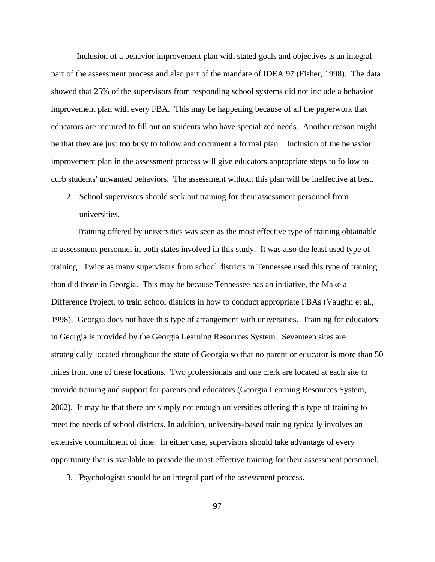Inclusion of a behavior improvement plan with stated goals and objectives is an integral part of the assessment process and also part of the mandate of IDEA 97 (Fisher, 1998). The data showed that 25% of the supervisors from responding school systems did not include a behavior improvement plan with every FBA. This may be happening because of all the paperwork that educators are required to fill out on students who have specialized needs. Another reason might be that they are just too busy to follow and document a formal plan. Inclusion of the behavior improvement plan in the assessment process will give educators appropriate steps to follow to curb students' unwanted behaviors. The assessment without this plan will be ineffective at best.

2. School supervisors should seek out training for their assessment personnel from universities.

Training offered by universities was seen as the most effective type of training obtainable to assessment personnel in both states involved in this study. It was also the least used type of training. Twice as many supervisors from school districts in Tennessee used this type of training than did those in Georgia. This may be because Tennessee has an initiative, the Make a Difference Project, to train school districts in how to conduct appropriate FBAs (Vaughn et al., 1998). Georgia does not have this type of arrangement with universities. Training for educators in Georgia is provided by the Georgia Learning Resources System. Seventeen sites are strategically located throughout the state of Georgia so that no parent or educator is more than 50 miles from one of these locations. Two professionals and one clerk are located at each site to provide training and support for parents and educators (Georgia Learning Resources System, 2002). It may be that there are simply not enough universities offering this type of training to meet the needs of school districts. In addition, university-based training typically involves an extensive commitment of time. In either case, supervisors should take advantage of every opportunity that is available to provide the most effective training for their assessment personnel.

3. Psychologists should be an integral part of the assessment process.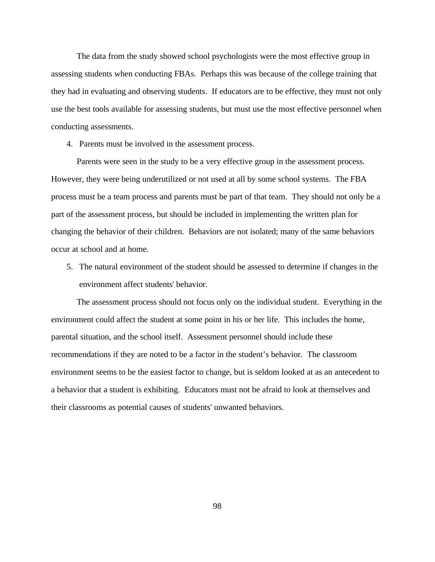The data from the study showed school psychologists were the most effective group in assessing students when conducting FBAs. Perhaps this was because of the college training that they had in evaluating and observing students. If educators are to be effective, they must not only use the best tools available for assessing students, but must use the most effective personnel when conducting assessments.

4. Parents must be involved in the assessment process.

Parents were seen in the study to be a very effective group in the assessment process. However, they were being underutilized or not used at all by some school systems. The FBA process must be a team process and parents must be part of that team. They should not only be a part of the assessment process, but should be included in implementing the written plan for changing the behavior of their children. Behaviors are not isolated; many of the same behaviors occur at school and at home.

5. The natural environment of the student should be assessed to determine if changes in the environment affect students' behavior.

The assessment process should not focus only on the individual student. Everything in the environment could affect the student at some point in his or her life. This includes the home, parental situation, and the school itself. Assessment personnel should include these recommendations if they are noted to be a factor in the student's behavior. The classroom environment seems to be the easiest factor to change, but is seldom looked at as an antecedent to a behavior that a student is exhibiting. Educators must not be afraid to look at themselves and their classrooms as potential causes of students' unwanted behaviors.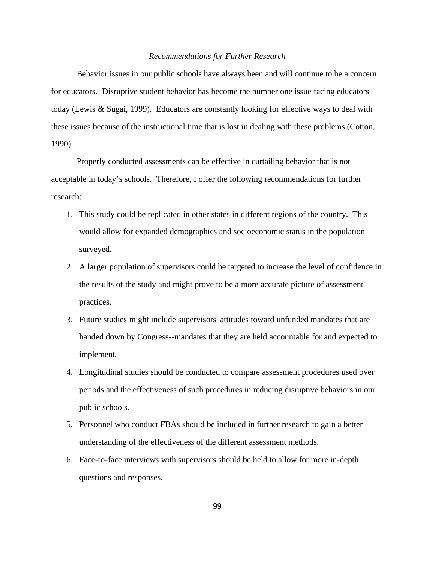#### *Recommendations for Further Research*

Behavior issues in our public schools have always been and will continue to be a concern for educators. Disruptive student behavior has become the number one issue facing educators today (Lewis & Sugai, 1999). Educators are constantly looking for effective ways to deal with these issues because of the instructional time that is lost in dealing with these problems (Cotton, 1990).

Properly conducted assessments can be effective in curtailing behavior that is not acceptable in today's schools. Therefore, I offer the following recommendations for further research:

- 1. This study could be replicated in other states in different regions of the country. This would allow for expanded demographics and socioeconomic status in the population surveyed.
- 2. A larger population of supervisors could be targeted to increase the level of confidence in the results of the study and might prove to be a more accurate picture of assessment practices.
- 3. Future studies might include supervisors' attitudes toward unfunded mandates that are handed down by Congress--mandates that they are held accountable for and expected to implement.
- 4. Longitudinal studies should be conducted to compare assessment procedures used over periods and the effectiveness of such procedures in reducing disruptive behaviors in our public schools.
- 5. Personnel who conduct FBAs should be included in further research to gain a better understanding of the effectiveness of the different assessment methods.
- 6. Face-to-face interviews with supervisors should be held to allow for more in-depth questions and responses.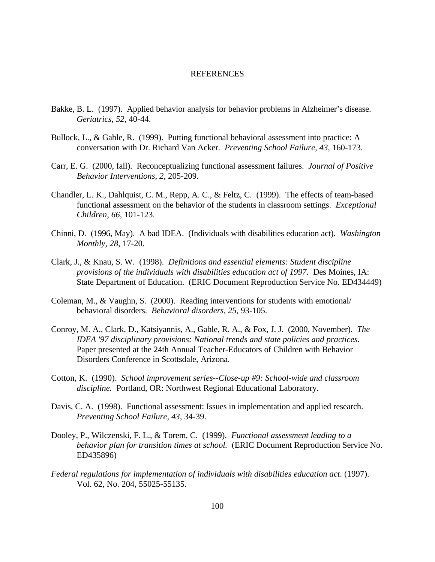#### **REFERENCES**

- Bakke, B. L. (1997). Applied behavior analysis for behavior problems in Alzheimer's disease. *Geriatrics, 52*, 40-44.
- Bullock, L., & Gable, R. (1999). Putting functional behavioral assessment into practice: A conversation with Dr. Richard Van Acker. *Preventing School Failure, 43,* 160-173.
- Carr, E. G. (2000, fall). Reconceptualizing functional assessment failures. *Journal of Positive Behavior Interventions, 2,* 205-209.
- Chandler, L. K., Dahlquist, C. M., Repp, A. C., & Feltz, C. (1999). The effects of team-based functional assessment on the behavior of the students in classroom settings. *Exceptional Children, 66,* 101-123.
- Chinni, D. (1996, May). A bad IDEA. (Individuals with disabilities education act). *Washington Monthly, 28,* 17-20.
- Clark, J., & Knau, S. W. (1998). *Definitions and essential elements: Student discipline provisions of the individuals with disabilities education act of 1997.* Des Moines, IA: State Department of Education. (ERIC Document Reproduction Service No. ED434449)
- Coleman, M., & Vaughn, S. (2000). Reading interventions for students with emotional/ behavioral disorders. *Behavioral disorders, 25,* 93-105.
- Conroy, M. A., Clark, D., Katsiyannis, A., Gable, R. A., & Fox, J. J. (2000, November). *The IDEA '97 disciplinary provisions: National trends and state policies and practices*. Paper presented at the 24th Annual Teacher-Educators of Children with Behavior Disorders Conference in Scottsdale, Arizona.
- Cotton, K. (1990). *School improvement series--Close-up #9: School-wide and classroom discipline.* Portland, OR: Northwest Regional Educational Laboratory.
- Davis, C. A. (1998). Functional assessment: Issues in implementation and applied research. *Preventing School Failure, 43,* 34-39.
- Dooley, P., Wilczenski, F. L., & Torem, C. (1999). *Functional assessment leading to a behavior plan for transition times at school.* (ERIC Document Reproduction Service No. ED435896)
- *Federal regulations for implementation of individuals with disabilities education act*. (1997). Vol. 62, No. 204, 55025-55135.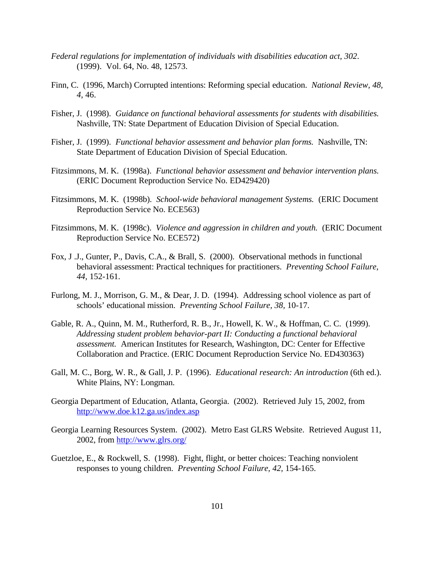- *Federal regulations for implementation of individuals with disabilities education act, 302*. (1999). Vol. 64, No. 48, 12573.
- Finn, C. (1996, March) Corrupted intentions: Reforming special education. *National Review, 48, 4,* 46.
- Fisher, J. (1998). *Guidance on functional behavioral assessments for students with disabilities.* Nashville, TN: State Department of Education Division of Special Education.
- Fisher, J. (1999). *Functional behavior assessment and behavior plan forms.* Nashville, TN: State Department of Education Division of Special Education.
- Fitzsimmons, M. K. (1998a). *Functional behavior assessment and behavior intervention plans.* (ERIC Document Reproduction Service No. ED429420)
- Fitzsimmons, M. K. (1998b). *School-wide behavioral management Systems.* (ERIC Document Reproduction Service No. ECE563)
- Fitzsimmons, M. K. (1998c). *Violence and aggression in children and youth.* (ERIC Document Reproduction Service No. ECE572)
- Fox, J .J., Gunter, P., Davis, C.A., & Brall, S. (2000). Observational methods in functional behavioral assessment: Practical techniques for practitioners. *Preventing School Failure, 44,* 152-161.
- Furlong, M. J., Morrison, G. M., & Dear, J. D. (1994). Addressing school violence as part of schools' educational mission. *Preventing School Failure, 38,* 10-17.
- Gable, R. A., Quinn, M. M., Rutherford, R. B., Jr., Howell, K. W., & Hoffman, C. C. (1999). *Addressing student problem behavior-part II: Conducting a functional behavioral assessment.* American Institutes for Research, Washington, DC: Center for Effective Collaboration and Practice. (ERIC Document Reproduction Service No. ED430363)
- Gall, M. C., Borg, W. R., & Gall, J. P. (1996). *Educational research: An introduction* (6th ed.)*.* White Plains, NY: Longman.
- Georgia Department of Education, Atlanta, Georgia. (2002). Retrieved July 15, 2002, from http://www.doe.k12.ga.us/index.asp
- Georgia Learning Resources System. (2002). Metro East GLRS Website. Retrieved August 11, 2002, from http://www.glrs.org/
- Guetzloe, E., & Rockwell, S. (1998). Fight, flight, or better choices: Teaching nonviolent responses to young children. *Preventing School Failure, 42,* 154-165.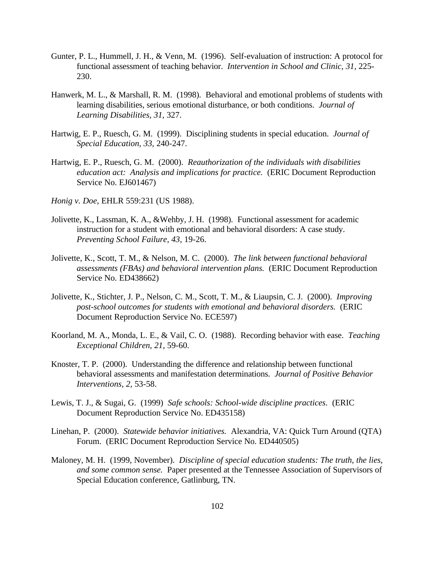- Gunter, P. L., Hummell, J. H., & Venn, M. (1996). Self-evaluation of instruction: A protocol for functional assessment of teaching behavior. *Intervention in School and Clinic, 31,* 225- 230.
- Hanwerk, M. L., & Marshall, R. M. (1998). Behavioral and emotional problems of students with learning disabilities, serious emotional disturbance, or both conditions. *Journal of Learning Disabilities, 31,* 327.
- Hartwig, E. P., Ruesch, G. M. (1999). Disciplining students in special education. *Journal of Special Education, 33,* 240-247.
- Hartwig, E. P., Ruesch, G. M. (2000). *Reauthorization of the individuals with disabilities education act: Analysis and implications for practice.* (ERIC Document Reproduction Service No. EJ601467)
- *Honig v. Doe*, EHLR 559:231 (US 1988).
- Jolivette, K., Lassman, K. A., &Wehby, J. H. (1998). Functional assessment for academic instruction for a student with emotional and behavioral disorders: A case study. *Preventing School Failure, 43,* 19-26.
- Jolivette, K., Scott, T. M., & Nelson, M. C. (2000). *The link between functional behavioral assessments (FBAs) and behavioral intervention plans.* (ERIC Document Reproduction Service No. ED438662)
- Jolivette, K., Stichter, J. P., Nelson, C. M., Scott, T. M., & Liaupsin, C. J. (2000). *Improving post-school outcomes for students with emotional and behavioral disorders.* (ERIC Document Reproduction Service No. ECE597)
- Koorland, M. A., Monda, L. E., & Vail, C. O. (1988). Recording behavior with ease. *Teaching Exceptional Children, 21,* 59-60.
- Knoster, T. P. (2000). Understanding the difference and relationship between functional behavioral assessments and manifestation determinations. *Journal of Positive Behavior Interventions, 2,* 53-58.
- Lewis, T. J., & Sugai, G. (1999) *Safe schools: School-wide discipline practices*. (ERIC Document Reproduction Service No. ED435158)
- Linehan, P. (2000). *Statewide behavior initiatives.* Alexandria, VA: Quick Turn Around (QTA) Forum. (ERIC Document Reproduction Service No. ED440505)
- Maloney, M. H. (1999, November). *Discipline of special education students: The truth, the lies, and some common sense.* Paper presented at the Tennessee Association of Supervisors of Special Education conference, Gatlinburg, TN.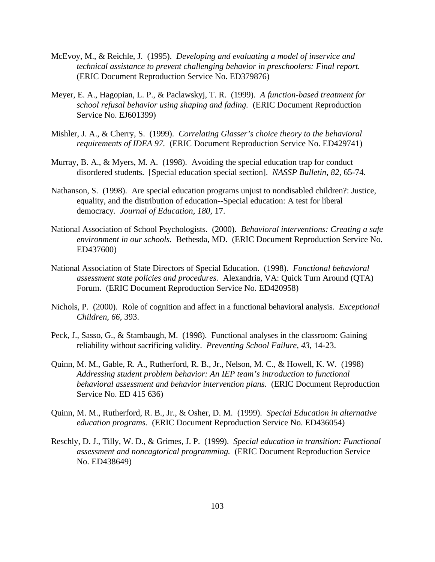- McEvoy, M., & Reichle, J. (1995). *Developing and evaluating a model of inservice and technical assistance to prevent challenging behavior in preschoolers: Final report.* (ERIC Document Reproduction Service No. ED379876)
- Meyer, E. A., Hagopian, L. P., & Paclawskyj, T. R. (1999). *A function-based treatment for school refusal behavior using shaping and fading.* (ERIC Document Reproduction Service No. EJ601399)
- Mishler, J. A., & Cherry, S. (1999). *Correlating Glasser's choice theory to the behavioral requirements of IDEA 97.* (ERIC Document Reproduction Service No. ED429741)
- Murray, B. A., & Myers, M. A. (1998). Avoiding the special education trap for conduct disordered students. [Special education special section]. *NASSP Bulletin, 82,* 65-74.
- Nathanson, S. (1998). Are special education programs unjust to nondisabled children?: Justice, equality, and the distribution of education--Special education: A test for liberal democracy*. Journal of Education, 180,* 17.
- National Association of School Psychologists. (2000). *Behavioral interventions: Creating a safe environment in our schools.* Bethesda, MD. (ERIC Document Reproduction Service No. ED437600)
- National Association of State Directors of Special Education. (1998). *Functional behavioral assessment state policies and procedures.* Alexandria, VA: Quick Turn Around (QTA) Forum. (ERIC Document Reproduction Service No. ED420958)
- Nichols, P. (2000). Role of cognition and affect in a functional behavioral analysis. *Exceptional Children, 66,* 393.
- Peck, J., Sasso, G., & Stambaugh, M. (1998). Functional analyses in the classroom: Gaining reliability without sacrificing validity. *Preventing School Failure, 43,* 14-23.
- Quinn, M. M., Gable, R. A., Rutherford, R. B., Jr., Nelson, M. C., & Howell, K. W. (1998) *Addressing student problem behavior: An IEP team's introduction to functional behavioral assessment and behavior intervention plans.* (ERIC Document Reproduction Service No. ED 415 636)
- Quinn, M. M., Rutherford, R. B., Jr., & Osher, D. M. (1999). *Special Education in alternative education programs.* (ERIC Document Reproduction Service No. ED436054)
- Reschly, D. J., Tilly, W. D., & Grimes, J. P. (1999). *Special education in transition: Functional assessment and noncagtorical programming.* (ERIC Document Reproduction Service No. ED438649)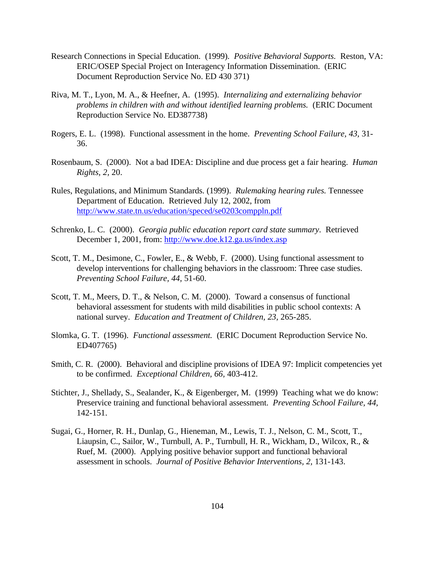- Research Connections in Special Education. (1999). *Positive Behavioral Supports.* Reston, VA: ERIC/OSEP Special Project on Interagency Information Dissemination. (ERIC Document Reproduction Service No. ED 430 371)
- Riva, M. T., Lyon, M. A., & Heefner, A. (1995). *Internalizing and externalizing behavior problems in children with and without identified learning problems.* (ERIC Document Reproduction Service No. ED387738)
- Rogers, E. L. (1998). Functional assessment in the home. *Preventing School Failure, 43,* 31- 36.
- Rosenbaum, S. (2000). Not a bad IDEA: Discipline and due process get a fair hearing. *Human Rights, 2,* 20.
- Rules, Regulations, and Minimum Standards. (1999). *Rulemaking hearing rules.* Tennessee Department of Education. Retrieved July 12, 2002, from http://www.state.tn.us/education/speced/se0203comppln.pdf
- Schrenko, L. C. (2000). *Georgia public education report card state summary*. Retrieved December 1, 2001, from: http://www.doe.k12.ga.us/index.asp
- Scott, T. M., Desimone, C., Fowler, E., & Webb, F. (2000). Using functional assessment to develop interventions for challenging behaviors in the classroom: Three case studies. *Preventing School Failure, 44,* 51-60.
- Scott, T. M., Meers, D. T., & Nelson, C. M. (2000). Toward a consensus of functional behavioral assessment for students with mild disabilities in public school contexts: A national survey. *Education and Treatment of Children, 23,* 265-285.
- Slomka, G. T. (1996). *Functional assessment.* (ERIC Document Reproduction Service No. ED407765)
- Smith, C. R. (2000). Behavioral and discipline provisions of IDEA 97: Implicit competencies yet to be confirmed. *Exceptional Children, 66,* 403-412.
- Stichter, J., Shellady, S., Sealander, K., & Eigenberger, M. (1999) Teaching what we do know: Preservice training and functional behavioral assessment. *Preventing School Failure, 44,* 142-151.
- Sugai, G., Horner, R. H., Dunlap, G., Hieneman, M., Lewis, T. J., Nelson, C. M., Scott, T., Liaupsin, C., Sailor, W., Turnbull, A. P., Turnbull, H. R., Wickham, D., Wilcox, R., & Ruef, M. (2000). Applying positive behavior support and functional behavioral assessment in schools. *Journal of Positive Behavior Interventions, 2,* 131-143.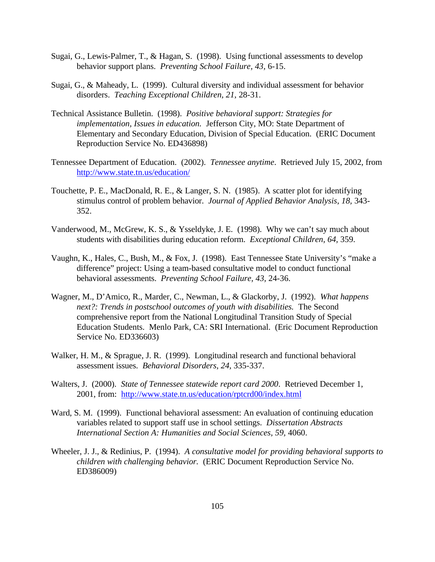- Sugai, G., Lewis-Palmer, T., & Hagan, S. (1998). Using functional assessments to develop behavior support plans. *Preventing School Failure, 43,* 6-15.
- Sugai, G., & Maheady, L. (1999). Cultural diversity and individual assessment for behavior disorders. *Teaching Exceptional Children, 21,* 28-31.
- Technical Assistance Bulletin. (1998). *Positive behavioral support: Strategies for implementation, Issues in education.* Jefferson City, MO: State Department of Elementary and Secondary Education, Division of Special Education. (ERIC Document Reproduction Service No. ED436898)
- Tennessee Department of Education. (2002). *Tennessee anytime*. Retrieved July 15, 2002, from http://www.state.tn.us/education/
- Touchette, P. E., MacDonald, R. E., & Langer, S. N. (1985). A scatter plot for identifying stimulus control of problem behavior. *Journal of Applied Behavior Analysis, 18,* 343- 352.
- Vanderwood, M., McGrew, K. S., & Ysseldyke, J. E. (1998). Why we can't say much about students with disabilities during education reform. *Exceptional Children, 64,* 359.
- Vaughn, K., Hales, C., Bush, M., & Fox, J. (1998). East Tennessee State University's "make a difference" project: Using a team-based consultative model to conduct functional behavioral assessments. *Preventing School Failure, 43,* 24-36.
- Wagner, M., D'Amico, R., Marder, C., Newman, L., & Glackorby, J. (1992). *What happens next?: Trends in postschool outcomes of youth with disabilities.* The Second comprehensive report from the National Longitudinal Transition Study of Special Education Students. Menlo Park, CA: SRI International. (Eric Document Reproduction Service No. ED336603)
- Walker, H. M., & Sprague, J. R. (1999). Longitudinal research and functional behavioral assessment issues. *Behavioral Disorders, 24,* 335-337.
- Walters, J. (2000). *State of Tennessee statewide report card 2000*. Retrieved December 1, 2001, from: http://www.state.tn.us/education/rptcrd00/index.html
- Ward, S. M. (1999). Functional behavioral assessment: An evaluation of continuing education variables related to support staff use in school settings. *Dissertation Abstracts International Section A: Humanities and Social Sciences, 59,* 4060.
- Wheeler, J. J., & Redinius, P. (1994). *A consultative model for providing behavioral supports to children with challenging behavior.* (ERIC Document Reproduction Service No. ED386009)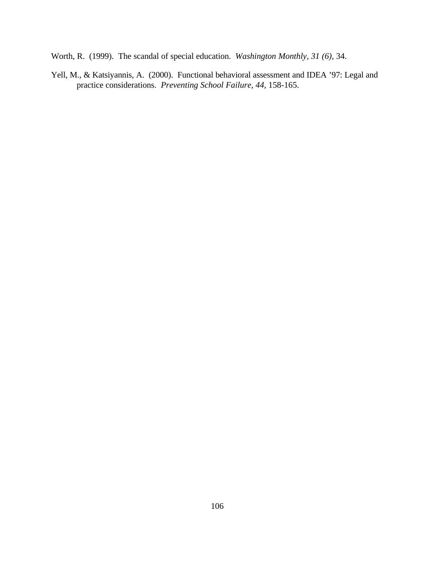Worth, R. (1999). The scandal of special education. *Washington Monthly, 31 (6),* 34.

Yell, M., & Katsiyannis, A. (2000). Functional behavioral assessment and IDEA '97: Legal and practice considerations. *Preventing School Failure, 44,* 158-165.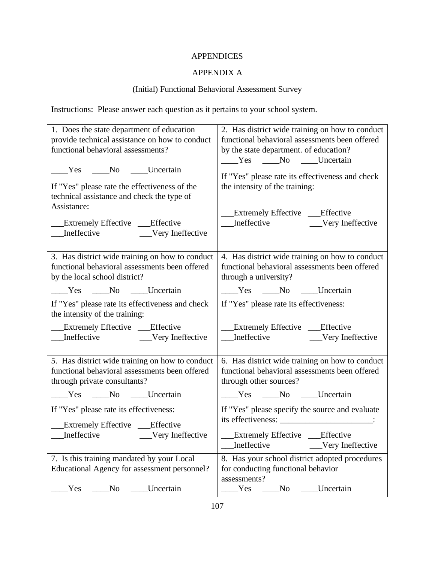# APPENDICES

# APPENDIX A

# (Initial) Functional Behavioral Assessment Survey

Instructions: Please answer each question as it pertains to your school system.

| 1. Does the state department of education                                                  | 2. Has district wide training on how to conduct                                                      |  |  |  |  |
|--------------------------------------------------------------------------------------------|------------------------------------------------------------------------------------------------------|--|--|--|--|
| provide technical assistance on how to conduct                                             | functional behavioral assessments been offered                                                       |  |  |  |  |
| functional behavioral assessments?                                                         | by the state department. of education?                                                               |  |  |  |  |
| Ves No Uncertain                                                                           | ____Yes ____No ____Uncertain                                                                         |  |  |  |  |
| If "Yes" please rate the effectiveness of the                                              | If "Yes" please rate its effectiveness and check                                                     |  |  |  |  |
| technical assistance and check the type of                                                 | the intensity of the training:                                                                       |  |  |  |  |
| Assistance:<br><b>Extremely Effective</b> Fifective                                        | Extremely Effective ___Effective                                                                     |  |  |  |  |
| 3. Has district wide training on how to conduct                                            | 4. Has district wide training on how to conduct                                                      |  |  |  |  |
| functional behavioral assessments been offered                                             | functional behavioral assessments been offered                                                       |  |  |  |  |
| by the local school district?                                                              | through a university?                                                                                |  |  |  |  |
| Ves No Uncertain                                                                           | Ves No Uncertain                                                                                     |  |  |  |  |
| If "Yes" please rate its effectiveness and check<br>the intensity of the training:         | If "Yes" please rate its effectiveness:                                                              |  |  |  |  |
| __Extremely Effective __Effective                                                          | Extremely Effective ___Effective                                                                     |  |  |  |  |
|                                                                                            | ___ Ineffective __________ Very Ineffective                                                          |  |  |  |  |
| 5. Has district wide training on how to conduct                                            | 6. Has district wide training on how to conduct                                                      |  |  |  |  |
| functional behavioral assessments been offered                                             | functional behavioral assessments been offered                                                       |  |  |  |  |
| through private consultants?                                                               | through other sources?                                                                               |  |  |  |  |
| ____Yes ____No ____Uncertain                                                               | ____Yes ____No ____Uncertain                                                                         |  |  |  |  |
| If "Yes" please rate its effectiveness:                                                    | If "Yes" please specify the source and evaluate                                                      |  |  |  |  |
| __Extremely Effective ___Effective                                                         | its effectiveness: _________________________:                                                        |  |  |  |  |
| ___Ineffective __________Very Ineffective                                                  | __Extremely Effective ___Effective<br>Ineffective<br>Very Ineffective                                |  |  |  |  |
| 7. Is this training mandated by your Local<br>Educational Agency for assessment personnel? | 8. Has your school district adopted procedures<br>for conducting functional behavior<br>assessments? |  |  |  |  |
| Uncertain                                                                                  | Yes                                                                                                  |  |  |  |  |
| Yes                                                                                        | No                                                                                                   |  |  |  |  |
| No                                                                                         | Uncertain                                                                                            |  |  |  |  |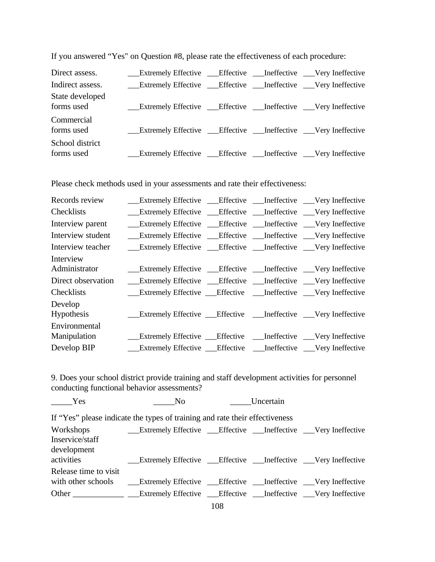| Direct assess.                | <b>Extremely Effective __Effective __Ineffective __Very Ineffective</b>                                                                                                                                                              |  |  |
|-------------------------------|--------------------------------------------------------------------------------------------------------------------------------------------------------------------------------------------------------------------------------------|--|--|
| Indirect assess.              | <b>Extremely Effective _Effective _Ineffective _Very Ineffective</b>                                                                                                                                                                 |  |  |
| State developed<br>forms used | <b>Extremely Effective ___ Effective ____ Ineffective ____ Very Ineffective</b>                                                                                                                                                      |  |  |
| Commercial<br>forms used      | <b>Extremely Effective Conservance Conservance Conserverse Conserverse Conserverse Conserverse Conserverse Conserverse Conserverse Conserverse Conserverse Conserverse Conserverse Conserverse Conserverse Conserverse Conserver</b> |  |  |
| School district<br>forms used | <b>Extremely Effective __Effective __Ineffective __Very Ineffective</b>                                                                                                                                                              |  |  |

If you answered "Yes" on Question #8, please rate the effectiveness of each procedure:

Please check methods used in your assessments and rate their effectiveness:

| Records review     | Extremely Effective __Effective __Ineffective __Very Ineffective                         |  |  |
|--------------------|------------------------------------------------------------------------------------------|--|--|
| Checklists         | <b>Extremely Effective</b> Figure Effective <b>Figure 1</b> Ineffective Very Ineffective |  |  |
| Interview parent   | <b>Extremely Effective</b> Figure Effective Figures Extremely Effective                  |  |  |
| Interview student  | Extremely Effective ____Effective _____Ineffective ____Very Ineffective                  |  |  |
| Interview teacher  | Extremely Effective ___Effective ___Ineffective ___Very Ineffective                      |  |  |
| Interview          |                                                                                          |  |  |
| Administrator      | __Extremely Effective __Effective __Ineffective __Very Ineffective                       |  |  |
| Direct observation | <b>Extremely Effective __ Effective __ Ineffective __ Very Ineffective</b>               |  |  |
| Checklists         | Extremely Effective ____Effective ______Ineffective _____Very Ineffective                |  |  |
| Develop            |                                                                                          |  |  |
| Hypothesis         | Extremely Effective ____Effective ______Ineffective _____Very Ineffective                |  |  |
| Environmental      |                                                                                          |  |  |
| Manipulation       | _Extremely Effective ___Effective ____Ineffective ___Very Ineffective                    |  |  |
| Develop BIP        | __Extremely Effective __Effective ___Ineffective __Very Ineffective                      |  |  |
|                    |                                                                                          |  |  |

9. Does your school district provide training and staff development activities for personnel conducting functional behavior assessments?

| Yes                   | N <sub>O</sub>                                                                | Uncertain |  |
|-----------------------|-------------------------------------------------------------------------------|-----------|--|
|                       | If "Yes" please indicate the types of training and rate their effectiveness   |           |  |
| Workshops             | <b>Extremely Effective ___ Effective ___ Ineffective ___ Very Ineffective</b> |           |  |
| Inservice/staff       |                                                                               |           |  |
| development           |                                                                               |           |  |
| activities            | <b>Extremely Effective _Effective _Ineffective _Very Ineffective</b>          |           |  |
| Release time to visit |                                                                               |           |  |
|                       |                                                                               |           |  |
|                       | Extremely Effective ___Effective ___Ineffective ___Very Ineffective           |           |  |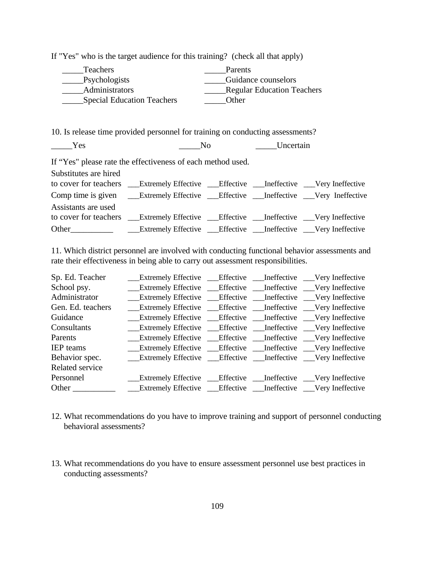| Teachers<br>Psychologists<br>Administrators | Special Education Teachers                                                               | Parents<br>Other | Guidance counselors<br>_Regular Education Teachers |  |
|---------------------------------------------|------------------------------------------------------------------------------------------|------------------|----------------------------------------------------|--|
|                                             | 10. Is release time provided personnel for training on conducting assessments?           |                  |                                                    |  |
| Yes                                         | N <sub>0</sub>                                                                           |                  | Uncertain                                          |  |
|                                             | If "Yes" please rate the effectiveness of each method used.                              |                  |                                                    |  |
| Substitutes are hired                       |                                                                                          |                  |                                                    |  |
|                                             | to cover for teachers __Extremely Effective __Effective __Ineffective __Very Ineffective |                  |                                                    |  |
|                                             |                                                                                          |                  |                                                    |  |
| Assistants are used                         |                                                                                          |                  |                                                    |  |
|                                             |                                                                                          |                  |                                                    |  |
| Other                                       | Extremely Effective ___ Effective ___ Ineffective ___ Very Ineffective                   |                  |                                                    |  |

If "Yes" who is the target audience for this training? (check all that apply)

11. Which district personnel are involved with conducting functional behavior assessments and rate their effectiveness in being able to carry out assessment responsibilities.

| Sp. Ed. Teacher   | <b>Extremely Effective __ Effective __ Ineffective __ Very Ineffective</b>                                                                                                                                                           |  |  |
|-------------------|--------------------------------------------------------------------------------------------------------------------------------------------------------------------------------------------------------------------------------------|--|--|
| School psy.       | <b>Extremely Effective __Effective __Ineffective __Very Ineffective</b>                                                                                                                                                              |  |  |
| Administrator     | <b>Extremely Effective Conservance Conservance Conserverse Conserverse Conserverse Conserverse Conserverse Conserverse Conserverse Conserverse Conserverse Conserverse Conserverse Conserverse Conserverse Conserverse Conserver</b> |  |  |
| Gen. Ed. teachers | <b>Extremely Effective _Effective _Ineffective _Very Ineffective</b>                                                                                                                                                                 |  |  |
| Guidance          | <b>Extremely Effective</b> Figure Effective Figures Extremely Effective                                                                                                                                                              |  |  |
| Consultants       | <b>Extremely Effective __Effective __Ineffective __Very Ineffective</b>                                                                                                                                                              |  |  |
| Parents           | <b>Extremely Effective</b> Figure Effective Figures Extremely Effective                                                                                                                                                              |  |  |
| <b>IEP</b> teams  | <b>Extremely Effective __Effective __Ineffective __Very Ineffective</b>                                                                                                                                                              |  |  |
| Behavior spec.    | Extremely Effective Effective Ineffective Very Ineffective                                                                                                                                                                           |  |  |
| Related service   |                                                                                                                                                                                                                                      |  |  |
| Personnel         | <b>Extremely Effective Confective Confective Confective Confective</b>                                                                                                                                                               |  |  |
|                   |                                                                                                                                                                                                                                      |  |  |

- 12. What recommendations do you have to improve training and support of personnel conducting behavioral assessments?
- 13. What recommendations do you have to ensure assessment personnel use best practices in conducting assessments?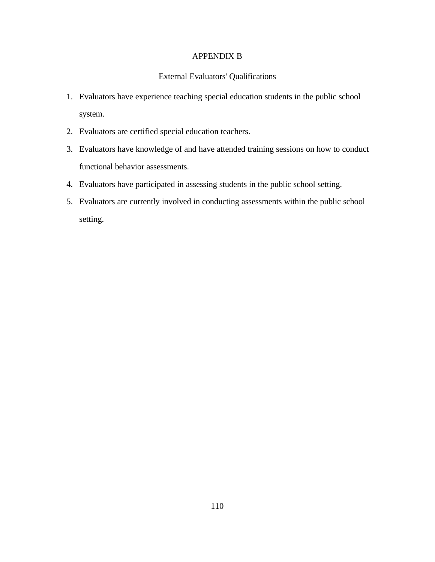#### APPENDIX B

# External Evaluators' Qualifications

- 1. Evaluators have experience teaching special education students in the public school system.
- 2. Evaluators are certified special education teachers.
- 3. Evaluators have knowledge of and have attended training sessions on how to conduct functional behavior assessments.
- 4. Evaluators have participated in assessing students in the public school setting.
- 5. Evaluators are currently involved in conducting assessments within the public school setting.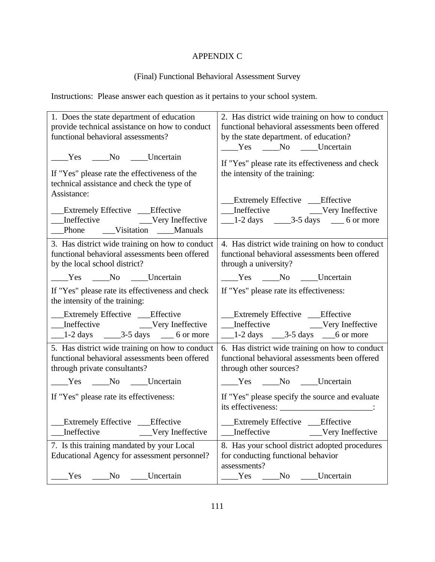# APPENDIX C

# (Final) Functional Behavioral Assessment Survey

Instructions: Please answer each question as it pertains to your school system.

| 1. Does the state department of education                           | 2. Has district wide training on how to conduct                     |  |  |
|---------------------------------------------------------------------|---------------------------------------------------------------------|--|--|
| provide technical assistance on how to conduct                      | functional behavioral assessments been offered                      |  |  |
| functional behavioral assessments?                                  | by the state department. of education?                              |  |  |
|                                                                     | ____Yes ____No ____Uncertain                                        |  |  |
| ____Yes ____No ____Uncertain                                        | If "Yes" please rate its effectiveness and check                    |  |  |
| If "Yes" please rate the effectiveness of the                       | the intensity of the training:                                      |  |  |
| technical assistance and check the type of                          |                                                                     |  |  |
| Assistance:                                                         |                                                                     |  |  |
|                                                                     | Extremely Effective ___Effective                                    |  |  |
| <b>Extremely Effective</b> Fifective                                |                                                                     |  |  |
| _Phone ___Visitation ___Manuals                                     | $\frac{1-2 \text{ days}}{2}$ $\frac{3-5 \text{ days}}{2}$ 6 or more |  |  |
|                                                                     |                                                                     |  |  |
| 3. Has district wide training on how to conduct                     | 4. Has district wide training on how to conduct                     |  |  |
| functional behavioral assessments been offered                      | functional behavioral assessments been offered                      |  |  |
| by the local school district?                                       | through a university?                                               |  |  |
| Ves No Uncertain                                                    | Ves No Uncertain                                                    |  |  |
| If "Yes" please rate its effectiveness and check                    | If "Yes" please rate its effectiveness:                             |  |  |
| the intensity of the training:                                      |                                                                     |  |  |
| __Extremely Effective __Effective                                   | __Extremely Effective ___Effective                                  |  |  |
|                                                                     |                                                                     |  |  |
| $\frac{1-2 \text{ days}}{2}$ $\frac{3-5 \text{ days}}{2}$ 6 or more | $\frac{1-2 \text{ days}}{3-5 \text{ days}}$ 6 or more               |  |  |
| 5. Has district wide training on how to conduct                     | 6. Has district wide training on how to conduct                     |  |  |
| functional behavioral assessments been offered                      | functional behavioral assessments been offered                      |  |  |
| through private consultants?                                        | through other sources?                                              |  |  |
| ____Yes ____No ____Uncertain                                        | ____Yes ____No ____Uncertain                                        |  |  |
| If "Yes" please rate its effectiveness:                             | If "Yes" please specify the source and evaluate                     |  |  |
|                                                                     |                                                                     |  |  |
| __Extremely Effective ___Effective                                  | __Extremely Effective ___Effective                                  |  |  |
| Ineffective<br>Very Ineffective                                     | Very Ineffective<br>Ineffective                                     |  |  |
| 7. Is this training mandated by your Local                          | 8. Has your school district adopted procedures                      |  |  |
| Educational Agency for assessment personnel?                        | for conducting functional behavior                                  |  |  |
|                                                                     | assessments?                                                        |  |  |
| Uncertain<br>Yes<br>No                                              | <b>Uncertain</b><br>Yes<br>No                                       |  |  |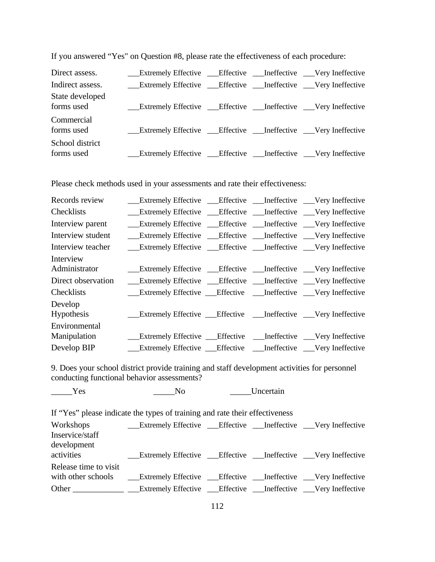| Direct assess.                | <b>Extremely Effective __ Effective __ Ineffective __ Very Ineffective</b> |  |  |
|-------------------------------|----------------------------------------------------------------------------|--|--|
| Indirect assess.              | __Extremely Effective __Effective __Ineffective __Very Ineffective         |  |  |
| State developed<br>forms used | __Extremely Effective __Effective __Ineffective __Very Ineffective         |  |  |
| Commercial<br>forms used      | <b>Extremely Effective __Effective __Ineffective __Very Ineffective</b>    |  |  |
| School district<br>forms used | __Extremely Effective __Effective __Ineffective __Very Ineffective         |  |  |

If you answered "Yes" on Question #8, please rate the effectiveness of each procedure:

Please check methods used in your assessments and rate their effectiveness:

|  | Extremely Effective __Effective __Ineffective __Very Ineffective<br>__Extremely Effective __Effective __Ineffective __Very Ineffective<br>_Extremely Effective ___Effective ___Ineffective ___Very Ineffective<br>Extremely Effective ____Effective _____Ineffective ____Very Ineffective<br>Extremely Effective ____Effective ______Ineffective _____Very Ineffective<br>__Extremely Effective __Effective __Ineffective __Very Ineffective<br>__Extremely Effective __Effective __Ineffective __Very Ineffective<br>Extremely Effective ___ Effective ____ Ineffective ____ Very Ineffective<br><b>Extremely Effective Conservative Conservative Conservative</b> Conservative<br>Extremely Effective __Effective __Ineffective __Very Ineffective<br>Extremely Effective ____Effective ______Ineffective _____Very Ineffective |
|--|-----------------------------------------------------------------------------------------------------------------------------------------------------------------------------------------------------------------------------------------------------------------------------------------------------------------------------------------------------------------------------------------------------------------------------------------------------------------------------------------------------------------------------------------------------------------------------------------------------------------------------------------------------------------------------------------------------------------------------------------------------------------------------------------------------------------------------------|

9. Does your school district provide training and staff development activities for personnel conducting functional behavior assessments?

 $Y$ es  $N_O$  Uncertain If "Yes" please indicate the types of training and rate their effectiveness Workshops \_\_\_Extremely Effective \_\_\_Effective \_\_\_Ineffective \_\_\_Very Ineffective Inservice/staff development activities Extremely Effective Effective \_\_Ineffective \_\_Very Ineffective Release time to visit with other schools \_\_\_\_Extremely Effective \_\_\_\_Effective \_\_\_\_Ineffective \_\_\_Very Ineffective Other \_\_\_\_\_\_\_\_\_\_\_\_\_ \_\_\_Extremely Effective \_\_\_Effective \_\_\_Ineffective \_\_\_Very Ineffective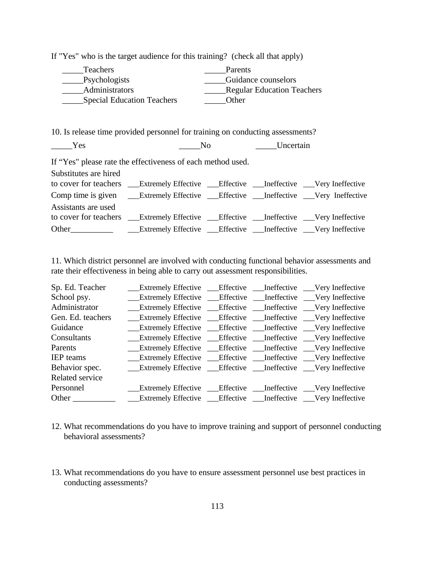| <b>Teachers</b><br>_Psychologists<br>Administrators                                                                                                                                                                                | <b>Special Education Teachers</b>                                              | Parents<br>Other | Guidance counselors<br>Regular Education Teachers |  |
|------------------------------------------------------------------------------------------------------------------------------------------------------------------------------------------------------------------------------------|--------------------------------------------------------------------------------|------------------|---------------------------------------------------|--|
|                                                                                                                                                                                                                                    | 10. Is release time provided personnel for training on conducting assessments? |                  |                                                   |  |
| Yes                                                                                                                                                                                                                                | N <sub>0</sub>                                                                 |                  | Uncertain                                         |  |
|                                                                                                                                                                                                                                    | If "Yes" please rate the effectiveness of each method used.                    |                  |                                                   |  |
| Substitutes are hired                                                                                                                                                                                                              |                                                                                |                  |                                                   |  |
|                                                                                                                                                                                                                                    |                                                                                |                  |                                                   |  |
|                                                                                                                                                                                                                                    | Comp time is given Lextremely Effective Leffective Leffective Very Ineffective |                  |                                                   |  |
| Assistants are used                                                                                                                                                                                                                |                                                                                |                  |                                                   |  |
| to cover for teachers                                                                                                                                                                                                              | Extremely Effective ___Effective ___Ineffective ___Very Ineffective            |                  |                                                   |  |
| <b>Other</b> contract the contract of the contract of the contract of the contract of the contract of the contract of the contract of the contract of the contract of the contract of the contract of the contract of the contract | Extremely Effective ___Effective ___Ineffective ___Very Ineffective            |                  |                                                   |  |

If "Yes" who is the target audience for this training? (check all that apply)

11. Which district personnel are involved with conducting functional behavior assessments and rate their effectiveness in being able to carry out assessment responsibilities.

| Administrator     |  | __Extremely Effective __Effective __Ineffective __Very Ineffective                                                                                                                                                                   |
|-------------------|--|--------------------------------------------------------------------------------------------------------------------------------------------------------------------------------------------------------------------------------------|
| Gen. Ed. teachers |  | <b>Extremely Effective _Effective _Ineffective _Very Ineffective</b>                                                                                                                                                                 |
| Guidance          |  | <b>Extremely Effective Conservance Conservance Conserverse Conserverse Conserverse Conserverse Conserverse Conserverse Conserverse Conserverse Conserverse Conserverse Conserverse Conserverse Conserverse Conserverse Conserver</b> |
| Consultants       |  | __Extremely Effective __Effective __Ineffective __Very Ineffective                                                                                                                                                                   |
| Parents           |  | __Extremely Effective __Effective __Ineffective __Very Ineffective                                                                                                                                                                   |
| <b>IEP</b> teams  |  | <b>Extremely Effective Conservance Conservance Conserverse Conserverse Conserverse Conserverse Conserverse Conserverse Conserverse Conserverse Conserverse Conserverse Conserverse Conserverse Conserverse Conserverse Conserver</b> |
| Behavior spec.    |  | Extremely Effective Effective Ineffective Very Ineffective                                                                                                                                                                           |
| Related service   |  |                                                                                                                                                                                                                                      |
| Personnel         |  | <b>Extremely Effective Conservance Conservance Conserverse Conserverse Conserverse Conserverse Conserverse Conserverse Conserverse Conserverse Conserverse Conserverse Conserverse Conserverse Conserverse Conserverse Conserver</b> |
|                   |  |                                                                                                                                                                                                                                      |

- 12. What recommendations do you have to improve training and support of personnel conducting behavioral assessments?
- 13. What recommendations do you have to ensure assessment personnel use best practices in conducting assessments?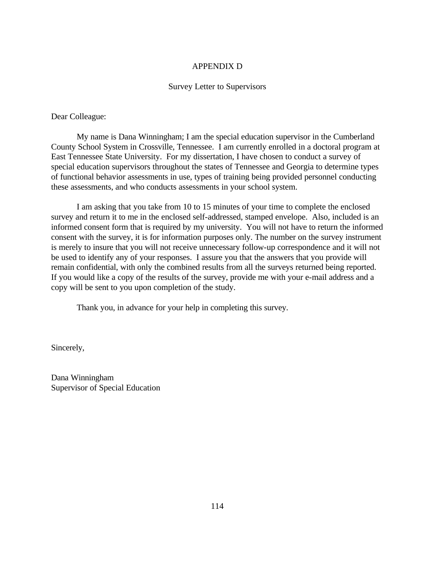### APPENDIX D

#### Survey Letter to Supervisors

Dear Colleague:

My name is Dana Winningham; I am the special education supervisor in the Cumberland County School System in Crossville, Tennessee. I am currently enrolled in a doctoral program at East Tennessee State University. For my dissertation, I have chosen to conduct a survey of special education supervisors throughout the states of Tennessee and Georgia to determine types of functional behavior assessments in use, types of training being provided personnel conducting these assessments, and who conducts assessments in your school system.

I am asking that you take from 10 to 15 minutes of your time to complete the enclosed survey and return it to me in the enclosed self-addressed, stamped envelope. Also, included is an informed consent form that is required by my university. You will not have to return the informed consent with the survey, it is for information purposes only. The number on the survey instrument is merely to insure that you will not receive unnecessary follow-up correspondence and it will not be used to identify any of your responses. I assure you that the answers that you provide will remain confidential, with only the combined results from all the surveys returned being reported. If you would like a copy of the results of the survey, provide me with your e-mail address and a copy will be sent to you upon completion of the study.

Thank you, in advance for your help in completing this survey.

Sincerely,

Dana Winningham Supervisor of Special Education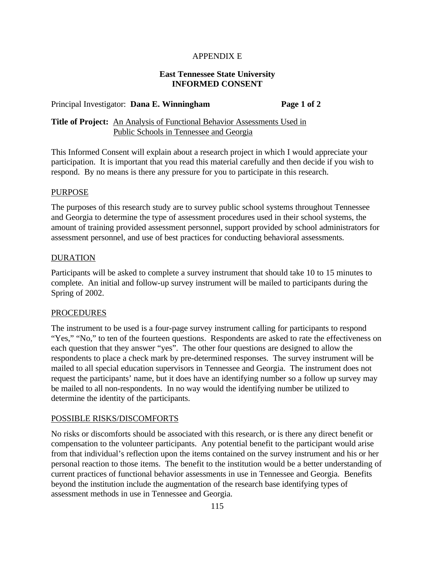## APPENDIX E

### **East Tennessee State University INFORMED CONSENT**

#### Principal Investigator: **Dana E. Winningham Page 1 of 2**

# **Title of Project:** An Analysis of Functional Behavior Assessments Used in Public Schools in Tennessee and Georgia

This Informed Consent will explain about a research project in which I would appreciate your participation. It is important that you read this material carefully and then decide if you wish to respond. By no means is there any pressure for you to participate in this research.

#### PURPOSE

The purposes of this research study are to survey public school systems throughout Tennessee and Georgia to determine the type of assessment procedures used in their school systems, the amount of training provided assessment personnel, support provided by school administrators for assessment personnel, and use of best practices for conducting behavioral assessments.

#### **DURATION**

Participants will be asked to complete a survey instrument that should take 10 to 15 minutes to complete. An initial and follow-up survey instrument will be mailed to participants during the Spring of 2002.

#### **PROCEDURES**

The instrument to be used is a four-page survey instrument calling for participants to respond "Yes," "No," to ten of the fourteen questions. Respondents are asked to rate the effectiveness on each question that they answer "yes". The other four questions are designed to allow the respondents to place a check mark by pre-determined responses. The survey instrument will be mailed to all special education supervisors in Tennessee and Georgia. The instrument does not request the participants' name, but it does have an identifying number so a follow up survey may be mailed to all non-respondents. In no way would the identifying number be utilized to determine the identity of the participants.

#### POSSIBLE RISKS/DISCOMFORTS

No risks or discomforts should be associated with this research, or is there any direct benefit or compensation to the volunteer participants. Any potential benefit to the participant would arise from that individual's reflection upon the items contained on the survey instrument and his or her personal reaction to those items. The benefit to the institution would be a better understanding of current practices of functional behavior assessments in use in Tennessee and Georgia. Benefits beyond the institution include the augmentation of the research base identifying types of assessment methods in use in Tennessee and Georgia.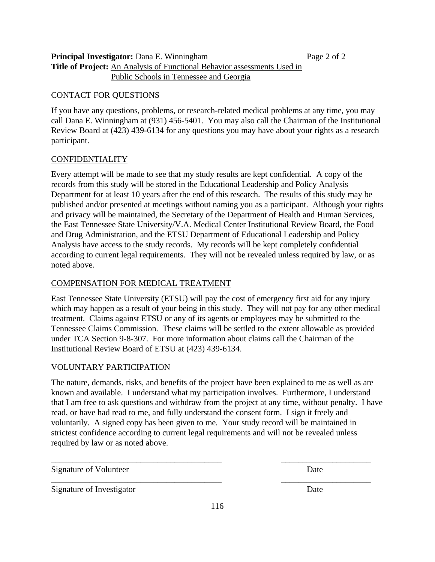**Principal Investigator:** Dana E. Winningham **Page 2 of 2** of 2 **Title of Project:** An Analysis of Functional Behavior assessments Used in Public Schools in Tennessee and Georgia

## CONTACT FOR QUESTIONS

If you have any questions, problems, or research-related medical problems at any time, you may call Dana E. Winningham at (931) 456-5401. You may also call the Chairman of the Institutional Review Board at (423) 439-6134 for any questions you may have about your rights as a research participant.

## **CONFIDENTIALITY**

Every attempt will be made to see that my study results are kept confidential. A copy of the records from this study will be stored in the Educational Leadership and Policy Analysis Department for at least 10 years after the end of this research. The results of this study may be published and/or presented at meetings without naming you as a participant. Although your rights and privacy will be maintained, the Secretary of the Department of Health and Human Services, the East Tennessee State University/V.A. Medical Center Institutional Review Board, the Food and Drug Administration, and the ETSU Department of Educational Leadership and Policy Analysis have access to the study records. My records will be kept completely confidential according to current legal requirements. They will not be revealed unless required by law, or as noted above.

### COMPENSATION FOR MEDICAL TREATMENT

East Tennessee State University (ETSU) will pay the cost of emergency first aid for any injury which may happen as a result of your being in this study. They will not pay for any other medical treatment. Claims against ETSU or any of its agents or employees may be submitted to the Tennessee Claims Commission. These claims will be settled to the extent allowable as provided under TCA Section 9-8-307. For more information about claims call the Chairman of the Institutional Review Board of ETSU at (423) 439-6134.

# VOLUNTARY PARTICIPATION

The nature, demands, risks, and benefits of the project have been explained to me as well as are known and available. I understand what my participation involves. Furthermore, I understand that I am free to ask questions and withdraw from the project at any time, without penalty. I have read, or have had read to me, and fully understand the consent form. I sign it freely and voluntarily. A signed copy has been given to me. Your study record will be maintained in strictest confidence according to current legal requirements and will not be revealed unless required by law or as noted above.

\_\_\_\_\_\_\_\_\_\_\_\_\_\_\_\_\_\_\_\_\_\_\_\_\_\_\_\_\_\_\_\_\_\_\_\_\_\_\_\_ \_\_\_\_\_\_\_\_\_\_\_\_\_\_\_\_\_\_\_\_\_

\_\_\_\_\_\_\_\_\_\_\_\_\_\_\_\_\_\_\_\_\_\_\_\_\_\_\_\_\_\_\_\_\_\_\_\_\_\_\_\_ \_\_\_\_\_\_\_\_\_\_\_\_\_\_\_\_\_\_\_\_\_

Signature of Volunteer Date

Signature of Investigator Date